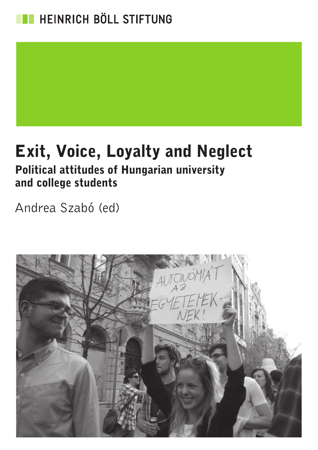

### Exit, Voice, Loyalty and Neglect Political attitudes of Hungarian university

### and college students

Andrea Szabó (ed)

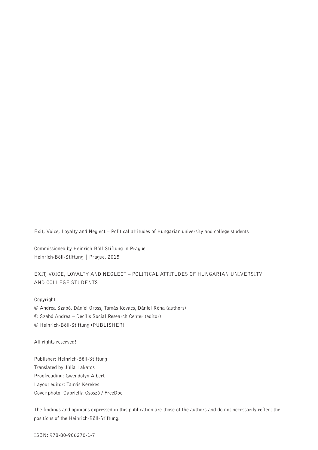Exit, Voice, Loyalty and Neglect – Political attitudes of Hungarian university and college students

Commissioned by Heinrich-Böll-Stiftung in Prague Heinrich-Böll-Stiftung | Prague, 2015

#### EXIT, VOICE, LOYALTY AND NEGLECT – POLITICAL ATTITUDES OF HUNGARIAN UNIVERSITY AND COLLEGE STUDENTS

Copyright

© Andrea Szabó, Dániel Oross, Tamás Kovács, Dániel Róna (authors)

© Szabó Andrea – Decilis Social Research Center (editor)

© Heinrich-Böll-Stiftung (PUBLISHER)

All rights reserved!

Publisher: Heinrich-Böll-Stiftung Translated by Júlia Lakatos Proofreading: Gwendolyn Albert Layout editor: Tamás Kerekes Cover photo: Gabriella Csoszó / FreeDoc

The findings and opinions expressed in this publication are those of the authors and do not necessarily reflect the positions of the Heinrich-Böll-Stiftung.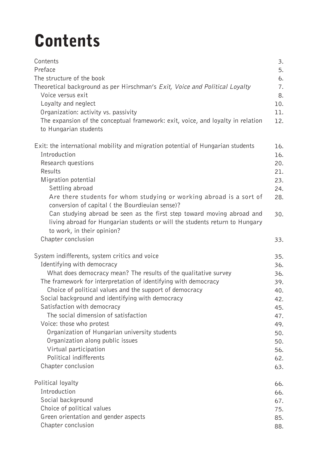## **Contents**

| Contents<br>Preface<br>The structure of the book<br>Theoretical background as per Hirschman's <i>Exit, Voice and Political Loyalty</i><br>Voice versus exit<br>Loyalty and neglect<br>Organization: activity vs. passivity<br>The expansion of the conceptual framework: exit, voice, and loyalty in relation<br>to Hungarian students | 3.<br>5.<br>6.<br>7.<br>8.<br>10.<br>11.<br>12. |
|----------------------------------------------------------------------------------------------------------------------------------------------------------------------------------------------------------------------------------------------------------------------------------------------------------------------------------------|-------------------------------------------------|
| Exit: the international mobility and migration potential of Hungarian students                                                                                                                                                                                                                                                         | 16.                                             |
| Introduction                                                                                                                                                                                                                                                                                                                           | 16.                                             |
| Research questions                                                                                                                                                                                                                                                                                                                     | 20.                                             |
| Results                                                                                                                                                                                                                                                                                                                                | 21.                                             |
| Migration potential                                                                                                                                                                                                                                                                                                                    | 23.                                             |
| Settling abroad                                                                                                                                                                                                                                                                                                                        | 24.                                             |
| Are there students for whom studying or working abroad is a sort of                                                                                                                                                                                                                                                                    | 28.                                             |
| conversion of capital (the Bourdieuian sense)?<br>Can studying abroad be seen as the first step toward moving abroad and<br>living abroad for Hungarian students or will the students return to Hungary<br>to work, in their opinion?<br>Chapter conclusion                                                                            | 30.<br>33.                                      |
| System indifferents, system critics and voice                                                                                                                                                                                                                                                                                          | 35.                                             |
| Identifying with democracy                                                                                                                                                                                                                                                                                                             | 36.                                             |
| What does democracy mean? The results of the qualitative survey                                                                                                                                                                                                                                                                        | 36.                                             |
| The framework for interpretation of identifying with democracy                                                                                                                                                                                                                                                                         | 39.                                             |
| Choice of political values and the support of democracy                                                                                                                                                                                                                                                                                | 40.                                             |
| Social background and identifying with democracy                                                                                                                                                                                                                                                                                       | 42.                                             |
| Satisfaction with democracy                                                                                                                                                                                                                                                                                                            | 45.                                             |
| The social dimension of satisfaction                                                                                                                                                                                                                                                                                                   | 47.                                             |
| Voice: those who protest                                                                                                                                                                                                                                                                                                               | 49.                                             |
| Organization of Hungarian university students                                                                                                                                                                                                                                                                                          | 50.                                             |
| Organization along public issues                                                                                                                                                                                                                                                                                                       | 50.                                             |
| Virtual participation                                                                                                                                                                                                                                                                                                                  | 56.                                             |
| Political indifferents                                                                                                                                                                                                                                                                                                                 | 62.                                             |
| Chapter conclusion                                                                                                                                                                                                                                                                                                                     | 63.                                             |
| Political loyalty                                                                                                                                                                                                                                                                                                                      | 66.                                             |
| Introduction                                                                                                                                                                                                                                                                                                                           | 66.                                             |
| Social background                                                                                                                                                                                                                                                                                                                      | 67.                                             |
| Choice of political values                                                                                                                                                                                                                                                                                                             | 75.                                             |
| Green orientation and gender aspects                                                                                                                                                                                                                                                                                                   | 85.                                             |
| Chapter conclusion                                                                                                                                                                                                                                                                                                                     | 88.                                             |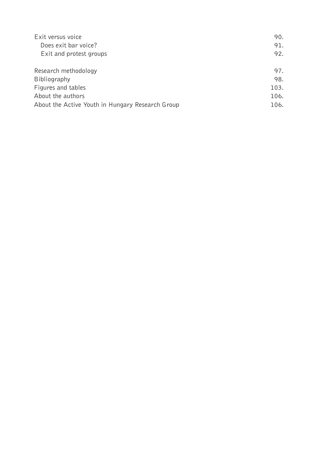| Exit versus voice                                | 90.  |
|--------------------------------------------------|------|
| Does exit bar voice?                             | 91.  |
| Exit and protest groups                          | 92.  |
| Research methodology                             | 97.  |
| Bibliography                                     | 98.  |
| Figures and tables                               | 103. |
| About the authors                                | 106. |
| About the Active Youth in Hungary Research Group | 106. |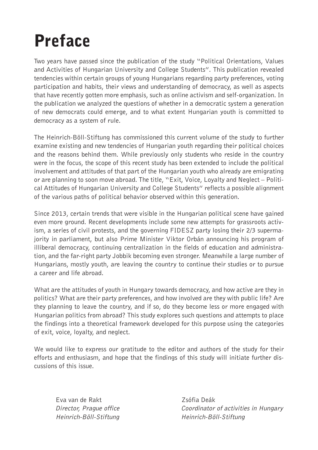## Preface

Two years have passed since the publication of the study "Political Orientations, Values and Activities of Hungarian University and College Students". This publication revealed tendencies within certain groups of young Hungarians regarding party preferences, voting participation and habits, their views and understanding of democracy, as well as aspects that have recently gotten more emphasis, such as online activism and self-organization. In the publication we analyzed the questions of whether in a democratic system a generation of new democrats could emerge, and to what extent Hungarian youth is committed to democracy as a system of rule.

The Heinrich-Böll-Stiftung has commissioned this current volume of the study to further examine existing and new tendencies of Hungarian youth regarding their political choices and the reasons behind them. While previously only students who reside in the country were in the focus, the scope of this recent study has been extended to include the political involvement and attitudes of that part of the Hungarian youth who already are emigrating or are planning to soon move abroad. The title, "Exit, Voice, Loyalty and Neglect – Political Attitudes of Hungarian University and College Students" reflects a possible alignment of the various paths of political behavior observed within this generation.

Since 2013, certain trends that were visible in the Hungarian political scene have gained even more ground. Recent developments include some new attempts for grassroots activism, a series of civil protests, and the governing FIDESZ party losing their 2/3 supermajority in parliament, but also Prime Minister Viktor Orbán announcing his program of illiberal democracy, continuing centralization in the fields of education and administration, and the far-right party Jobbik becoming even stronger. Meanwhile a large number of Hungarians, mostly youth, are leaving the country to continue their studies or to pursue a career and life abroad.

What are the attitudes of youth in Hungary towards democracy, and how active are they in politics? What are their party preferences, and how involved are they with public life? Are they planning to leave the country, and if so, do they become less or more engaged with Hungarian politics from abroad? This study explores such questions and attempts to place the findings into a theoretical framework developed for this purpose using the categories of exit, voice, loyalty, and neglect.

We would like to express our gratitude to the editor and authors of the study for their efforts and enthusiasm, and hope that the findings of this study will initiate further discussions of this issue.

Eva van de Rakt Zsófia Deák Heinrich-Böll-Stiftung Heinrich-Böll-Stiftung

Director, Prague office Coordinator of activities in Hungary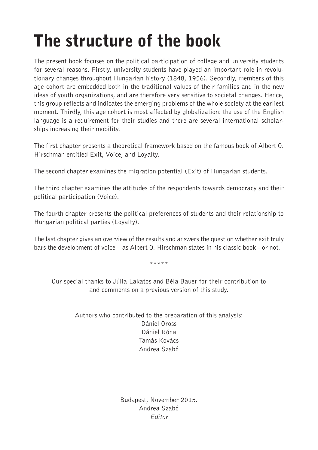# The structure of the book

The present book focuses on the political participation of college and university students for several reasons. Firstly, university students have played an important role in revolutionary changes throughout Hungarian history (1848, 1956). Secondly, members of this age cohort are embedded both in the traditional values of their families and in the new ideas of youth organizations, and are therefore very sensitive to societal changes. Hence, this group reflects and indicates the emerging problems of the whole society at the earliest moment. Thirdly, this age cohort is most affected by globalization: the use of the English language is a requirement for their studies and there are several international scholarships increasing their mobility.

The first chapter presents a theoretical framework based on the famous book of Albert O. Hirschman entitled Exit, Voice, and Loyalty.

The second chapter examines the migration potential (Exit) of Hungarian students.

The third chapter examines the attitudes of the respondents towards democracy and their political participation (Voice).

The fourth chapter presents the political preferences of students and their relationship to Hungarian political parties (Loyalty).

The last chapter gives an overview of the results and answers the question whether exit truly bars the development of voice – as Albert O. Hirschman states in his classic book - or not.

\*\*\*\*\*

Our special thanks to Júlia Lakatos and Béla Bauer for their contribution to and comments on a previous version of this study.

> Authors who contributed to the preparation of this analysis: Dániel Oross Dániel Róna Tamás Kovács Andrea Szabó

> > Budapest, November 2015. Andrea Szabó Editor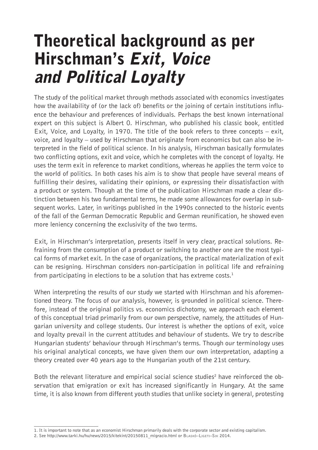### Theoretical background as per Hirschman's Exit, Voice and Political Loyalty

The study of the political market through methods associated with economics investigates how the availability of (or the lack of) benefits or the joining of certain institutions influence the behaviour and preferences of individuals. Perhaps the best known international expert on this subject is Albert O. Hirschman, who published his classic book, entitled Exit, Voice, and Loyalty, in 1970. The title of the book refers to three concepts – exit, voice, and loyalty – used by Hirschman that originate from economics but can also be interpreted in the field of political science. In his analysis, Hirschman basically formulates two conflicting options, exit and voice, which he completes with the concept of loyalty. He uses the term exit in reference to market conditions, whereas he applies the term voice to the world of politics. In both cases his aim is to show that people have several means of fulfilling their desires, validating their opinions, or expressing their dissatisfaction with a product or system. Though at the time of the publication Hirschman made a clear distinction between his two fundamental terms, he made some allowances for overlap in subsequent works. Later, in writings published in the 1990s connected to the historic events of the fall of the German Democratic Republic and German reunification, he showed even more leniency concerning the exclusivity of the two terms.

Exit, in Hirschman's interpretation, presents itself in very clear, practical solutions. Refraining from the consumption of a product or switching to another one are the most typical forms of market exit. In the case of organizations, the practical materialization of exit can be resigning. Hirschman considers non-participation in political life and refraining from participating in elections to be a solution that has extreme costs.<sup>1</sup>

When interpreting the results of our study we started with Hirschman and his aforementioned theory. The focus of our analysis, however, is grounded in political science. Therefore, instead of the original politics vs. economics dichotomy, we approach each element of this conceptual triad primarily from our own perspective, namely, the attitudes of Hungarian university and college students. Our interest is whether the options of exit, voice and loyalty prevail in the current attitudes and behaviour of students. We try to describe Hungarian students' behaviour through Hirschman's terms. Though our terminology uses his original analytical concepts, we have given them our own interpretation, adapting a theory created over 40 years ago to the Hungarian youth of the 21st century.

Both the relevant literature and empirical social science studies<sup>2</sup> have reinforced the observation that emigration or exit has increased significantly in Hungary. At the same time, it is also known from different youth studies that unlike society in general, protesting

<sup>1.</sup> It is important to note that as an economist Hirschman primarily deals with the corporate sector and existing capitalism.

<sup>2.</sup> See http://www.tarki.hu/hu/news/2015/kitekint/20150811\_migracio.html or BLASKó-LIGETI-SIK 2014.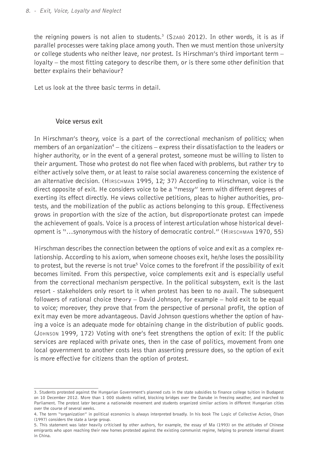the reigning powers is not alien to students.3 (Szabó 2012). In other words, it is as if parallel processes were taking place among youth. Then we must mention those university or college students who neither leave, nor protest. Is Hirschman's third important term – loyalty – the most fitting category to describe them, or is there some other definition that better explains their behaviour?

Let us look at the three basic terms in detail.

#### **Voice versus exit**

In Hirschman's theory, voice is a part of the correctional mechanism of politics; when members of an organization<sup>4</sup> – the citizens – express their dissatisfaction to the leaders or higher authority, or in the event of a general protest, someone must be willing to listen to their argument. Those who protest do not flee when faced with problems, but rather try to either actively solve them, or at least to raise social awareness concerning the existence of an alternative decision. (Hirschman 1995, 12; 37) According to Hirschman, voice is the direct opposite of exit. He considers voice to be a "messy" term with different degrees of exerting its effect directly. He views collective petitions, pleas to higher authorities, protests, and the mobilization of the public as actions belonging to this group. Effectiveness grows in proportion with the size of the action, but disproportionate protest can impede the achievement of goals. Voice is a process of interest articulation whose historical development is "…synonymous with the history of democratic control." (Hirschman 1970, 55)

Hirschman describes the connection between the options of voice and exit as a complex relationship. According to his axiom, when someone chooses exit, he/she loses the possibility to protest, but the reverse is not true<sup>5</sup> Voice comes to the forefront if the possibility of exit becomes limited. From this perspective, voice complements exit and is especially useful from the correctional mechanism perspective. In the political subsystem, exit is the last resort - stakeholders only resort to it when protest has been to no avail. The subsequent followers of rational choice theory – David Johnson, for example – hold exit to be equal to voice; moreover, they prove that from the perspective of personal profit, the option of exit may even be more advantageous. David Johnson questions whether the option of having a voice is an adequate mode for obtaining change in the distribution of public goods. (Johnson 1999, 172) Voting with one's feet strengthens the option of exit: If the public services are replaced with private ones, then in the case of politics, movement from one local government to another costs less than asserting pressure does, so the option of exit is more effective for citizens than the option of protest.

<sup>3.</sup> Students protested against the Hungarian Government's planned cuts in the state subsidies to finance college tuition in Budapest on 10 December 2012. More than 1 000 students rallied, blocking bridges over the Danube in freezing weather, and marched to Parliament. The protest later became a nationwide movement and students organized similar actions in different Hungarian cities over the course of several weeks.

<sup>4.</sup> The term "organization" in political economics is always interpreted broadly. In his book The Logic of Collective Action, Olson (1997) considers the state a large group.

<sup>5.</sup> This statement was later heavily criticised by other authors, for example, the essay of Ma (1993) on the attitudes of Chinese emigrants who upon reaching their new homes protested against the existing communist regime, helping to promote internal dissent in China.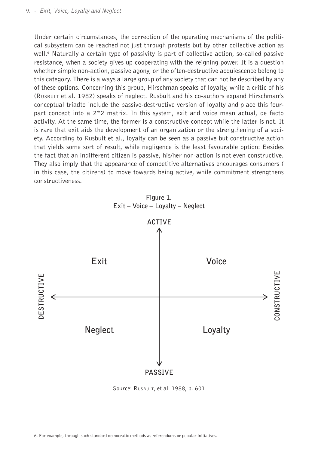Under certain circumstances, the correction of the operating mechanisms of the political subsystem can be reached not just through protests but by other collective action as well.<sup>6</sup> Naturally a certain type of passivity is part of collective action, so-called passive resistance, when a society gives up cooperating with the reigning power. It is a question whether simple non-action, passive agony, or the often-destructive acquiescence belong to this category. There is always a large group of any society that can not be described by any of these options. Concerning this group, Hirschman speaks of loyalty, while a critic of his (Rusbult et al. 1982) speaks of neglect. Rusbult and his co-authors expand Hirschman's conceptual triadto include the passive-destructive version of loyalty and place this fourpart concept into a 2\*2 matrix. In this system, exit and voice mean actual, de facto activity. At the same time, the former is a constructive concept while the latter is not. It is rare that exit aids the development of an organization or the strengthening of a society. According to Rusbult et al., loyalty can be seen as a passive but constructive action that yields some sort of result, while negligence is the least favourable option: Besides the fact that an indifferent citizen is passive, his/her non-action is not even constructive. They also imply that the appearance of competitive alternatives encourages consumers ( in this case, the citizens) to move towards being active, while commitment strengthens constructiveness.



**Figure 1. Exit – Voice – Loyalty – Neglect**

Source: Rusbult, et al. 1988, p. 601

<sup>6.</sup> For example, through such standard democratic methods as referendums or popular initiatives.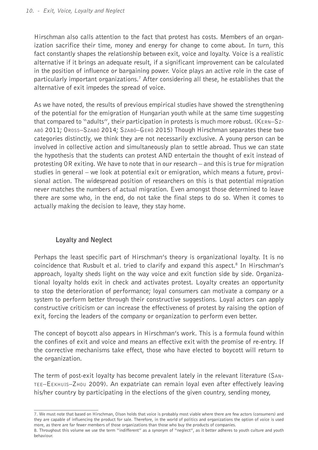Hirschman also calls attention to the fact that protest has costs. Members of an organization sacrifice their time, money and energy for change to come about. In turn, this fact constantly shapes the relationship between exit, voice and loyalty. Voice is a realistic alternative if it brings an adequate result, if a significant improvement can be calculated in the position of influence or bargaining power. Voice plays an active role in the case of particularly important organizations.7 After considering all these, he establishes that the alternative of exit impedes the spread of voice.

As we have noted, the results of previous empirical studies have showed the strengthening of the potential for the emigration of Hungarian youth while at the same time suggesting that compared to "adults", their participation in protests is much more robust. (Kern–Szabó 2011; Oross–Szabó 2014; Szabó–Gerö 2015) Though Hirschman separates these two categories distinctly, we think they are not necessarily exclusive. A young person can be involved in collective action and simultaneously plan to settle abroad. Thus we can state the hypothesis that the students can protest AND entertain the thought of exit instead of protesting OR exiting. We have to note that in our research – and this is true for migration studies in general – we look at potential exit or emigration, which means a future, provisional action. The widespread position of researchers on this is that potential migration never matches the numbers of actual migration. Even amongst those determined to leave there are some who, in the end, do not take the final steps to do so. When it comes to actually making the decision to leave, they stay home.

#### **Loyalty and Neglect**

Perhaps the least specific part of Hirschman's theory is organizational loyalty. It is no coincidence that Rusbult et al. tried to clarify and expand this aspect.<sup>8</sup> In Hirschman's approach, loyalty sheds light on the way voice and exit function side by side. Organizational loyalty holds exit in check and activates protest. Loyalty creates an opportunity to stop the deterioration of performance; loyal consumers can motivate a company or a system to perform better through their constructive suggestions. Loyal actors can apply constructive criticism or can increase the effectiveness of protest by raising the option of exit, forcing the leaders of the company or organization to perform even better.

The concept of boycott also appears in Hirschman's work. This is a formula found within the confines of exit and voice and means an effective exit with the promise of re-entry. If the corrective mechanisms take effect, those who have elected to boycott will return to the organization.

The term of post-exit loyalty has become prevalent lately in the relevant literature (Santee–Eekhuis–Zhou 2009). An expatriate can remain loyal even after effectively leaving his/her country by participating in the elections of the given country, sending money,

<sup>7.</sup> We must note that based on Hirschman, Olson holds that voice is probably most viable where there are few actors (consumers) and they are capable of influencing the product for sale. Therefore, in the world of politics and organizations the option of voice is used more, as there are far fewer members of those organizations than those who buy the products of companies.

<sup>8.</sup> Throughout this volume we use the term "indifferent" as a synonym of "neglect", as it better adheres to youth culture and youth behaviour.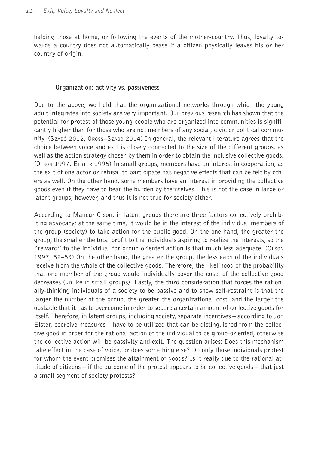helping those at home, or following the events of the mother-country. Thus, loyalty towards a country does not automatically cease if a citizen physically leaves his or her country of origin.

#### **Organization: activity vs. passiveness**

Due to the above, we hold that the organizational networks through which the young adult integrates into society are very important. Our previous research has shown that the potential for protest of those young people who are organized into communities is significantly higher than for those who are not members of any social, civic or political community. (Szabó 2012, Oross–Szabó 2014) In general, the relevant literature agrees that the choice between voice and exit is closely connected to the size of the different groups, as well as the action strategy chosen by them in order to obtain the inclusive collective goods. (Olson 1997, Elster 1995) In small groups, members have an interest in cooperation, as the exit of one actor or refusal to participate has negative effects that can be felt by others as well. On the other hand, some members have an interest in providing the collective goods even if they have to bear the burden by themselves. This is not the case in large or latent groups, however, and thus it is not true for society either.

According to Mancur Olson, in latent groups there are three factors collectively prohibiting advocacy; at the same time, it would be in the interest of the individual members of the group (society) to take action for the public good. On the one hand, the greater the group, the smaller the total profit to the individuals aspiring to realize the interests, so the "reward" to the individual for group-oriented action is that much less adequate. (Olson 1997, 52–53) On the other hand, the greater the group, the less each of the individuals receive from the whole of the collective goods. Therefore, the likelihood of the probability that one member of the group would individually cover the costs of the collective good decreases (unlike in small groups). Lastly, the third consideration that forces the rationally-thinking individuals of a society to be passive and to show self-restraint is that the larger the number of the group, the greater the organizational cost, and the larger the obstacle that it has to overcome in order to secure a certain amount of collective goods for itself. Therefore, in latent groups, including society, separate incentives – according to Jon Elster, coercive measures – have to be utilized that can be distinguished from the collective good in order for the rational action of the individual to be group-oriented, otherwise the collective action will be passivity and exit. The question arises: Does this mechanism take effect in the case of voice, or does something else? Do only those individuals protest for whom the event promises the attainment of goods? Is it really due to the rational attitude of citizens – if the outcome of the protest appears to be collective goods – that just a small segment of society protests?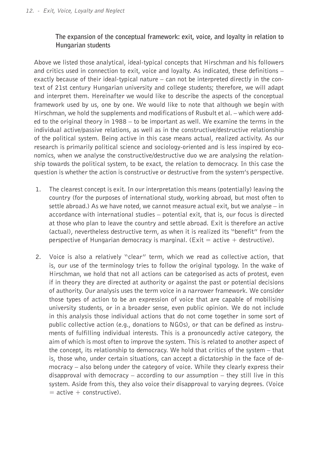#### **The expansion of the conceptual framework: exit, voice, and loyalty in relation to Hungarian students**

Above we listed those analytical, ideal-typical concepts that Hirschman and his followers and critics used in connection to exit, voice and loyalty. As indicated, these definitions  $$ exactly because of their ideal-typical nature – can not be interpreted directly in the context of 21st century Hungarian university and college students; therefore, we will adapt and interpret them. Hereinafter we would like to describe the aspects of the conceptual framework used by us, one by one. We would like to note that although we begin with Hirschman, we hold the supplements and modifications of Rusbult et al. – which were added to the original theory in 1988 – to be important as well. We examine the terms in the individual active/passive relations, as well as in the constructive/destructive relationship of the political system. Being active in this case means actual, realized activity. As our research is primarily political science and sociology-oriented and is less inspired by economics, when we analyse the constructive/destructive duo we are analysing the relationship towards the political system, to be exact, the relation to democracy. In this case the question is whether the action is constructive or destructive from the system's perspective.

- 1. The clearest concept is exit. In our interpretation this means (potentially) leaving the country (for the purposes of international study, working abroad, but most often to settle abroad.) As we have noted, we cannot measure actual exit, but we analyse  $-$  in accordance with international studies – potential exit, that is, our focus is directed at those who plan to leave the country and settle abroad. Exit is therefore an active (actual), nevertheless destructive term, as when it is realized its "benefit" from the perspective of Hungarian democracy is marginal. (Exit  $=$  active  $+$  destructive).
- 2. Voice is also a relatively "clear" term, which we read as collective action, that is, our use of the terminology tries to follow the original typology. In the wake of Hirschman, we hold that not all actions can be categorised as acts of protest, even if in theory they are directed at authority or against the past or potential decisions of authority. Our analysis uses the term voice in a narrower framework. We consider those types of action to be an expression of voice that are capable of mobilising university students, or in a broader sense, even public opinion. We do not include in this analysis those individual actions that do not come together in some sort of public collective action (e.g., donations to NGOs), or that can be defined as instruments of fulfilling individual interests. This is a pronouncedly active category, the aim of which is most often to improve the system. This is related to another aspect of the concept, its relationship to democracy. We hold that critics of the system – that is, those who, under certain situations, can accept a dictatorship in the face of democracy – also belong under the category of voice. While they clearly express their disapproval with democracy  $-$  according to our assumption  $-$  they still live in this system. Aside from this, they also voice their disapproval to varying degrees. (Voice  $=$  active  $+$  constructive).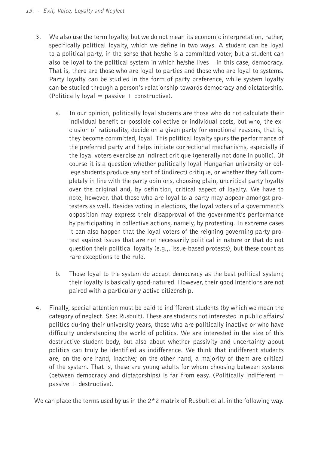- 3. We also use the term loyalty, but we do not mean its economic interpretation, rather, specifically political loyalty, which we define in two ways. A student can be loyal to a political party, in the sense that he/she is a committed voter, but a student can also be loyal to the political system in which he/she lives – in this case, democracy. That is, there are those who are loyal to parties and those who are loyal to systems. Party loyalty can be studied in the form of party preference, while system loyalty can be studied through a person's relationship towards democracy and dictatorship.  $(Politically \, logal = passive + constructive).$ 
	- a. In our opinion, politically loyal students are those who do not calculate their individual benefit or possible collective or individual costs, but who, the exclusion of rationality, decide on a given party for emotional reasons, that is, they become committed, loyal. This political loyalty spurs the performance of the preferred party and helps initiate correctional mechanisms, especially if the loyal voters exercise an indirect critique (generally not done in public). Of course it is a question whether politically loyal Hungarian university or college students produce any sort of (indirect) critique, or whether they fall completely in line with the party opinions, choosing plain, uncritical party loyalty over the original and, by definition, critical aspect of loyalty. We have to note, however, that those who are loyal to a party may appear amongst protesters as well. Besides voting in elections, the loyal voters of a government's opposition may express their disapproval of the government's performance by participating in collective actions, namely, by protesting. In extreme cases it can also happen that the loyal voters of the reigning governing party protest against issues that are not necessarily political in nature or that do not question their political loyalty (e.g.,. issue-based protests), but these count as rare exceptions to the rule.
	- b. Those loyal to the system do accept democracy as the best political system; their loyalty is basically good-natured. However, their good intentions are not paired with a particularly active citizenship.
- 4. Finally, special attention must be paid to indifferent students (by which we mean the category of neglect. See: Rusbult). These are students not interested in public affairs/ politics during their university years, those who are politically inactive or who have difficulty understanding the world of politics. We are interested in the size of this destructive student body, but also about whether passivity and uncertainty about politics can truly be identified as indifference. We think that indifferent students are, on the one hand, inactive; on the other hand, a majority of them are critical of the system. That is, these are young adults for whom choosing between systems (between democracy and dictatorships) is far from easy. (Politically indifferent  $=$  $passive + destructive$ ).

We can place the terms used by us in the  $2*2$  matrix of Rusbult et al. in the following way.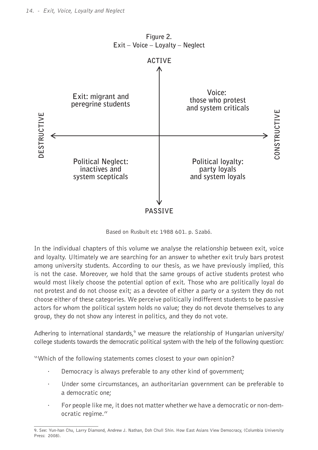

Based on Rusbult etc 1988 601. p. Szabó.

In the individual chapters of this volume we analyse the relationship between exit, voice and loyalty. Ultimately we are searching for an answer to whether exit truly bars protest among university students. According to our thesis, as we have previously implied, this is not the case. Moreover, we hold that the same groups of active students protest who would most likely choose the potential option of exit. Those who are politically loyal do not protest and do not choose exit; as a devotee of either a party or a system they do not choose either of these categories. We perceive politically indifferent students to be passive actors for whom the political system holds no value; they do not devote themselves to any group, they do not show any interest in politics, and they do not vote.

Adhering to international standards,<sup>9</sup> we measure the relationship of Hungarian university/ college students towards the democratic political system with the help of the following question:

"Which of the following statements comes closest to your own opinion?

- Democracy is always preferable to any other kind of government;
- Under some circumstances, an authoritarian government can be preferable to a democratic one;
- For people like me, it does not matter whether we have a democratic or non-democratic regime."

<sup>9.</sup> See: Yun-han Chu, Larry Diamond, Andrew J. Nathan, Doh Chull Shin. How East Asians View Democracy, (Columbia University Press: 2008).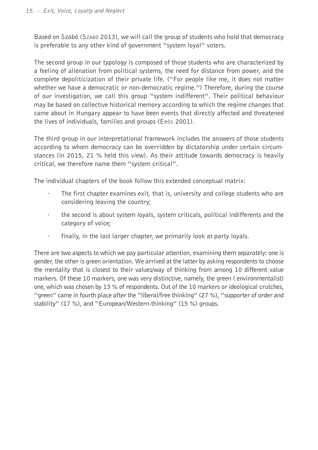Based on Szabó (Szabó 2013), we will call the group of students who hold that democracy is preferable to any other kind of government "system loyal" voters.

The second group in our typology is composed of those students who are characterized by a feeling of alienation from political systems, the need for distance from power, and the complete depoliticization of their private life. ("For people like me, it does not matter whether we have a democratic or non-democratic regime.") Therefore, during the course of our investigation, we call this group "system indifferent". Their political behaviour may be based on collective historical memory according to which the regime changes that came about in Hungary appear to have been events that directly affected and threatened the lives of individuals, families and groups (Erös 2001).

The third group in our interpretational framework includes the answers of those students according to whom democracy can be overridden by dictatorship under certain circumstances (in 2015, 21 % held this view). As their attitude towards democracy is heavily critical, we therefore name them "system critical".

The individual chapters of the book follow this extended conceptual matrix:

- · The first chapter examines exit, that is, university and college students who are considering leaving the country;
- · the second is about system loyals, system criticals, political indifferents and the category of voice;
- · finally, in the last larger chapter, we primarily look at party loyals.

There are two aspects to which we pay particular attention, examining them separately: one is gender, the other is green orientation. We arrived at the latter by asking respondents to choose the mentality that is closest to their values/way of thinking from among 10 different value markers. Of these 10 markers, one was very distinctive, namely, the green ( environmentalist) one, which was chosen by 13 % of respondents. Out of the 10 markers or ideological crutches, "green" came in fourth place after the "liberal/free thinking" (27 %), "supporter of order and stability" (17 %), and "European/Western-thinking" (15 %) groups.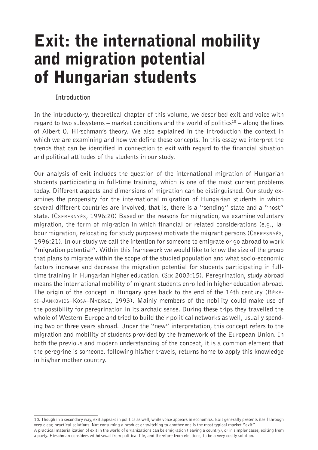### Exit: the international mobility and migration potential of Hungarian students

#### **Introduction**

In the introductory, theoretical chapter of this volume, we described exit and voice with regard to two subsystems – market conditions and the world of politics<sup>10</sup> – along the lines of Albert O. Hirschman's theory. We also explained in the introduction the context in which we are examining and how we define these concepts. In this essay we interpret the trends that can be identified in connection to exit with regard to the financial situation and political attitudes of the students in our study.

Our analysis of exit includes the question of the international migration of Hungarian students participating in full-time training, which is one of the most current problems today. Different aspects and dimensions of migration can be distinguished. Our study examines the propensity for the international migration of Hungarian students in which several different countries are involved, that is, there is a "sending" state and a "host" state. (Cseresnyés, 1996:20) Based on the reasons for migration, we examine voluntary migration, the form of migration in which financial or related considerations (e.g., labour migration, relocating for study purposes) motivate the migrant persons (Cseresnyés, 1996:21). In our study we call the intention for someone to emigrate or go abroad to work "migration potential". Within this framework we would like to know the size of the group that plans to migrate within the scope of the studied population and what socio-economic factors increase and decrease the migration potential for students participating in fulltime training in Hungarian higher education. (Sik 2003:15). Peregrination, study abroad means the international mobility of migrant students enrolled in higher education abroad. The origin of the concept in Hungary goes back to the end of the 14th century (Békési–Jankovics–Kosa–Nyerge, 1993). Mainly members of the nobility could make use of the possibility for peregrination in its archaic sense. During these trips they travelled the whole of Western Europe and tried to build their political networks as well, usually spending two or three years abroad. Under the "new" interpretation, this concept refers to the migration and mobility of students provided by the framework of the European Union. In both the previous and modern understanding of the concept, it is a common element that the peregrine is someone, following his/her travels, returns home to apply this knowledge in his/her mother country.

<sup>10.</sup> Though in a secondary way, exit appears in politics as well, while voice appears in economics. Exit generally presents itself through very clear, practical solutions. Not consuming a product or switching to another one is the most typical market "exit".

A practical materialization of exit in the world of organizations can be emigration (leaving a country), or in simpler cases, exiting from a party. Hirschman considers withdrawal from political life, and therefore from elections, to be a very costly solution.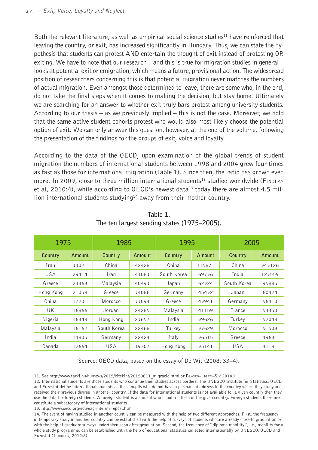Both the relevant literature, as well as empirical social science studies<sup>11</sup> have reinforced that leaving the country, or exit, has increased significantly in Hungary. Thus, we can state the hypothesis that students can protest AND entertain the thought of exit instead of protesting OR exiting. We have to note that our research – and this is true for migration studies in general – looks at potential exit or emigration, which means a future, provisional action. The widespread position of researchers concerning this is that potential migration never matches the numbers of actual migration. Even amongst those determined to leave, there are some who, in the end, do not take the final steps when it comes to making the decision, but stay home. Ultimately we are searching for an answer to whether exit truly bars protest among university students. According to our thesis  $-$  as we previously implied  $-$  this is not the case. Moreover, we hold that the same active student cohorts protest who would also most likely choose the potential option of exit. We can only answer this question, however, at the end of the volume, following the presentation of the findings for the groups of exit, voice and loyalty.

According to the data of the OECD, upon examination of the global trends of student migration the numbers of international students between 1998 and 2004 grew four times as fast as those for international migration (Table 1). Since then, the ratio has grown even more. In 2009, close to three million international students<sup>12</sup> studied worldwide (FINDLAY et al, 2010:4), while according to  $0ECD$ 's newest data<sup>13</sup> today there are almost 4.5 million international students studying<sup>14</sup> away from their mother country.

| 1975       |        | 1985        |        | 1995        |        | 2005        |        |
|------------|--------|-------------|--------|-------------|--------|-------------|--------|
| Country    | Amount | Country     | Amount | Country     | Amount | Country     | Amount |
| Iran       | 33021  | China       | 42428  | China       | 115871 | China       | 343126 |
| <b>USA</b> | 29414  | Iran        | 41083  | South Korea | 69736  | India       | 123559 |
| Greece     | 23363  | Malaysia    | 40493  | Japan       | 62324  | South Korea | 95885  |
| Hong Kong  | 21059  | Greece      | 34086  | Germany     | 45432  | Japan       | 60424  |
| China      | 17201  | Morocco     | 33094  | Greece      | 43941  | Germany     | 56410  |
| UK         | 16866  | Jordan      | 24285  | Malaysia    | 41159  | France      | 53350  |
| Nigeria    | 16348  | Hong Kong   | 23657  | India       | 39626  | Turkev      | 52048  |
| Malaysia   | 16162  | South Korea | 22468  | Turkey      | 37629  | Morocco     | 51503  |
| India      | 14805  | Germany     | 22424  | Italy       | 36515  | Greece      | 49631  |
| Canada     | 12664  | USA         | 19707  | Hong Kong   | 35141  | <b>USA</b>  | 41181  |

**Table 1. The ten largest sending states (1975–2005).**

Source: OECD data, based on the essay of De Wit (2008: 33–4).

<sup>11.</sup> See http://www.tarki.hu/hu/news/2015/kitekint/20150811\_migracio.html or Blaskó–Ligeti–Sik 2014.)

<sup>12.</sup> International students are those students who continue their studies across borders. The UNESCO Institute for Statistics, OECD and Eurostat define international students as those pupils who do not have a permanent address in the country where they study and received their previous degree in another country. If the data for international students is not available for a given country then they use the data for foreign students. A foreign student is a student who is not a citizen of the given country. Foreign students therefore constitute a subcategory of international students.

<sup>13.</sup> http://www.oecd.org/edu/eag-interim-report.htm.

<sup>14.</sup> The event of having studied in another country can be measured with the help of two different approaches. First, the frequency of temporary study in another country can be established with the help of surveys of students who are already close to graduation or with the help of graduate surveys undertaken soon after graduation. Second, the frequency of "diploma mobility", i.e., mobility for a whole study programme, can be established with the help of educational statistics collected internationally by UNESCO, OECD and Eurostat (Teichler, 2012:8).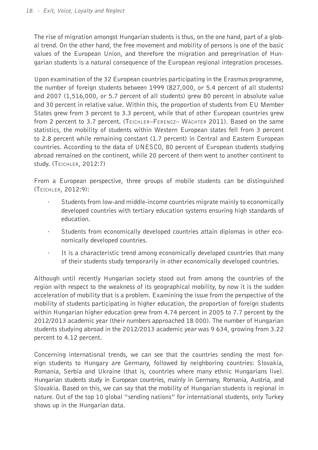The rise of migration amongst Hungarian students is thus, on the one hand, part of a global trend. On the other hand, the free movement and mobility of persons is one of the basic values of the European Union, and therefore the migration and peregrination of Hungarian students is a natural consequence of the European regional integration processes.

Upon examination of the 32 European countries participating in the Erasmus programme, the number of foreign students between 1999 (827,000, or 5.4 percent of all students) and 2007 (1,516,000, or 5.7 percent of all students) grew 80 percent in absolute value and 30 percent in relative value. Within this, the proportion of students from EU Member States grew from 3 percent to 3.3 percent, while that of other European countries grew from 2 percent to 3.7 percent. (Teichler–Ferencz– Wächter 2011). Based on the same statistics, the mobility of students within Western European states fell from 3 percent to 2.8 percent while remaining constant (1.7 percent) in Central and Eastern European countries. According to the data of UNESCO, 80 percent of European students studying abroad remained on the continent, while 20 percent of them went to another continent to study. (Teichler, 2012:7)

From a European perspective, three groups of mobile students can be distinguished (Teichler, 2012:9):

- · Students from low-and middle-income countries migrate mainly to economically developed countries with tertiary education systems ensuring high standards of education.
- · Students from economically developed countries attain diplomas in other economically developed countries.
- · It is a characteristic trend among economically developed countries that many of their students study temporarily in other economically developed countries.

Although until recently Hungarian society stood out from among the countries of the region with respect to the weakness of its geographical mobility, by now it is the sudden acceleration of mobility that is a problem. Examining the issue from the perspective of the mobility of students participating in higher education, the proportion of foreign students within Hungarian higher education grew from 4.74 percent in 2005 to 7.7 percent by the 2012/2013 academic year (their numbers approached 18 000). The number of Hungarian students studying abroad in the 2012/2013 academic year was 9 634, growing from 3.22 percent to 4.12 percent.

Concerning international trends, we can see that the countries sending the most foreign students to Hungary are Germany, followed by neighboring countries: Slovakia, Romania, Serbia and Ukraine (that is, countries where many ethnic Hungarians live). Hungarian students study in European countries, mainly in Germany, Romania, Austria, and Slovakia. Based on this, we can say that the mobility of Hungarian students is regional in nature. Out of the top 10 global "sending nations" for international students, only Turkey shows up in the Hungarian data.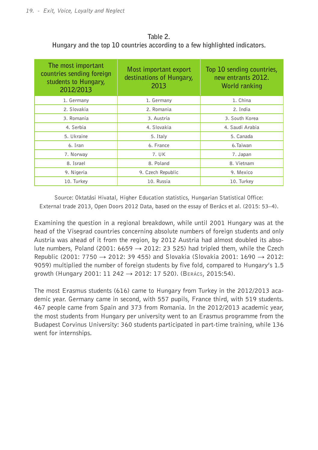| The most important<br>countries sending foreign<br>students to Hungary,<br>2012/2013 | Most important export<br>destinations of Hungary,<br>2013 | Top 10 sending countries,<br>new entrants 2012.<br>World ranking |
|--------------------------------------------------------------------------------------|-----------------------------------------------------------|------------------------------------------------------------------|
| 1. Germany                                                                           | 1. Germany                                                | 1. China                                                         |
| 2. Slovakia                                                                          | 2. Romania                                                | 2. India                                                         |
| 3. Romania                                                                           | 3. Austria                                                | 3. South Korea                                                   |
| 4. Serbia                                                                            | 4. Slovakia                                               | 4. Saudi Arabia                                                  |
| 5. Ukraine                                                                           | 5. Italy                                                  | 5. Canada                                                        |
| 6. Iran                                                                              | 6. France                                                 | 6.Taiwan                                                         |
| 7. Norway                                                                            | 7. UK                                                     | 7. Japan                                                         |
| 8. Israel                                                                            | 8. Poland                                                 | 8. Vietnam                                                       |
| 9. Nigeria                                                                           | 9. Czech Republic                                         | 9. Mexico                                                        |
| 10. Turkey                                                                           | 10. Russia                                                | 10. Turkey                                                       |

**Table 2. Hungary and the top 10 countries according to a few highlighted indicators.**

Source: Oktatási Hivatal, Higher Education statistics, Hungarian Statistical Office: External trade 2013, Open Doors 2012 Data, based on the essay of Berács et al. (2015: 53–4).

Examining the question in a regional breakdown, while until 2001 Hungary was at the head of the Visegrad countries concerning absolute numbers of foreign students and only Austria was ahead of it from the region, by 2012 Austria had almost doubled its absolute numbers, Poland (2001: 6659  $\rightarrow$  2012: 23 525) had tripled them, while the Czech Republic (2001: 7750 → 2012: 39 455) and Slovakia (Slovakia 2001: 1690 → 2012: 9059) multiplied the number of foreign students by five fold, compared to Hungary's 1.5 growth (Hungary 2001: 11 242 → 2012: 17 520). (Berács, 2015:54).

The most Erasmus students (616) came to Hungary from Turkey in the 2012/2013 academic year. Germany came in second, with 557 pupils, France third, with 519 students. 467 people came from Spain and 373 from Romania. In the 2012/2013 academic year, the most students from Hungary per university went to an Erasmus programme from the Budapest Corvinus University: 360 students participated in part-time training, while 136 went for internships.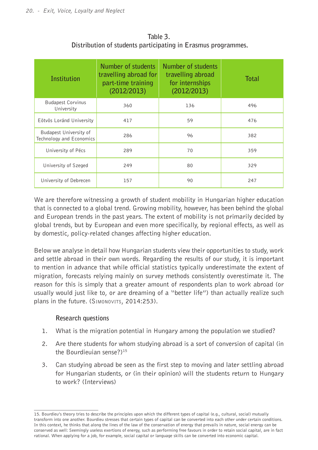| Institution                                        | Number of students<br>travelling abroad for<br>part-time training<br>(2012/2013) | Number of students<br>travelling abroad<br>for internships<br>(2012/2013) | Total |
|----------------------------------------------------|----------------------------------------------------------------------------------|---------------------------------------------------------------------------|-------|
| <b>Budapest Corvinus</b><br>University             | 360                                                                              | 136                                                                       | 496   |
| Eötvös Loránd University                           | 417                                                                              | 59                                                                        | 476   |
| Budapest University of<br>Technology and Economics | 286                                                                              | 96                                                                        | 382   |
| University of Pécs                                 | 289                                                                              | 70                                                                        | 359   |
| University of Szeged                               | 249                                                                              | 80                                                                        | 329   |
| University of Debrecen                             | 157                                                                              | 90                                                                        | 247   |

**Table 3. Distribution of students participating in Erasmus programmes.**

We are therefore witnessing a growth of student mobility in Hungarian higher education that is connected to a global trend. Growing mobility, however, has been behind the global and European trends in the past years. The extent of mobility is not primarily decided by global trends, but by European and even more specifically, by regional effects, as well as by domestic, policy-related changes affecting higher education.

Below we analyse in detail how Hungarian students view their opportunities to study, work and settle abroad in their own words. Regarding the results of our study, it is important to mention in advance that while official statistics typically underestimate the extent of migration, forecasts relying mainly on survey methods consistently overestimate it. The reason for this is simply that a greater amount of respondents plan to work abroad (or usually would just like to, or are dreaming of a "better life") than actually realize such plans in the future. (SIMONOVITS, 2014:253).

#### **Research questions**

- 1. What is the migration potential in Hungary among the population we studied?
- 2. Are there students for whom studying abroad is a sort of conversion of capital (in the Bourdieuian sense?)<sup>15</sup>
- 3. Can studying abroad be seen as the first step to moving and later settling abroad for Hungarian students, or (in their opinion) will the students return to Hungary to work? (Interviews)

<sup>15.</sup> Bourdieu's theory tries to describe the principles upon which the different types of capital (e.g., cultural, social) mutually transform into one another. Bourdieu stresses that certain types of capital can be converted into each other under certain conditions. In this context, he thinks that along the lines of the law of the conservation of energy that prevails in nature, social energy can be conserved as well: Seemingly useless exertions of energy, such as performing free favours in order to retain social capital, are in fact rational. When applying for a job, for example, social capital or language skills can be converted into economic capital.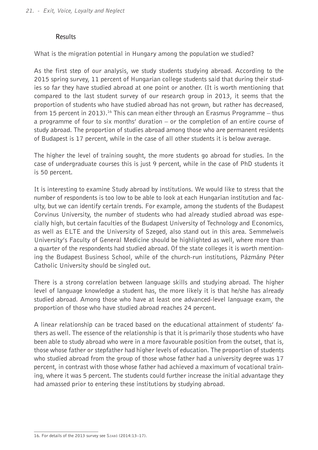#### **Results**

What is the migration potential in Hungary among the population we studied?

As the first step of our analysis, we study students studying abroad. According to the 2015 spring survey, 11 percent of Hungarian college students said that during their studies so far they have studied abroad at one point or another. (It is worth mentioning that compared to the last student survey of our research group in 2013, it seems that the proportion of students who have studied abroad has not grown, but rather has decreased, from 15 percent in 2013).<sup>16</sup> This can mean either through an Erasmus Programme – thus a programme of four to six months' duration – or the completion of an entire course of study abroad. The proportion of studies abroad among those who are permanent residents of Budapest is 17 percent, while in the case of all other students it is below average.

The higher the level of training sought, the more students go abroad for studies. In the case of undergraduate courses this is just 9 percent, while in the case of PhD students it is 50 percent.

It is interesting to examine Study abroad by institutions. We would like to stress that the number of respondents is too low to be able to look at each Hungarian institution and faculty, but we can identify certain trends. For example, among the students of the Budapest Corvinus University, the number of students who had already studied abroad was especially high, but certain faculties of the Budapest University of Technology and Economics, as well as ELTE and the University of Szeged, also stand out in this area. Semmelweis University's Faculty of General Medicine should be highlighted as well, where more than a quarter of the respondents had studied abroad. Of the state colleges it is worth mentioning the Budapest Business School, while of the church-run institutions, Pázmány Péter Catholic University should be singled out.

There is a strong correlation between language skills and studying abroad. The higher level of language knowledge a student has, the more likely it is that he/she has already studied abroad. Among those who have at least one advanced-level language exam, the proportion of those who have studied abroad reaches 24 percent.

A linear relationship can be traced based on the educational attainment of students' fathers as well. The essence of the relationship is that it is primarily those students who have been able to study abroad who were in a more favourable position from the outset, that is, those whose father or stepfather had higher levels of education. The proportion of students who studied abroad from the group of those whose father had a university degree was 17 percent, in contrast with those whose father had achieved a maximum of vocational training, where it was 5 percent. The students could further increase the initial advantage they had amassed prior to entering these institutions by studying abroad.

<sup>16.</sup> For details of the 2013 survey see Szabó (2014:13–17).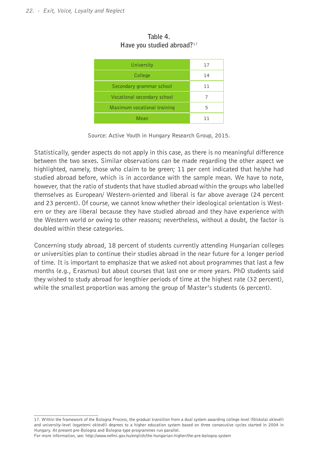| University                  | 17  |
|-----------------------------|-----|
| College                     | 14  |
| Secondary grammar school    | ד ד |
| Vocational secondary school |     |
| Maximum vocational training | 5   |
| Mean                        | ו ו |

**Table 4. Have you studied abroad?**<sup>17</sup>

Source: Active Youth in Hungary Research Group, 2015.

Statistically, gender aspects do not apply in this case, as there is no meaningful difference between the two sexes. Similar observations can be made regarding the other aspect we highlighted, namely, those who claim to be green; 11 per cent indicated that he/she had studied abroad before, which is in accordance with the sample mean. We have to note, however, that the ratio of students that have studied abroad within the groups who labelled themselves as European/ Western-oriented and liberal is far above average (24 percent and 23 percent). Of course, we cannot know whether their ideological orientation is Western or they are liberal because they have studied abroad and they have experience with the Western world or owing to other reasons; nevertheless, without a doubt, the factor is doubled within these categories.

Concerning study abroad, 18 percent of students currently attending Hungarian colleges or universities plan to continue their studies abroad in the near future for a longer period of time. It is important to emphasize that we asked not about programmes that last a few months (e.g., Erasmus) but about courses that last one or more years. PhD students said they wished to study abroad for lengthier periods of time at the highest rate (32 percent), while the smallest proportion was among the group of Master's students (6 percent).

<sup>17.</sup> Within the framework of the Bologna Process, the gradual transition from a dual system awarding college-level (föiskolai oklevél) and university-level (egyetemi oklevél) degrees to a higher education system based on three consecutive cycles started in 2004 in Hungary. At present pre-Bologna and Bologna-type programmes run parallel.

For more information, see: http://www.nefmi.gov.hu/english/the-hungarian-higher/the-pre-bologna-system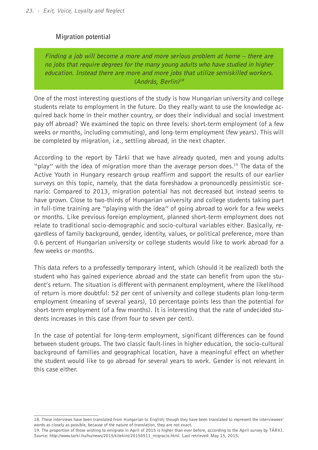#### **Migration potential**

Finding a job will become a more and more serious problem at home – there are no jobs that require degrees for the many young adults who have studied in higher education. Instead there are more and more jobs that utilize semiskilled workers. (András, Berlin)<sup>18</sup>

One of the most interesting questions of the study is how Hungarian university and college students relate to employment in the future. Do they really want to use the knowledge acquired back home in their mother country, or does their individual and social investment pay off abroad? We examined the topic on three levels: short-term employment (of a few weeks or months, including commuting), and long-term employment (few years). This will be completed by migration, i.e., settling abroad, in the next chapter.

According to the report by Tárki that we have already quoted, men and young adults "play" with the idea of migration more than the average person does.<sup>19</sup> The data of the Active Youth in Hungary research group reaffirm and support the results of our earlier surveys on this topic, namely, that the data foreshadow a pronouncedly pessimistic scenario: Compared to 2013, migration potential has not decreased but instead seems to have grown. Close to two-thirds of Hungarian university and college students taking part in full-time training are "playing with the idea" of going abroad to work for a few weeks or months. Like previous foreign employment, planned short-term employment does not relate to traditional socio-demographic and socio-cultural variables either. Basically, regardless of family background, gender, identity, values, or political preference, more than 0.6 percent of Hungarian university or college students would like to work abroad for a few weeks or months.

This data refers to a professedly temporary intent, which (should it be realized) both the student who has gained experience abroad and the state can benefit from upon the student's return. The situation is different with permanent employment, where the likelihood of return is more doubtful: 52 per cent of university and college students plan long-term employment (meaning of several years), 10 percentage points less than the potential for short-term employment (of a few months). It is interesting that the rate of undecided students increases in this case (from four to seven per cent).

In the case of potential for long-term employment, significant differences can be found between student groups. The two classic fault-lines in higher education, the socio-cultural background of families and geographical location, have a meaningful effect on whether the student would like to go abroad for several years to work. Gender is not relevant in this case either.

<sup>18.</sup> These interviews have been translated from Hungarian to English; though they have been translated to represent the interviewees' words as closely as possible, because of the nature of translation, they are not exact.

<sup>19.</sup> The proportion of those wishing to emigrate in April of 2015 is higher than ever before, according to the April survey by TÁRKI. Source: http://www.tarki.hu/hu/news/2015/kitekint/20150511\_migracio.html. Last retrieved: May 15, 2015.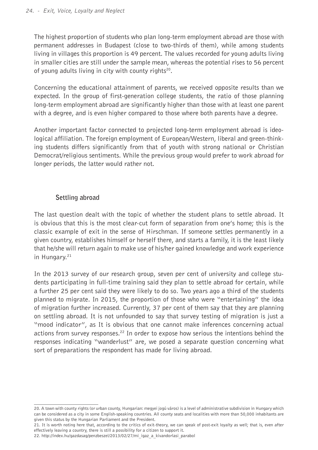The highest proportion of students who plan long-term employment abroad are those with permanent addresses in Budapest (close to two-thirds of them), while among students living in villages this proportion is 49 percent. The values recorded for young adults living in smaller cities are still under the sample mean, whereas the potential rises to 56 percent of young adults living in city with county rights<sup>20</sup>.

Concerning the educational attainment of parents, we received opposite results than we expected. In the group of first-generation college students, the ratio of those planning long-term employment abroad are significantly higher than those with at least one parent with a degree, and is even higher compared to those where both parents have a degree.

Another important factor connected to projected long-term employment abroad is ideological affiliation. The foreign employment of European/Western, liberal and green-thinking students differs significantly from that of youth with strong national or Christian Democrat/religious sentiments. While the previous group would prefer to work abroad for longer periods, the latter would rather not.

#### **Settling abroad**

The last question dealt with the topic of whether the student plans to settle abroad. It is obvious that this is the most clear-cut form of separation from one's home; this is the classic example of exit in the sense of Hirschman. If someone settles permanently in a given country, establishes himself or herself there, and starts a family, it is the least likely that he/she will return again to make use of his/her gained knowledge and work experience in Hungary.21

In the 2013 survey of our research group, seven per cent of university and college students participating in full-time training said they plan to settle abroad for certain, while a further 25 per cent said they were likely to do so. Two years ago a third of the students planned to migrate. In 2015, the proportion of those who were "entertaining" the idea of migration further increased. Currently, 37 per cent of them say that they are planning on settling abroad. It is not unfounded to say that survey testing of migration is just a "mood indicator", as It is obvious that one cannot make inferences concerning actual actions from survey responses.22 In order to expose how serious the intentions behind the responses indicating "wanderlust" are, we posed a separate question concerning what sort of preparations the respondent has made for living abroad.

<sup>20.</sup> A town with county rights (or urban county, Hungarian: megyei jogú város) is a level of administrative subdivision in Hungary which can be considered as a city in some English-speaking countries. All county seats and localities with more than 50,000 inhabitants are given this status by the Hungarian Parliament and the President.

<sup>21.</sup> It is worth noting here that, according to the critics of exit-theory, we can speak of post-exit loyalty as well; that is, even after effectively leaving a country, there is still a possibility for a citizen to support it.

<sup>22.</sup> http://index.hu/gazdasag/penzbeszel/2013/02/27/mi\_igaz\_a\_kivandorlasi\_parabol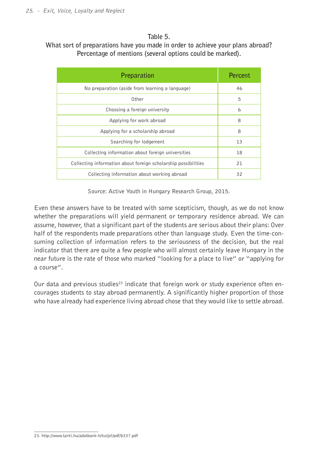#### **Table 5.**

#### **What sort of preparations have you made in order to achieve your plans abroad? Percentage of mentions (several options could be marked).**

| Preparation                                                    | Percent |
|----------------------------------------------------------------|---------|
| No preparation (aside from learning a language)                | 46      |
| Other                                                          | 5       |
| Choosing a foreign university                                  | 6       |
| Applying for work abroad                                       | 8       |
| Applying for a scholarship abroad                              | 8       |
| Searching for lodgement                                        | 13      |
| Collecting information about foreign universities              | 18      |
| Collecting information about foreign scholarship possibilities | 21      |
| Collecting information about working abroad                    | 32      |

Source: Active Youth in Hungary Research Group, 2015.

Even these answers have to be treated with some scepticism, though, as we do not know whether the preparations will yield permanent or temporary residence abroad. We can assume, however, that a significant part of the students are serious about their plans: Over half of the respondents made preparations other than language study. Even the time-consuming collection of information refers to the seriousness of the decision, but the real indicator that there are quite a few people who will almost certainly leave Hungary in the near future is the rate of those who marked "looking for a place to live" or "applying for a course".

Our data and previous studies<sup>23</sup> indicate that foreign work or study experience often encourages students to stay abroad permanently. A significantly higher proportion of those who have already had experience living abroad chose that they would like to settle abroad.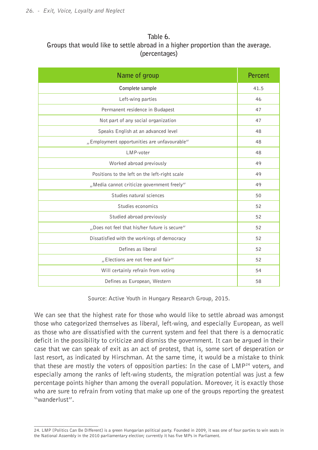#### **Table 6. Groups that would like to settle abroad in a higher proportion than the average. (percentages)**

| Name of group                                 | <b>Percent</b> |
|-----------------------------------------------|----------------|
| Complete sample                               | 41.5           |
| Left-wing parties                             | 46             |
| Permanent residence in Budapest               | 47             |
| Not part of any social organization           | 47             |
| Speaks English at an advanced level           | 48             |
| "Employment opportunities are unfavourable"   | 48             |
| LMP-voter                                     | 48             |
| Worked abroad previously                      | 49             |
| Positions to the left on the left-right scale | 49             |
| "Media cannot criticize government freely"    | 49             |
| Studies natural sciences                      | 50             |
| Studies economics                             | 52             |
| Studied abroad previously                     | 52             |
| "Does not feel that his/her future is secure" | 52             |
| Dissatisfied with the workings of democracy   | 52             |
| Defines as liberal                            | 52             |
| "Elections are not free and fair"             | 52             |
| Will certainly refrain from voting            | 54             |
| Defines as European, Western                  | 58             |

Source: Active Youth in Hungary Research Group, 2015.

We can see that the highest rate for those who would like to settle abroad was amongst those who categorized themselves as liberal, left-wing, and especially European, as well as those who are dissatisfied with the current system and feel that there is a democratic deficit in the possibility to criticize and dismiss the government. It can be argued in their case that we can speak of exit as an act of protest, that is, some sort of desperation or last resort, as indicated by Hirschman. At the same time, it would be a mistake to think that these are mostly the voters of opposition parties: In the case of  $LMP<sup>24</sup>$  voters, and especially among the ranks of left-wing students, the migration potential was just a few percentage points higher than among the overall population. Moreover, it is exactly those who are sure to refrain from voting that make up one of the groups reporting the greatest "wanderlust".

<sup>24.</sup> LMP [Politics Can Be Different] is a green Hungarian political party. Founded in 2009, it was one of four parties to win seats in the National Assembly in the 2010 parliamentary election; currently it has five MPs in Parliament.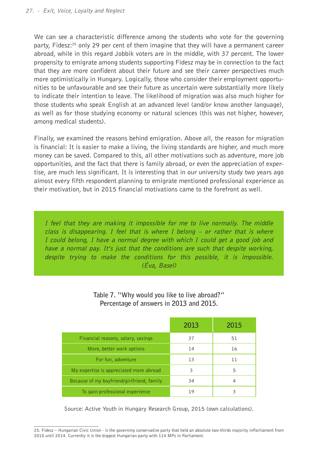We can see a characteristic difference among the students who vote for the governing party, Fidesz:<sup>25</sup> only 29 per cent of them imagine that they will have a permanent career abroad, while in this regard Jobbik voters are in the middle, with 37 percent. The lower propensity to emigrate among students supporting Fidesz may be in connection to the fact that they are more confident about their future and see their career perspectives much more optimistically in Hungary. Logically, those who consider their employment opportunities to be unfavourable and see their future as uncertain were substantially more likely to indicate their intention to leave. The likelihood of migration was also much higher for those students who speak English at an advanced level (and/or know another language), as well as for those studying economy or natural sciences (this was not higher, however, among medical students).

Finally, we examined the reasons behind emigration. Above all, the reason for migration is financial: It is easier to make a living, the living standards are higher, and much more money can be saved. Compared to this, all other motivations such as adventure, more job opportunities, and the fact that there is family abroad, or even the appreciation of expertise, are much less significant. It is interesting that in our university study two years ago almost every fifth respondent planning to emigrate mentioned professional experience as their motivation, but in 2015 financial motivations came to the forefront as well.

I feel that they are making it impossible for me to live normally. The middle class is disappearing. I feel that is where I belong  $-$  or rather that is where I could belong, I have a normal degree with which I could get a good job and have a normal pay. It's just that the conditions are such that despite working, despite trying to make the conditions for this possible, it is impossible. (Éva, Basel)

|                                            | 2013 | 2015 |
|--------------------------------------------|------|------|
| Financial reasons, salary, savings         | 37   | 51   |
| More, better work options                  | 14   | 16   |
| For fun, adventure                         | 13   | 11   |
| My expertise is appreciated more abroad    | 3    | 5    |
| Because of my boyfriend/girlfriend, family | 34   | 4    |
| To gain professional experience            | 19   | 3    |

#### **Table 7. "Why would you like to live abroad?" Percentage of answers in 2013 and 2015.**

Source: Active Youth in Hungary Research Group, 2015 (own calculations).

<sup>25.</sup> Fidesz – Hungarian Civic Union - is the governing conservative party that held an absolute two-thirds majority inParliament from 2010 until 2014. Currently it is the biggest Hungarian party with 114 MPs in Parliament.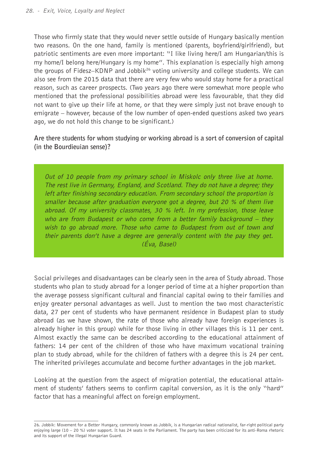Those who firmly state that they would never settle outside of Hungary basically mention two reasons. On the one hand, family is mentioned (parents, boyfriend/girlfriend), but patriotic sentiments are even more important: "I like living here/I am Hungarian/this is my home/I belong here/Hungary is my home". This explanation is especially high among the groups of Fidesz–KDNP and Jobbik<sup>26</sup> voting university and college students. We can also see from the 2015 data that there are very few who would stay home for a practical reason, such as career prospects. (Two years ago there were somewhat more people who mentioned that the professional possibilities abroad were less favourable, that they did not want to give up their life at home, or that they were simply just not brave enough to emigrate – however, because of the low number of open-ended questions asked two years ago, we do not hold this change to be significant.)

**Are there students for whom studying or working abroad is a sort of conversion of capital (in the Bourdieuian sense)?** 

Out of 10 people from my primary school in Miskolc only three live at home. The rest live in Germany, England, and Scotland. They do not have a degree; they left after finishing secondary education. From secondary school the proportion is smaller because after graduation everyone got a degree, but 20 % of them live abroad. Of my university classmates, 30 % left. In my profession, those leave who are from Budapest or who come from a better family background – they wish to go abroad more. Those who came to Budapest from out of town and their parents don't have a degree are generally content with the pay they get. (Éva, Basel)

Social privileges and disadvantages can be clearly seen in the area of Study abroad. Those students who plan to study abroad for a longer period of time at a higher proportion than the average possess significant cultural and financial capital owing to their families and enjoy greater personal advantages as well. Just to mention the two most characteristic data, 27 per cent of students who have permanent residence in Budapest plan to study abroad (as we have shown, the rate of those who already have foreign experiences is already higher in this group) while for those living in other villages this is 11 per cent. Almost exactly the same can be described according to the educational attainment of fathers: 14 per cent of the children of those who have maximum vocational training plan to study abroad, while for the children of fathers with a degree this is 24 per cent. The inherited privileges accumulate and become further advantages in the job market.

Looking at the question from the aspect of migration potential, the educational attainment of students' fathers seems to confirm capital conversion, as it is the only "hard" factor that has a meaningful affect on foreign employment.

<sup>26.</sup> Jobbik: Movement for a Better Hungary, commonly known as Jobbik, is a Hungarian radical nationalist, far-right political party enjoying large (10 – 20 %) voter support. It has 24 seats in the Parliament. The party has been criticized for its anti-Roma rhetoric and its support of the illegal Hungarian Guard.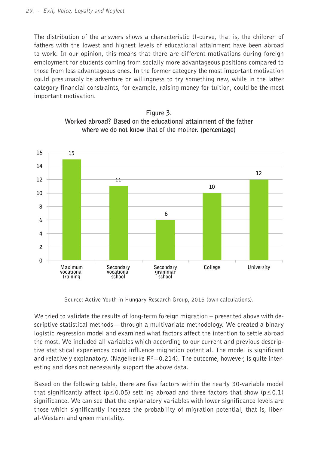The distribution of the answers shows a characteristic U-curve, that is, the children of fathers with the lowest and highest levels of educational attainment have been abroad to work. In our opinion, this means that there are different motivations during foreign employment for students coming from socially more advantageous positions compared to those from less advantageous ones. In the former category the most important motivation could presumably be adventure or willingness to try something new, while in the latter category financial constraints, for example, raising money for tuition, could be the most important motivation.





Source: Active Youth in Hungary Research Group, 2015 (own calculations).

We tried to validate the results of long-term foreign migration – presented above with descriptive statistical methods – through a multivariate methodology. We created a binary logistic regression model and examined what factors affect the intention to settle abroad the most. We included all variables which according to our current and previous descriptive statistical experiences could influence migration potential. The model is significant and relatively explanatory. (Nagelkerke  $R^2 = 0.214$ ). The outcome, however, is quite interesting and does not necessarily support the above data.

Based on the following table, there are five factors within the nearly 30-variable model that significantly affect ( $p \le 0.05$ ) settling abroad and three factors that show ( $p \le 0.1$ ) significance. We can see that the explanatory variables with lower significance levels are those which significantly increase the probability of migration potential, that is, liberal-Western and green mentality.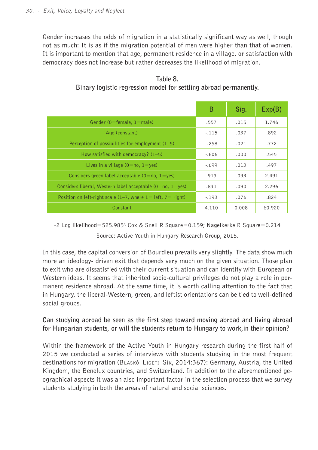Gender increases the odds of migration in a statistically significant way as well, though not as much: It is as if the migration potential of men were higher than that of women. It is important to mention that age, permanent residence in a village, or satisfaction with democracy does not increase but rather decreases the likelihood of migration.

|                                                                     | в       | Sig.  | Exp(B) |
|---------------------------------------------------------------------|---------|-------|--------|
| Gender (0=female, 1=male)                                           | .557    | .015  | 1.746  |
| Age (constant)                                                      | $-115$  | .037  | .892   |
| Perception of possibilities for employment (1-5)                    | $-.258$ | .021  | .772   |
| How satisfied with democracy? (1-5)                                 | $-.606$ | .000  | .545   |
| Lives in a village $(0=n_0, 1=\text{yes})$                          | $-.699$ | .013  | .497   |
| Considers green label acceptable $(0=no, 1=yes)$                    | .913    | .093  | 2.491  |
| Considers liberal, Western label acceptable $(0=n_0, 1=\text{yes})$ | .831    | .090  | 2.296  |
| Position on left-right scale $(1-7)$ , where $1=$ left, $7=$ right) | $-193$  | .076  | .824   |
| Constant                                                            | 4.110   | 0.008 | 60.920 |

**Table 8. Binary logistic regression model for settling abroad permanently.**

-2 Log likelihood=525.985<sup>a;</sup> Cox & Snell R Square=0.159; Nagelkerke R Square=0.214 Source: Active Youth in Hungary Research Group, 2015.

In this case, the capital conversion of Bourdieu prevails very slightly. The data show much more an ideology- driven exit that depends very much on the given situation. Those plan to exit who are dissatisfied with their current situation and can identify with European or Western ideas. It seems that inherited socio-cultural privileges do not play a role in permanent residence abroad. At the same time, it is worth calling attention to the fact that in Hungary, the liberal-Western, green, and leftist orientations can be tied to well-defined social groups.

**Can studying abroad be seen as the first step toward moving abroad and living abroad for Hungarian students, or will the students return to Hungary to work,in their opinion?**

Within the framework of the Active Youth in Hungary research during the first half of 2015 we conducted a series of interviews with students studying in the most frequent destinations for migration (Blaskó–Ligeti–Sík, 2014:367): Germany, Austria, the United Kingdom, the Benelux countries, and Switzerland. In addition to the aforementioned geographical aspects it was an also important factor in the selection process that we survey students studying in both the areas of natural and social sciences.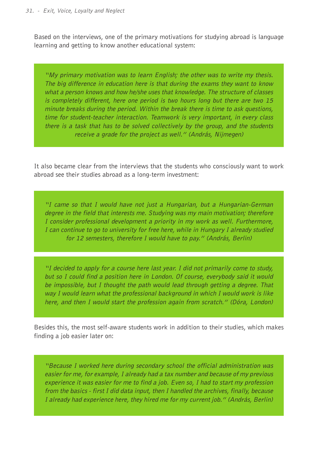Based on the interviews, one of the primary motivations for studying abroad is language learning and getting to know another educational system:

"My primary motivation was to learn English; the other was to write my thesis. The big difference in education here is that during the exams they want to know what a person knows and how he/she uses that knowledge. The structure of classes is completely different, here one period is two hours long but there are two 15 minute breaks during the period. Within the break there is time to ask questions, time for student-teacher interaction. Teamwork is very important, in every class there is a task that has to be solved collectively by the group, and the students receive a grade for the project as well." (András, Nijmegen)

It also became clear from the interviews that the students who consciously want to work abroad see their studies abroad as a long-term investment:

"I came so that I would have not just a Hungarian, but a Hungarian-German degree in the field that interests me. Studying was my main motivation; therefore I consider professional development a priority in my work as well. Furthermore, I can continue to go to university for free here, while in Hungary I already studied for 12 semesters, therefore I would have to pay." (András, Berlin)

"I decided to apply for a course here last year. I did not primarily come to study, but so I could find a position here in London. Of course, everybody said it would be impossible, but I thought the path would lead through getting a degree. That way I would learn what the professional background in which I would work is like here, and then I would start the profession again from scratch." (Dóra, London)

Besides this, the most self-aware students work in addition to their studies, which makes finding a job easier later on:

"Because I worked here during secondary school the official administration was easier for me, for example, I already had a tax number and because of my previous experience it was easier for me to find a job. Even so, I had to start my profession from the basics - first I did data input, then I handled the archives, finally, because I already had experience here, they hired me for my current job." (András, Berlin)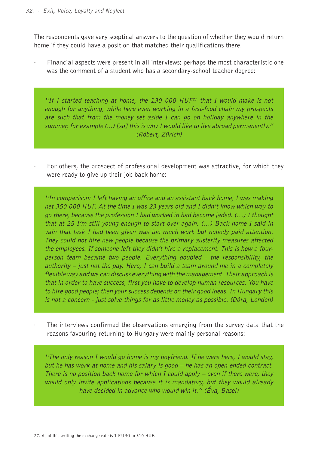The respondents gave very sceptical answers to the question of whether they would return home if they could have a position that matched their qualifications there.

Financial aspects were present in all interviews; perhaps the most characteristic one was the comment of a student who has a secondary-school teacher degree:

"If I started teaching at home, the 130 000  $HUF^{27}$  that I would make is not enough for anything, while here even working in a fast-food chain my prospects are such that from the money set aside I can go on holiday anywhere in the summer, for example (...) [so] this is why I would like to live abroad permanently." (Róbert, Zürich)

For others, the prospect of professional development was attractive, for which they were ready to give up their job back home:

"In comparison: I left having an office and an assistant back home, I was making net 350 000 HUF. At the time I was 23 years old and I didn't know which way to go there, because the profession I had worked in had become jaded.  $($ ...) I thought that at 25 I'm still young enough to start over again. (…) Back home I said in vain that task I had been given was too much work but nobody paid attention. They could not hire new people because the primary austerity measures affected the employees. If someone left they didn't hire a replacement. This is how a fourperson team became two people. Everything doubled - the responsibility, the authority – just not the pay. Here, I can build a team around me in a completely flexible way and we can discuss everything with the management. Their approach is that in order to have success, first you have to develop human resources. You have to hire good people; then your success depends on their good ideas. In Hungary this is not a concern - just solve things for as little money as possible. (Dóra, London)

The interviews confirmed the observations emerging from the survey data that the reasons favouring returning to Hungary were mainly personal reasons:

"The only reason I would go home is my boyfriend. If he were here, I would stay, but he has work at home and his salary is good – he has an open-ended contract. There is no position back home for which I could apply – even if there were, they would only invite applications because it is mandatory, but they would already have decided in advance who would win it." (Éva, Basel)

<sup>27.</sup> As of this writing the exchange rate is 1 EURO to 310 HUF.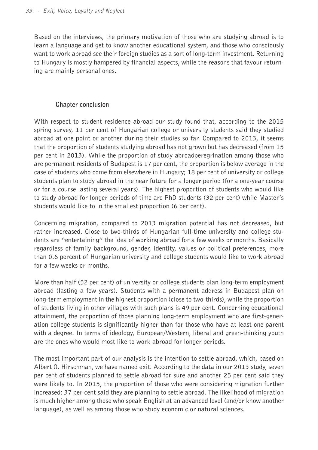Based on the interviews, the primary motivation of those who are studying abroad is to learn a language and get to know another educational system, and those who consciously want to work abroad see their foreign studies as a sort of long-term investment. Returning to Hungary is mostly hampered by financial aspects, while the reasons that favour returning are mainly personal ones.

#### **Chapter conclusion**

With respect to student residence abroad our study found that, according to the 2015 spring survey, 11 per cent of Hungarian college or university students said they studied abroad at one point or another during their studies so far. Compared to 2013, it seems that the proportion of students studying abroad has not grown but has decreased (from 15 per cent in 2013). While the proportion of study abroadperegrination among those who are permanent residents of Budapest is 17 per cent, the proportion is below average in the case of students who come from elsewhere in Hungary; 18 per cent of university or college students plan to study abroad in the near future for a longer period (for a one-year course or for a course lasting several years). The highest proportion of students who would like to study abroad for longer periods of time are PhD students (32 per cent) while Master's students would like to in the smallest proportion (6 per cent).

Concerning migration, compared to 2013 migration potential has not decreased, but rather increased. Close to two-thirds of Hungarian full-time university and college students are "entertaining" the idea of working abroad for a few weeks or months. Basically regardless of family background, gender, identity, values or political preferences, more than 0.6 percent of Hungarian university and college students would like to work abroad for a few weeks or months.

More than half (52 per cent) of university or college students plan long-term employment abroad (lasting a few years). Students with a permanent address in Budapest plan on long-term employment in the highest proportion (close to two-thirds), while the proportion of students living in other villages with such plans is 49 per cent. Concerning educational attainment, the proportion of those planning long-term employment who are first-generation college students is significantly higher than for those who have at least one parent with a degree. In terms of ideology, European/Western, liberal and green-thinking youth are the ones who would most like to work abroad for longer periods.

The most important part of our analysis is the intention to settle abroad, which, based on Albert O. Hirschman, we have named exit. According to the data in our 2013 study, seven per cent of students planned to settle abroad for sure and another 25 per cent said they were likely to. In 2015, the proportion of those who were considering migration further increased: 37 per cent said they are planning to settle abroad. The likelihood of migration is much higher among those who speak English at an advanced level (and/or know another language), as well as among those who study economic or natural sciences.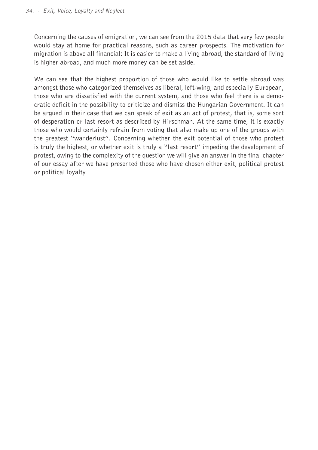Concerning the causes of emigration, we can see from the 2015 data that very few people would stay at home for practical reasons, such as career prospects. The motivation for migration is above all financial: It is easier to make a living abroad, the standard of living is higher abroad, and much more money can be set aside.

We can see that the highest proportion of those who would like to settle abroad was amongst those who categorized themselves as liberal, left-wing, and especially European, those who are dissatisfied with the current system, and those who feel there is a democratic deficit in the possibility to criticize and dismiss the Hungarian Government. It can be argued in their case that we can speak of exit as an act of protest, that is, some sort of desperation or last resort as described by Hirschman. At the same time, it is exactly those who would certainly refrain from voting that also make up one of the groups with the greatest "wanderlust". Concerning whether the exit potential of those who protest is truly the highest, or whether exit is truly a "last resort" impeding the development of protest, owing to the complexity of the question we will give an answer in the final chapter of our essay after we have presented those who have chosen either exit, political protest or political loyalty.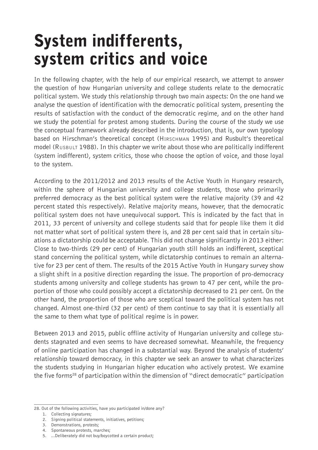### System indifferents, system critics and voice

In the following chapter, with the help of our empirical research, we attempt to answer the question of how Hungarian university and college students relate to the democratic political system. We study this relationship through two main aspects: On the one hand we analyse the question of identification with the democratic political system, presenting the results of satisfaction with the conduct of the democratic regime, and on the other hand we study the potential for protest among students. During the course of the study we use the conceptual framework already described in the introduction, that is, our own typology based on Hirschman's theoretical concept (Hirschman 1995) and Rusbult's theoretical model (Rusbult 1988). In this chapter we write about those who are politically indifferent (system indifferent), system critics, those who choose the option of voice, and those loyal to the system.

According to the 2011/2012 and 2013 results of the Active Youth in Hungary research, within the sphere of Hungarian university and college students, those who primarily preferred democracy as the best political system were the relative majority (39 and 42 percent stated this respectively). Relative majority means, however, that the democratic political system does not have unequivocal support. This is indicated by the fact that in 2011, 33 percent of university and college students said that for people like them it did not matter what sort of political system there is, and 28 per cent said that in certain situations a dictatorship could be acceptable. This did not change significantly in 2013 either: Close to two-thirds (29 per cent) of Hungarian youth still holds an indifferent, sceptical stand concerning the political system, while dictatorship continues to remain an alternative for 23 per cent of them. The results of the 2015 Active Youth in Hungary survey show a slight shift in a positive direction regarding the issue. The proportion of pro-democracy students among university and college students has grown to 47 per cent, while the proportion of those who could possibly accept a dictatorship decreased to 21 per cent. On the other hand, the proportion of those who are sceptical toward the political system has not changed. Almost one-third (32 per cent) of them continue to say that it is essentially all the same to them what type of political regime is in power.

Between 2013 and 2015, public offline activity of Hungarian university and college students stagnated and even seems to have decreased somewhat. Meanwhile, the frequency of online participation has changed in a substantial way. Beyond the analysis of students' relationship toward democracy, in this chapter we seek an answer to what characterizes the students studying in Hungarian higher education who actively protest. We examine the five forms28 of participation within the dimension of "direct democratic" participation

<sup>28.</sup> Out of the following activities, have you participated in/done any?

<sup>1.</sup> Collecting signatures;

<sup>2.</sup> Signing political statements, initiatives, petitions;

<sup>3.</sup> Demonstrations, protests;

<sup>4.</sup> Spontaneous protests, marches;

<sup>5.</sup> ...Deliberately did not buy/boycotted a certain product;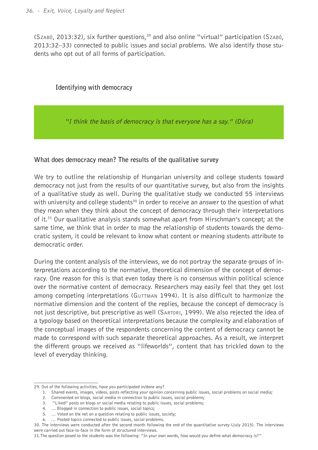(Szabó, 2013:32), six further questions,29 and also online "virtual" participation (Szabó, 2013:32–33) connected to public issues and social problems. We also identify those students who opt out of all forms of participation.

#### **Identifying with democracy**

"I think the basis of democracy is that everyone has a say." (Dóra)

#### **What does democracy mean? The results of the qualitative survey**

We try to outline the relationship of Hungarian university and college students toward democracy not just from the results of our quantitative survey, but also from the insights of a qualitative study as well. During the qualitative study we conducted 55 interviews with university and college students<sup>30</sup> in order to receive an answer to the question of what they mean when they think about the concept of democracy through their interpretations of it.<sup>31</sup> Our qualitative analysis stands somewhat apart from Hirschman's concept; at the same time, we think that in order to map the relationship of students towards the democratic system, it could be relevant to know what content or meaning students attribute to democratic order.

During the content analysis of the interviews, we do not portray the separate groups of interpretations according to the normative, theoretical dimension of the concept of democracy. One reason for this is that even today there is no consensus within political science over the normative content of democracy. Researchers may easily feel that they get lost among competing interpretations (GUTTMAN 1994). It is also difficult to harmonize the normative dimension and the content of the replies, because the concept of democracy is not just descriptive, but prescriptive as well (Sartori, 1999). We also rejected the idea of a typology based on theoretical interpretations because the complexity and elaboration of the conceptual images of the respondents concerning the content of democracy cannot be made to correspond with such separate theoretical approaches. As a result, we interpret the different groups we received as "lifeworlds", content that has trickled down to the level of everyday thinking.

<sup>29.</sup> Out of the following activities, have you participated in/done any?

<sup>1.</sup> Shared events, images, videos, posts reflecting your opinion concerning public issues, social problems on social media;

<sup>2.</sup> Commented on blogs, social media in connection to public issues, social problems;

<sup>3. &</sup>quot;Liked" posts on blogs or social media relating to public issues, social problems;

<sup>4.</sup> … Blogged in connection to public issues, social topics;

<sup>5.</sup> … Voted on the net on a question relating to public issues, society;

<sup>6.</sup> … Posted topics connected to public issues, social problems.

<sup>30.</sup> The interviews were conducted after the second month following the end of the quantitative survey (July 2015). The interviews were carried out face-to-face in the form of structured interviews.

<sup>31.</sup>The question posed to the students was the following: "In your own words, how would you define what democracy is?"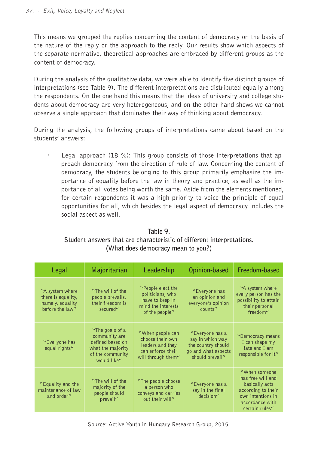This means we grouped the replies concerning the content of democracy on the basis of the nature of the reply or the approach to the reply. Our results show which aspects of the separate normative, theoretical approaches are embraced by different groups as the content of democracy.

During the analysis of the qualitative data, we were able to identify five distinct groups of interpretations (see Table 9). The different interpretations are distributed equally among the respondents. On the one hand this means that the ideas of university and college students about democracy are very heterogeneous, and on the other hand shows we cannot observe a single approach that dominates their way of thinking about democracy.

During the analysis, the following groups of interpretations came about based on the students' answers:

Legal approach (18 %): This group consists of those interpretations that approach democracy from the direction of rule of law. Concerning the content of democracy, the students belonging to this group primarily emphasize the importance of equality before the law in theory and practice, as well as the importance of all votes being worth the same. Aside from the elements mentioned, for certain respondents it was a high priority to voice the principle of equal opportunities for all, which besides the legal aspect of democracy includes the social aspect as well.

| Legal                                                                        | Majoritarian                                                                                                 | Leadership                                                                                          | Opinion-based                                                                                       | Freedom-based                                                                                                                         |
|------------------------------------------------------------------------------|--------------------------------------------------------------------------------------------------------------|-----------------------------------------------------------------------------------------------------|-----------------------------------------------------------------------------------------------------|---------------------------------------------------------------------------------------------------------------------------------------|
| "A system where<br>there is equality,<br>namely, equality<br>before the law" | "The will of the<br>people prevails,<br>their freedom is<br>secured"                                         | "People elect the<br>politicians, who<br>have to keep in<br>mind the interests<br>of the people"    | "Everyone has<br>an opinion and<br>everyone's opinion<br>counts"                                    | "A system where<br>every person has the<br>possibility to attain<br>their personal<br>freedom"                                        |
| "Everyone has<br>equal rights"                                               | "The goals of a<br>community are<br>defined based on<br>what the majority<br>of the community<br>would like" | "When people can<br>choose their own<br>leaders and they<br>can enforce their<br>will through them" | "Everyone has a<br>say in which way<br>the country should<br>go and what aspects<br>should prevail" | "Democracy means<br>I can shape my<br>fate and I am<br>responsible for it"                                                            |
| "Equality and the<br>maintenance of law<br>and order"                        | "The will of the<br>majority of the<br>people should<br>prevail"                                             | "The people choose"<br>a person who<br>conveys and carries<br>out their will"                       | "Everyone has a<br>say in the final<br>decision"                                                    | "When someone"<br>has free will and<br>basically acts<br>according to their<br>own intentions in<br>accordance with<br>certain rules" |

**Table 9. Student answers that are characteristic of different interpretations. (What does democracy mean to you?)**

Source: Active Youth in Hungary Research Group, 2015.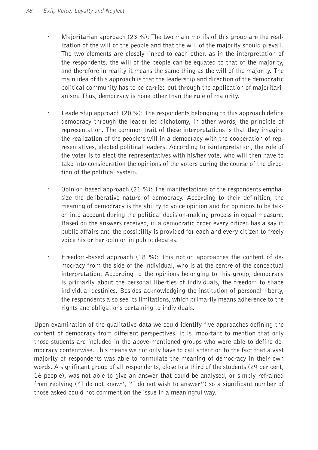- · Majoritarian approach (23 %): The two main motifs of this group are the realization of the will of the people and that the will of the majority should prevail. The two elements are closely linked to each other, as in the interpretation of the respondents, the will of the people can be equated to that of the majority, and therefore in reality it means the same thing as the will of the majority. The main idea of this approach is that the leadership and direction of the democratic political community has to be carried out through the application of majoritarianism. Thus, democracy is none other than the rule of majority.
- · Leadership approach (20 %): The respondents belonging to this approach define democracy through the leader-led dichotomy, in other words, the principle of representation. The common trait of these interpretations is that they imagine the realization of the people's will in a democracy with the cooperation of representatives, elected political leaders. According to isinterpretation, the role of the voter is to elect the representatives with his/her vote, who will then have to take into consideration the opinions of the voters during the course of the direction of the political system.
- · Opinion-based approach (21 %): The manifestations of the respondents emphasize the deliberative nature of democracy. According to their definition, the meaning of democracy is the ability to voice opinion and for opinions to be taken into account during the political decision-making process in equal measure. Based on the answers received, in a democratic order every citizen has a say in public affairs and the possibility is provided for each and every citizen to freely voice his or her opinion in public debates.
- · Freedom-based approach (18 %): This notion approaches the content of democracy from the side of the individual, who is at the centre of the conceptual interpretation. According to the opinions belonging to this group, democracy is primarily about the personal liberties of individuals, the freedom to shape individual destinies. Besides acknowledging the institution of personal liberty, the respondents also see its limitations, which primarily means adherence to the rights and obligations pertaining to individuals.

Upon examination of the qualitative data we could identify five approaches defining the content of democracy from different perspectives. It is important to mention that only those students are included in the above-mentioned groups who were able to define democracy contentwise. This means we not only have to call attention to the fact that a vast majority of respondents was able to formulate the meaning of democracy in their own words. A significant group of all respondents, close to a third of the students (29 per cent, 16 people), was not able to give an answer that could be analysed, or simply refrained from replying ("I do not know", "I do not wish to answer") so a significant number of those asked could not comment on the issue in a meaningful way.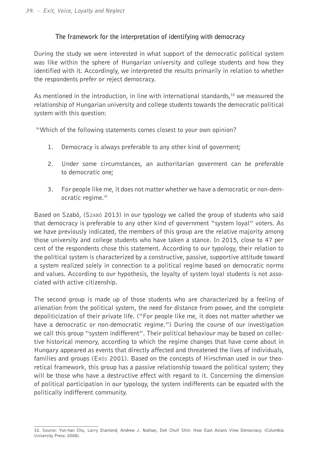## **The framework for the interpretation of identifying with democracy**

During the study we were interested in what support of the democratic political system was like within the sphere of Hungarian university and college students and how they identified with it. Accordingly, we interpreted the results primarily in relation to whether the respondents prefer or reject democracy.

As mentioned in the introduction, in line with international standards, $32$  we measured the relationship of Hungarian university and college students towards the democratic political system with this question:

"Which of the following statements comes closest to your own opinion?

- 1. Democracy is always preferable to any other kind of goverment;
- 2. Under some circumstances, an authoritarian goverment can be preferable to democratic one;
- 3. For people like me, it does not matter whether we have a democratic or non-democratic regime."

Based on Szabó, (Szabó 2013) in our typology we called the group of students who said that democracy is preferable to any other kind of government "system loyal" voters. As we have previously indicated, the members of this group are the relative majority among those university and college students who have taken a stance. In 2015, close to 47 per cent of the respondents chose this statement. According to our typology, their relation to the political system is characterized by a constructive, passive, supportive attitude toward a system realized solely in connection to a political regime based on democratic norms and values. According to our hypothesis, the loyalty of system loyal students is not associated with active citizenship.

The second group is made up of those students who are characterized by a feeling of alienation from the political system, the need for distance from power, and the complete depoliticization of their private life. ("For people like me, it does not matter whether we have a democratic or non-democratic regime.") During the course of our investigation we call this group "system indifferent". Their political behaviour may be based on collective historical memory, according to which the regime changes that have come about in Hungary appeared as events that directly affected and threatened the lives of individuals, families and groups (Erös 2001). Based on the concepts of Hirschman used in our theoretical framework, this group has a passive relationship toward the political system; they will be those who have a destructive effect with regard to it. Concerning the dimension of political participation in our typology, the system indifferents can be equated with the politically indifferent community.

<sup>32.</sup> Source: Yun-han Chu, Larry Diamond, Andrew J. Nathan, Doh Chull Shin: How East Asians View Democracy. (Columbia University Press: 2008).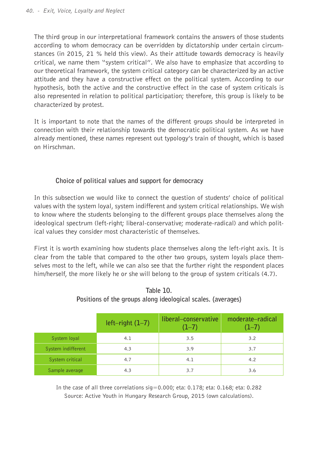The third group in our interpretational framework contains the answers of those students according to whom democracy can be overridden by dictatorship under certain circumstances (in 2015, 21 % held this view). As their attitude towards democracy is heavily critical, we name them "system critical". We also have to emphasize that according to our theoretical framework, the system critical category can be characterized by an active attitude and they have a constructive effect on the political system. According to our hypothesis, both the active and the constructive effect in the case of system criticals is also represented in relation to political participation; therefore, this group is likely to be characterized by protest.

It is important to note that the names of the different groups should be interpreted in connection with their relationship towards the democratic political system. As we have already mentioned, these names represent out typology's train of thought, which is based on Hirschman.

## **Choice of political values and support for democracy**

In this subsection we would like to connect the question of students' choice of political values with the system loyal, system indifferent and system critical relationships. We wish to know where the students belonging to the different groups place themselves along the ideological spectrum (left-right; liberal-conservative; moderate-radical) and which political values they consider most characteristic of themselves.

First it is worth examining how students place themselves along the left-right axis. It is clear from the table that compared to the other two groups, system loyals place themselves most to the left, while we can also see that the further right the respondent places him/herself, the more likely he or she will belong to the group of system criticals (4.7).

|                    | $left-right (1-7)$ | liberal-conservative<br>$(1-7)$ | moderate-radical<br>$(1-7)$ |
|--------------------|--------------------|---------------------------------|-----------------------------|
| System loyal       | 4.1                | 3.5                             | 3.2                         |
| System indifferent | 4.3                | 3.9                             | 3.7                         |
| System critical    | 4.7                | 4.1                             | 4.2                         |
| Sample average     | 4.3                | 3.7                             | 3.6                         |

## **Table 10. Positions of the groups along ideological scales. (averages)**

In the case of all three correlations  $sig=0.000$ ; eta: 0.178; eta: 0.168; eta: 0.282 Source: Active Youth in Hungary Research Group, 2015 (own calculations).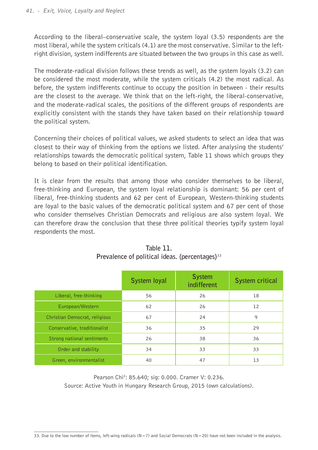According to the liberal–conservative scale, the system loyal (3.5) respondents are the most liberal, while the system criticals (4.1) are the most conservative. Similar to the leftright division, system indifferents are situated between the two groups in this case as well.

The moderate-radical division follows these trends as well, as the system loyals (3.2) can be considered the most moderate, while the system criticals (4.2) the most radical. As before, the system indifferents continue to occupy the position in between - their results are the closest to the average. We think that on the left-right, the liberal-conservative, and the moderate-radical scales, the positions of the different groups of respondents are explicitly consistent with the stands they have taken based on their relationship toward the political system.

Concerning their choices of political values, we asked students to select an idea that was closest to their way of thinking from the options we listed. After analysing the students' relationships towards the democratic political system, Table 11 shows which groups they belong to based on their political identification.

It is clear from the results that among those who consider themselves to be liberal, free-thinking and European, the system loyal relationship is dominant: 56 per cent of liberal, free-thinking students and 62 per cent of European, Western-thinking students are loyal to the basic values of the democratic political system and 67 per cent of those who consider themselves Christian Democrats and religious are also system loyal. We can therefore draw the conclusion that these three political theories typify system loyal respondents the most.

|                               | System loyal | <b>System</b><br>indifferent | System critical   |
|-------------------------------|--------------|------------------------------|-------------------|
| Liberal, free-thinking        | 56           | 26                           | 18                |
| European/Western              | 62           | 26                           | $12 \overline{ }$ |
| Christian Democrat, religious | 67           | 24                           | 9                 |
| Conservative, traditionalist  | 36           | 35                           | 29                |
| Strong national sentiments    | 26           | 38                           | 36                |
| Order and stability           | 34           | 33                           | 33                |
| Green, environmentalist       | 40           | 47                           | 13                |

| Table 11.                                                  |
|------------------------------------------------------------|
| Prevalence of political ideas. (percentages) <sup>33</sup> |

Pearson Chi<sup>2</sup>: 85.640; sig: 0.000. Cramer V: 0.236. Source: Active Youth in Hungary Research Group, 2015 (own calculations).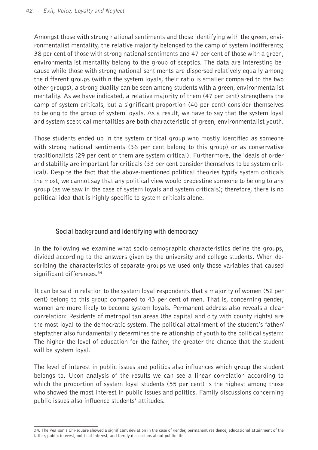Amongst those with strong national sentiments and those identifying with the green, environmentalist mentality, the relative majority belonged to the camp of system indifferents; 38 per cent of those with strong national sentiments and 47 per cent of those with a green, environmentalist mentality belong to the group of sceptics. The data are interesting because while those with strong national sentiments are dispersed relatively equally among the different groups (within the system loyals, their ratio is smaller compared to the two other groups), a strong duality can be seen among students with a green, environmentalist mentality. As we have indicated, a relative majority of them (47 per cent) strengthens the camp of system criticals, but a significant proportion (40 per cent) consider themselves to belong to the group of system loyals. As a result, we have to say that the system loyal and system sceptical mentalities are both characteristic of green, environmentalist youth.

Those students ended up in the system critical group who mostly identified as someone with strong national sentiments (36 per cent belong to this group) or as conservative traditionalists (29 per cent of them are system critical). Furthermore, the ideals of order and stability are important for criticals (33 per cent consider themselves to be system critical). Despite the fact that the above-mentioned political theories typify system criticals the most, we cannot say that any political view would predestine someone to belong to any group (as we saw in the case of system loyals and system criticals); therefore, there is no political idea that is highly specific to system criticals alone.

## **Social background and identifying with democracy**

In the following we examine what socio-demographic characteristics define the groups, divided according to the answers given by the university and college students. When describing the characteristics of separate groups we used only those variables that caused significant differences.<sup>34</sup>

It can be said in relation to the system loyal respondents that a majority of women (52 per cent) belong to this group compared to 43 per cent of men. That is, concerning gender, women are more likely to become system loyals. Permanent address also reveals a clear correlation: Residents of metropolitan areas (the capital and city with county rights) are the most loyal to the democratic system. The political attainment of the student's father/ stepfather also fundamentally determines the relationship of youth to the political system: The higher the level of education for the father, the greater the chance that the student will be system loyal.

The level of interest in public issues and politics also influences which group the student belongs to. Upon analysis of the results we can see a linear correlation according to which the proportion of system loyal students (55 per cent) is the highest among those who showed the most interest in public issues and politics. Family discussions concerning public issues also influence students' attitudes.

<sup>34.</sup> The Pearson's Chi-square showed a significant deviation in the case of gender, permanent residence, educational attainment of the father, public interest, political interest, and family discussions about public life.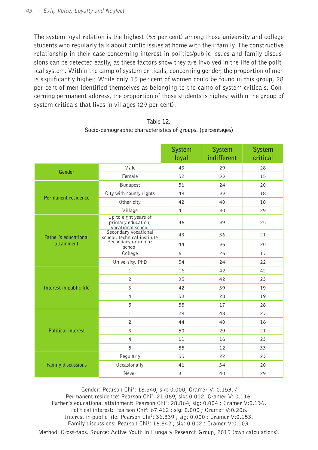The system loyal relation is the highest (55 per cent) among those university and college students who regularly talk about public issues at home with their family. The constructive relationship in their case concerning interest in politics/public issues and family discussions can be detected easily, as these factors show they are involved in the life of the political system. Within the camp of system criticals, concerning gender, the proportion of men is significantly higher. While only 15 per cent of women could be found in this group, 28 per cent of men identified themselves as belonging to the camp of system criticals. Concerning permanent address, the proportion of those students is highest within the group of system criticals that lives in villages (29 per cent).

|                           |                                                                 | <b>System</b><br>loyal | <b>System</b><br>indifferent | <b>System</b><br>critical |
|---------------------------|-----------------------------------------------------------------|------------------------|------------------------------|---------------------------|
| Gender                    | Male                                                            | 43                     | 29                           | 28                        |
|                           | Female                                                          | 52                     | 33                           | 15                        |
|                           | <b>Budapest</b>                                                 | 56                     | 24                           | 20                        |
| Permanent residence       | City with county rights                                         | 49                     | 33                           | 18                        |
|                           | Other city                                                      | 42                     | 40                           | 18                        |
|                           | Village                                                         | 41                     | 30                           | 29                        |
|                           | Up to eight years of<br>primary education,<br>vocational school | 36                     | 39                           | 25                        |
| Father's educational      |                                                                 | 43                     | 36                           | 21                        |
| attainment                | school, technical institute<br>Secondary grammar<br>school      | 44                     | 36                           | 20                        |
|                           | College                                                         | 61                     | 26                           | 13                        |
|                           | University, PhD                                                 | 54                     | 24                           | 22                        |
|                           | $\mathbf{1}$                                                    | 16                     | 42                           | 42                        |
|                           | $\overline{c}$                                                  | 35                     | 42                           | 23                        |
| Interest in public life   | 3                                                               | 42                     | 39                           | 19                        |
|                           | $\overline{4}$                                                  | 53                     | 28                           | 19                        |
|                           | 5                                                               | 55                     | 17                           | 28                        |
|                           | $\mathbf{1}$                                                    | 29                     | 48                           | 23                        |
|                           | $\overline{c}$                                                  | 44                     | 40                           | 16                        |
| <b>Political interest</b> | $\overline{\mathbf{3}}$                                         | 50                     | 29                           | 21                        |
|                           | $\overline{4}$                                                  | 61                     | 16                           | 23                        |
|                           | 5                                                               | 55                     | 12                           | 33                        |
|                           | Regularly                                                       | 55                     | 22                           | 23                        |
| <b>Family discussions</b> | Occasionally                                                    | 46                     | 34                           | 20                        |
|                           | Never                                                           | 31                     | 40                           | 29                        |

**Table 12. Socio-demographic characteristics of groups. (percentages)**

Gender: Pearson Chi<sup>2</sup>: 18.540; sig: 0.000; Cramer V: 0.153. / Permanent residence: Pearson Chi<sup>2</sup>: 21.069; sig: 0.002. Cramer V: 0.116. Father's educational attainment: Pearson Chi<sup>2</sup>: 28.864; sig: 0.004 ; Cramer V:0.136. Political interest: Pearson Chi<sup>2</sup>: 67.462 ; sig: 0.000 ; Cramer V:0.206. Interest in public life: Pearson Chi<sup>2</sup>: 36.839 ; sig: 0.000 ; Cramer V:0.153. Family discussions: Pearson Chi<sup>2</sup>: 16.842 ; sig: 0.002 ; Cramer V:0.103.

Method: Cross-tabs. Source: Active Youth in Hungary Research Group, 2015 (own calculations).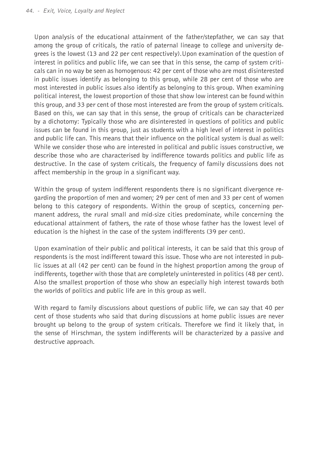Upon analysis of the educational attainment of the father/stepfather, we can say that among the group of criticals, the ratio of paternal lineage to college and university degrees is the lowest (13 and 22 per cent respectively).Upon examination of the question of interest in politics and public life, we can see that in this sense, the camp of system criticals can in no way be seen as homogenous: 42 per cent of those who are most disinterested in public issues identify as belonging to this group, while 28 per cent of those who are most interested in public issues also identify as belonging to this group. When examining political interest, the lowest proportion of those that show low interest can be found within this group, and 33 per cent of those most interested are from the group of system criticals. Based on this, we can say that in this sense, the group of criticals can be characterized by a dichotomy: Typically those who are disinterested in questions of politics and public issues can be found in this group, just as students with a high level of interest in politics and public life can. This means that their influence on the political system is dual as well: While we consider those who are interested in political and public issues constructive, we describe those who are characterised by indifference towards politics and public life as destructive. In the case of system criticals, the frequency of family discussions does not affect membership in the group in a significant way.

Within the group of system indifferent respondents there is no significant divergence regarding the proportion of men and women; 29 per cent of men and 33 per cent of women belong to this category of respondents. Within the group of sceptics, concerning permanent address, the rural small and mid-size cities predominate, while concerning the educational attainment of fathers, the rate of those whose father has the lowest level of education is the highest in the case of the system indifferents (39 per cent).

Upon examination of their public and political interests, it can be said that this group of respondents is the most indifferent toward this issue. Those who are not interested in public issues at all (42 per cent) can be found in the highest proportion among the group of indifferents, together with those that are completely uninterested in politics (48 per cent). Also the smallest proportion of those who show an especially high interest towards both the worlds of politics and public life are in this group as well.

With regard to family discussions about questions of public life, we can say that 40 per cent of those students who said that during discussions at home public issues are never brought up belong to the group of system criticals. Therefore we find it likely that, in the sense of Hirschman, the system indifferents will be characterized by a passive and destructive approach.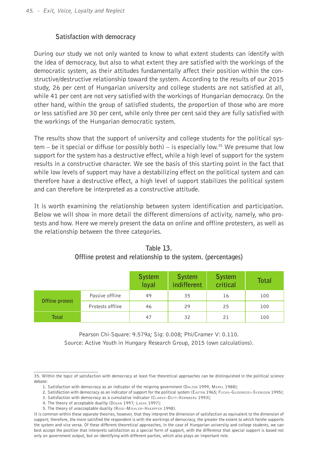## **Satisfaction with democracy**

During our study we not only wanted to know to what extent students can identify with the idea of democracy, but also to what extent they are satisfied with the workings of the democratic system, as their attitudes fundamentally affect their position within the constructive/destructive relationship toward the system. According to the results of our 2015 study, 26 per cent of Hungarian university and college students are not satisfied at all, while 41 per cent are not very satisfied with the workings of Hungarian democracy. On the other hand, within the group of satisfied students, the proportion of those who are more or less satisfied are 30 per cent, while only three per cent said they are fully satisfied with the workings of the Hungarian democratic system.

The results show that the support of university and college students for the political system – be it special or diffuse (or possibly both) – is especially low.<sup>35</sup> We presume that low support for the system has a destructive effect, while a high level of support for the system results in a constructive character. We see the basis of this starting point in the fact that while low levels of support may have a destabilizing effect on the political system and can therefore have a destructive effect, a high level of support stabilizes the political system and can therefore be interpreted as a constructive attitude.

It is worth examining the relationship between system identification and participation. Below we will show in more detail the different dimensions of activity, namely, who protests and how. Here we merely present the data on online and offline protesters, as well as the relationship between the three categories.

|                 |                  | <b>System</b><br>loyal | <b>System</b><br>indifferent | <b>System</b><br>critical | <b>Total</b> |
|-----------------|------------------|------------------------|------------------------------|---------------------------|--------------|
|                 | Passive offline  | 49                     | 35                           | 16                        | 100          |
| Offline protest | Protests offline | 46                     | 29                           | 25                        | 100          |
| Total           |                  | 47                     | 32                           | 21                        | 100          |

**Table 13. Offline protest and relationship to the system. (percentages)**

Pearson Chi-Square: 9.579a; Sig: 0.008; Phi/Cramer V: 0.110. Source: Active Youth in Hungary Research Group, 2015 (own calculations).

<sup>35.</sup> Within the topic of satisfaction with democracy at least five theoretical approaches can be distinguished in the political science debate:

<sup>1.</sup> Satisfaction with democracy as an indicator of the reigning government (DALTON 1999, MERKL 1988);

<sup>2.</sup> Satisfaction with democracy as an indicator of support for the political system (EASTON 1965; Fuchs–Guidorossi–Svensson 1995);

<sup>3.</sup> Satisfaction with democracy as a cumulative indicator (CLARKE–DUTT–KORNBERG 1993);

<sup>4.</sup> The theory of acceptable duality (Dogan 1997; Lagos 1997);

<sup>5.</sup> The theory of unacceptable duality (Rose–MishLER–HAERPFER 1998).

It is common within these separate theories, however, that they interpret the dimension of satisfaction as equivalent to the dimension of support; therefore, the more satisfied the respondent is with the workings of democracy, the greater the extent to which he/she supports the system and vice versa. Of these different theoretical approaches, in the case of Hungarian university and college students, we can best accept the position that interprets satisfaction as a special form of support, with the difference that special support is based not only on government output, but on identifying with different parties, which also plays an important role.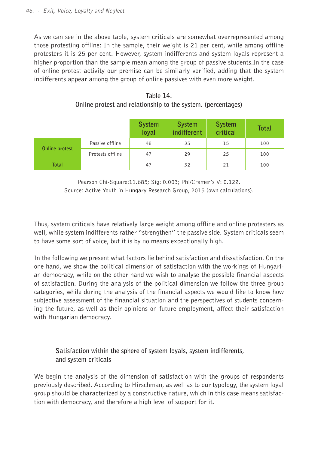As we can see in the above table, system criticals are somewhat overrepresented among those protesting offline: In the sample, their weight is 21 per cent, while among offline protesters it is 25 per cent. However, system indifferents and system loyals represent a higher proportion than the sample mean among the group of passive students.In the case of online protest activity our premise can be similarly verified, adding that the system indifferents appear among the group of online passives with even more weight.

|                |                  | <b>System</b><br>loval | <b>System</b><br>indifferent | <b>System</b><br>critical | <b>Total</b> |
|----------------|------------------|------------------------|------------------------------|---------------------------|--------------|
|                | Passive offline  | 48                     | 35                           | 15                        | 100          |
| Online protest | Protests offline | 47                     | 29                           | 25                        | 100          |

**Table 14. Online protest and relationship to the system. (percentages)**

Pearson Chi-Square:11.685; Sig: 0.003; Phi/Cramer's V: 0.122. Source: Active Youth in Hungary Research Group, 2015 (own calculations).

**Total** 100

Thus, system criticals have relatively large weight among offline and online protesters as well, while system indifferents rather "strengthen" the passive side. System criticals seem to have some sort of voice, but it is by no means exceptionally high.

In the following we present what factors lie behind satisfaction and dissatisfaction. On the one hand, we show the political dimension of satisfaction with the workings of Hungarian democracy, while on the other hand we wish to analyse the possible financial aspects of satisfaction. During the analysis of the political dimension we follow the three group categories, while during the analysis of the financial aspects we would like to know how subjective assessment of the financial situation and the perspectives of students concerning the future, as well as their opinions on future employment, affect their satisfaction with Hungarian democracy.

## **Satisfaction within the sphere of system loyals, system indifferents, and system criticals**

We begin the analysis of the dimension of satisfaction with the groups of respondents previously described. According to Hirschman, as well as to our typology, the system loyal group should be characterized by a constructive nature, which in this case means satisfaction with democracy, and therefore a high level of support for it.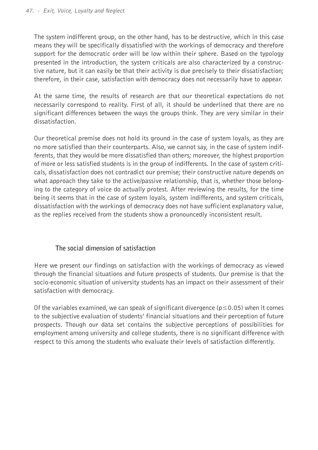The system indifferent group, on the other hand, has to be destructive, which in this case means they will be specifically dissatisfied with the workings of democracy and therefore support for the democratic order will be low within their sphere. Based on the typology presented in the introduction, the system criticals are also characterized by a constructive nature, but it can easily be that their activity is due precisely to their dissatisfaction; therefore, in their case, satisfaction with democracy does not necessarily have to appear.

At the same time, the results of research are that our theoretical expectations do not necessarily correspond to reality. First of all, it should be underlined that there are no significant differences between the ways the groups think. They are very similar in their dissatisfaction.

Our theoretical premise does not hold its ground in the case of system loyals, as they are no more satisfied than their counterparts. Also, we cannot say, in the case of system indifferents, that they would be more dissatisfied than others; moreover, the highest proportion of more or less satisfied students is in the group of indifferents. In the case of system criticals, dissatisfaction does not contradict our premise; their constructive nature depends on what approach they take to the active/passive relationship, that is, whether those belonging to the category of voice do actually protest. After reviewing the results, for the time being it seems that in the case of system loyals, system indifferents, and system criticals, dissatisfaction with the workings of democracy does not have sufficient explanatory value, as the replies received from the students show a pronouncedly inconsistent result.

## **The social dimension of satisfaction**

Here we present our findings on satisfaction with the workings of democracy as viewed through the financial situations and future prospects of students. Our premise is that the socio-economic situation of university students has an impact on their assessment of their satisfaction with democracy.

Of the variables examined, we can speak of significant divergence ( $p \le 0.05$ ) when it comes to the subjective evaluation of students' financial situations and their perception of future prospects. Though our data set contains the subjective perceptions of possibilities for employment among university and college students, there is no significant difference with respect to this among the students who evaluate their levels of satisfaction differently.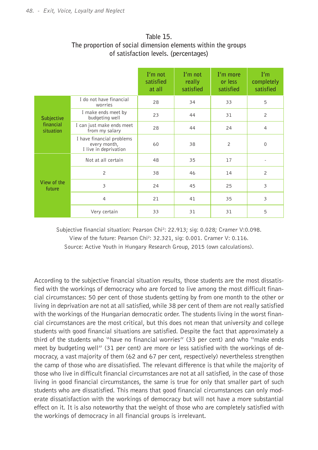|                        |                                                                    | $I'm$ not<br>satisfied<br>at all | $I'm$ not<br>really<br>satisfied | I'm more<br>or less<br>satisfied | I'm<br>completely<br>satisfied |
|------------------------|--------------------------------------------------------------------|----------------------------------|----------------------------------|----------------------------------|--------------------------------|
|                        | I do not have financial<br>worries                                 | 28                               | 34                               | 33                               | 5                              |
| <b>Subjective</b>      | I make ends meet by<br>budgeting well                              | 23                               | 44                               | 31                               | $\overline{c}$                 |
| financial<br>situation | I can just make ends meet<br>from my salary                        | 28                               | 44                               | 24                               | $\overline{4}$                 |
|                        | I have financial problems<br>every month,<br>I live in deprivation | 60                               | 38                               | $\overline{c}$                   | 0                              |
|                        | Not at all certain                                                 | 48                               | 35                               | 17                               |                                |
|                        | $\overline{c}$                                                     | 38                               | 46                               | 14                               | $\overline{c}$                 |
| View of the<br>future  | $\overline{\mathbf{3}}$                                            | 24                               | 45                               | 25                               | $\overline{\mathbf{3}}$        |
|                        | $\overline{4}$                                                     | 21                               | 41                               | 35                               | 3                              |
|                        | Very certain                                                       | 33                               | 31                               | 31                               | 5                              |

## **Table 15. The proportion of social dimension elements within the groups of satisfaction levels. (percentages)**

Subjective financial situation: Pearson Chi<sup>2</sup>: 22.913; sig: 0.028; Cramer V:0.098. View of the future: Pearson Chi<sup>2</sup>: 32.321, sig: 0.001. Cramer V: 0.116.

Source: Active Youth in Hungary Research Group, 2015 (own calculations).

According to the subjective financial situation results, those students are the most dissatisfied with the workings of democracy who are forced to live among the most difficult financial circumstances: 50 per cent of those students getting by from one month to the other or living in deprivation are not at all satisfied, while 38 per cent of them are not really satisfied with the workings of the Hungarian democratic order. The students living in the worst financial circumstances are the most critical, but this does not mean that university and college students with good financial situations are satisfied. Despite the fact that approximately a third of the students who "have no financial worries" (33 per cent) and who "make ends meet by budgeting well" (31 per cent) are more or less satisfied with the workings of democracy, a vast majority of them (62 and 67 per cent, respectively) nevertheless strengthen the camp of those who are dissatisfied. The relevant difference is that while the majority of those who live in difficult financial circumstances are not at all satisfied, in the case of those living in good financial circumstances, the same is true for only that smaller part of such students who are dissatisfied. This means that good financial circumstances can only moderate dissatisfaction with the workings of democracy but will not have a more substantial effect on it. It is also noteworthy that the weight of those who are completely satisfied with the workings of democracy in all financial groups is irrelevant.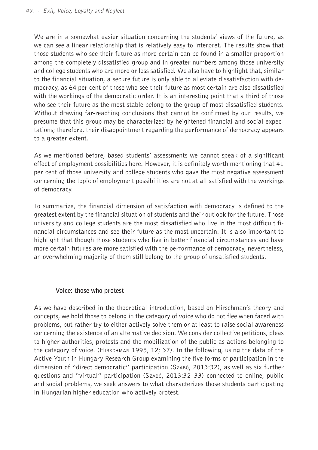We are in a somewhat easier situation concerning the students' views of the future, as we can see a linear relationship that is relatively easy to interpret. The results show that those students who see their future as more certain can be found in a smaller proportion among the completely dissatisfied group and in greater numbers among those university and college students who are more or less satisfied. We also have to highlight that, similar to the financial situation, a secure future is only able to alleviate dissatisfaction with democracy, as 64 per cent of those who see their future as most certain are also dissatisfied with the workings of the democratic order. It is an interesting point that a third of those who see their future as the most stable belong to the group of most dissatisfied students. Without drawing far-reaching conclusions that cannot be confirmed by our results, we presume that this group may be characterized by heightened financial and social expectations; therefore, their disappointment regarding the performance of democracy appears to a greater extent.

As we mentioned before, based students' assessments we cannot speak of a significant effect of employment possibilities here. However, it is definitely worth mentioning that 41 per cent of those university and college students who gave the most negative assessment concerning the topic of employment possibilities are not at all satisfied with the workings of democracy.

To summarize, the financial dimension of satisfaction with democracy is defined to the greatest extent by the financial situation of students and their outlook for the future. Those university and college students are the most dissatisfied who live in the most difficult financial circumstances and see their future as the most uncertain. It is also important to highlight that though those students who live in better financial circumstances and have more certain futures are more satisfied with the performance of democracy, nevertheless, an overwhelming majority of them still belong to the group of unsatisfied students.

## **Voice: those who protest**

As we have described in the theoretical introduction, based on Hirschman's theory and concepts, we hold those to belong in the category of voice who do not flee when faced with problems, but rather try to either actively solve them or at least to raise social awareness concerning the existence of an alternative decision. We consider collective petitions, pleas to higher authorities, protests and the mobilization of the public as actions belonging to the category of voice. (Hirschman 1995, 12; 37). In the following, using the data of the Active Youth in Hungary Research Group examining the five forms of participation in the dimension of "direct democratic" participation (Szabó, 2013:32), as well as six further questions and "virtual" participation (Szabó, 2013:32–33) connected to online, public and social problems, we seek answers to what characterizes those students participating in Hungarian higher education who actively protest.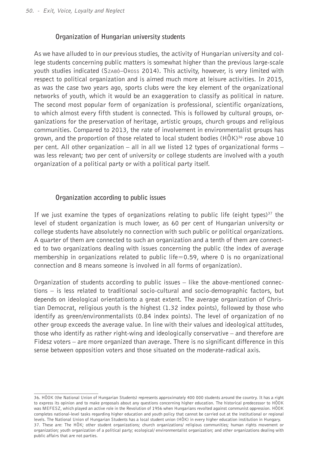## **Organization of Hungarian university students**

As we have alluded to in our previous studies, the activity of Hungarian university and college students concerning public matters is somewhat higher than the previous large-scale youth studies indicated (Szabó–Oross 2014). This activity, however, is very limited with respect to political organization and is aimed much more at leisure activities. In 2015, as was the case two years ago, sports clubs were the key element of the organizational networks of youth, which it would be an exaggeration to classify as political in nature. The second most popular form of organization is professional, scientific organizations, to which almost every fifth student is connected. This is followed by cultural groups, organizations for the preservation of heritage, artistic groups, church groups and religious communities. Compared to 2013, the rate of involvement in environmentalist groups has grown, and the proportion of those related to local student bodies  $(HÖK)<sup>36</sup>$  rose above 10 per cent. All other organization – all in all we listed 12 types of organizational forms – was less relevant; two per cent of university or college students are involved with a youth organization of a political party or with a political party itself.

## **Organization according to public issues**

If we just examine the types of organizations relating to public life (eight types) $37$  the level of student organization is much lower, as 60 per cent of Hungarian university or college students have absolutely no connection with such public or political organizations. A quarter of them are connected to such an organization and a tenth of them are connected to two organizations dealing with issues concerning the public (the index of average membership in organizations related to public life=0.59, where 0 is no organizational connection and 8 means someone is involved in all forms of organization).

Organization of students according to public issues – like the above-mentioned connections – is less related to traditional socio-cultural and socio-demographic factors, but depends on ideological orientationto a great extent. The average organization of Christian Democrat, religious youth is the highest (1.32 index points), followed by those who identify as green/environmentalists (0.84 index points). The level of organization of no other group exceeds the average value. In line with their values and ideological attitudes, those who identify as rather right-wing and ideologically conservative – and therefore are Fidesz voters – are more organized than average. There is no significant difference in this sense between opposition voters and those situated on the moderate-radical axis.

<sup>36.</sup> HÖOK (the National Union of Hungarian Students) represents approximately 400 000 students around the country. It has a right to express its opinion and to make proposals about any questions concerning higher education. The historical predecessor to HÖOK was MEFESZ, which played an active role in the Revolution of 1956 when Hungarians revolted against communist oppression. HÖOK completes national-level tasks regarding higher education and youth policy that cannot be carried out at the institutional or regional levels. The National Union of Hungarian Students has a local student union (HÖK) in every higher education institution in Hungary. 37. These are: The HÖK; other student organizations; church organizations/ religious communities; human rights movement or organization; youth organization of a political party; ecological/ environmentalist organization; and other organizations dealing with public affairs that are not parties.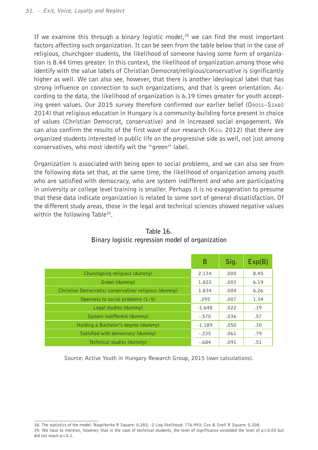If we examine this through a binary logistic model, $38$  we can find the most important factors affecting such organization. It can be seen from the table below that in the case of religious, churchgoer students, the likelihood of someone having some form of organization is 8.44 times greater. In this context, the likelihood of organization among those who identify with the value labels of Christian Democrat/religious/conservative is significantly higher as well. We can also see, however, that there is another ideological label that has strong influence on connection to such organizations, and that is green orientation. According to the data, the likelihood of organization is 6.19 times greater for youth accepting green values. Our 2015 survey therefore confirmed our earlier belief (Oross–Szabó 2014) that religious education in Hungary is a community-building force present in choice of values (Christian Democrat, conservative) and in increased social engagement. We can also confirm the results of the first wave of our research (Keil 2012) that there are organized students interested in public life on the progressive side as well, not just among conservatives, who most identify wit the "green" label.

Organization is associated with being open to social problems, and we can also see from the following data set that, at the same time, the likelihood of organization among youth who are satisfied with democracy, who are system indifferent and who are participating in university or college level training is smaller. Perhaps it is no exaggeration to presume that these data indicate organization is related to some sort of general dissatisfaction. Of the different study areas, those in the legal and technical sciences showed negative values within the following Table<sup>39</sup>.

|                                                     | B        | Sig. | Exp(B) |
|-----------------------------------------------------|----------|------|--------|
| Churchgoing religious (dummy)                       | 2.134    | .000 | 8.45   |
| Green (dummy)                                       | 1.822    | .003 | 6.19   |
| Christian Democratic/conservative/religious (dummy) | 1.834    | .004 | 6.26   |
| Openness to social problems (1-5)                   | .295     | .007 | 1.34   |
| Legal studies (dummy)                               | $-1.648$ | .022 | .19    |
| System indifferent (dummy)                          | $-.570$  | .036 | .57    |
| Holding a Bachelor's degree (dummy)                 | $-1.189$ | .050 | .30    |
| Satisfied with democracy (dummy)                    | $-.235$  | .061 | .79    |
| Technical studies (dummy)                           | $-.684$  | .091 | .51    |

**Table 16. Binary logistic regression model of organization**

Source: Active Youth in Hungary Research Group, 2015 (own calculations).

<sup>38.</sup> The statistics of the model: Nagelkerke R Square: 0.282; -2 Log likelihood: 776.993; Cox & Snell R Square: 0.208. 39. We have to mention, however, that in the case of technical students, the level of significance exceeded the level of p≤0.05 but did not reach p≤0.1.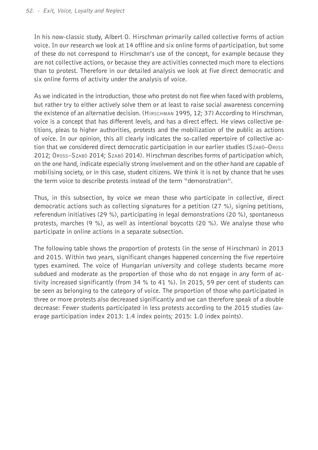In his now-classic study, Albert O. Hirschman primarily called collective forms of action voice. In our research we look at 14 offline and six online forms of participation, but some of these do not correspond to Hirschman's use of the concept, for example because they are not collective actions, or because they are activities connected much more to elections than to protest. Therefore in our detailed analysis we look at five direct democratic and six online forms of activity under the analysis of voice.

As we indicated in the introduction, those who protest do not flee when faced with problems, but rather try to either actively solve them or at least to raise social awareness concerning the existence of an alternative decision. (Hirschman 1995, 12; 37) According to Hirschman, voice is a concept that has different levels, and has a direct effect. He views collective petitions, pleas to higher authorities, protests and the mobilization of the public as actions of voice. In our opinion, this all clearly indicates the so-called repertoire of collective action that we considered direct democratic participation in our earlier studies (Szabó–Oross 2012; Oross–Szabó 2014; Szabó 2014). Hirschman describes forms of participation which, on the one hand, indicate especially strong involvement and on the other hand are capable of mobilising society, or in this case, student citizens. We think it is not by chance that he uses the term voice to describe protests instead of the term "demonstration".

Thus, in this subsection, by voice we mean those who participate in collective, direct democratic actions such as collecting signatures for a petition (27 %), signing petitions, referendum initiatives (29 %), participating in legal demonstrations (20 %), spontaneous protests, marches (9 %), as well as intentional boycotts (20 %). We analyse those who participate in online actions in a separate subsection.

The following table shows the proportion of protests (in the sense of Hirschman) in 2013 and 2015. Within two years, significant changes happened concerning the five repertoire types examined. The voice of Hungarian university and college students became more subdued and moderate as the proportion of those who do not engage in any form of activity increased significantly (from 34 % to 41 %). In 2015, 59 per cent of students can be seen as belonging to the category of voice. The proportion of those who participated in three or more protests also decreased significantly and we can therefore speak of a double decrease: Fewer students participated in less protests according to the 2015 studies (average participation index 2013: 1.4 index points; 2015: 1.0 index points).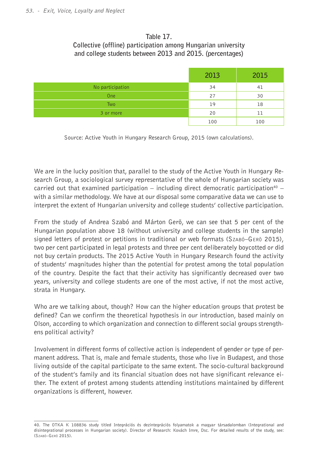## **Table 17.**

## **Collective (offline) participation among Hungarian university and college students between 2013 and 2015. (percentages)**

|                  | 2013 | 2015 |
|------------------|------|------|
| No participation | 34   | 41   |
| One              | 27   | 30   |
| Two              | 19   | 18   |
| 3 or more        | 20   | 11   |
|                  | 100  | 100  |

Source: Active Youth in Hungary Research Group, 2015 (own calculations).

We are in the lucky position that, parallel to the study of the Active Youth in Hungary Research Group, a sociological survey representative of the whole of Hungarian society was carried out that examined participation  $-$  including direct democratic participation<sup>40</sup>  $$ with a similar methodology. We have at our disposal some comparative data we can use to interpret the extent of Hungarian university and college students' collective participation.

From the study of Andrea Szabó and Márton Gerö, we can see that 5 per cent of the Hungarian population above 18 (without university and college students in the sample) signed letters of protest or petitions in traditional or web formats (SzABÓ–GERÖ 2015), two per cent participated in legal protests and three per cent deliberately boycotted or did not buy certain products. The 2015 Active Youth in Hungary Research found the activity of students' magnitudes higher than the potential for protest among the total population of the country. Despite the fact that their activity has significantly decreased over two years, university and college students are one of the most active, if not the most active, strata in Hungary.

Who are we talking about, though? How can the higher education groups that protest be defined? Can we confirm the theoretical hypothesis in our introduction, based mainly on Olson, according to which organization and connection to different social groups strengthens political activity?

Involvement in different forms of collective action is independent of gender or type of permanent address. That is, male and female students, those who live in Budapest, and those living outside of the capital participate to the same extent. The socio-cultural background of the student's family and its financial situation does not have significant relevance either. The extent of protest among students attending institutions maintained by different organizations is different, however.

<sup>40.</sup> The OTKA K 108836 study titled Integrációs és dezintegrációs folyamatok a magyar társadalomban (Integrational and disintegrational processes in Hungarian society). Director of Research: Kovách Imre, Dsc. For detailed results of the study, see: (Szabó–Gerö 2015).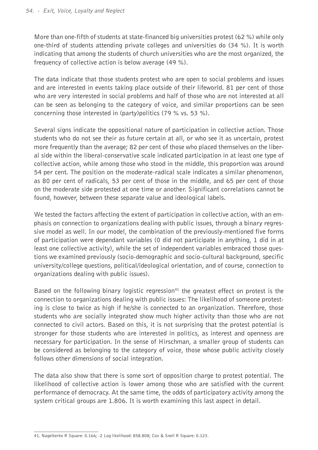More than one-fifth of students at state-financed big universities protest (62 %) while only one-third of students attending private colleges and universities do (34 %). It is worth indicating that among the students of church universities who are the most organized, the frequency of collective action is below average (49 %).

The data indicate that those students protest who are open to social problems and issues and are interested in events taking place outside of their lifeworld. 81 per cent of those who are very interested in social problems and half of those who are not interested at all can be seen as belonging to the category of voice, and similar proportions can be seen concerning those interested in (party)politics (79 % vs. 53 %).

Several signs indicate the oppositional nature of participation in collective action. Those students who do not see their as future certain at all, or who see it as uncertain, protest more frequently than the average; 82 per cent of those who placed themselves on the liberal side within the liberal-conservative scale indicated participation in at least one type of collective action, while among those who stood in the middle, this proportion was around 54 per cent. The position on the moderate-radical scale indicates a similar phenomenon, as 80 per cent of radicals, 53 per cent of those in the middle, and 65 per cent of those on the moderate side protested at one time or another. Significant correlations cannot be found, however, between these separate value and ideological labels.

We tested the factors affecting the extent of participation in collective action, with an emphasis on connection to organizations dealing with public issues, through a binary regressive model as well. In our model, the combination of the previously-mentioned five forms of participation were dependant variables (0 did not participate in anything, 1 did in at least one collective activity), while the set of independent variables embraced those questions we examined previously (socio-demographic and socio-cultural background, specific university/college questions, political/ideological orientation, and of course, connection to organizations dealing with public issues).

Based on the following binary logistic regression<sup>41</sup> the greatest effect on protest is the connection to organizations dealing with public issues: The likelihood of someone protesting is close to twice as high if he/she is connected to an organization. Therefore, those students who are socially integrated show much higher activity than those who are not connected to civil actors. Based on this, it is not surprising that the protest potential is stronger for those students who are interested in politics, as interest and openness are necessary for participation. In the sense of Hirschman, a smaller group of students can be considered as belonging to the category of voice, those whose public activity closely follows other dimensions of social integration.

The data also show that there is some sort of opposition charge to protest potential. The likelihood of collective action is lower among those who are satisfied with the current performance of democracy. At the same time, the odds of participatory activity among the system critical groups are 1.806. It is worth examining this last aspect in detail.

<sup>41.</sup> Nagelkerke R Square: 0.166; -2 Log likelihood: 858.808; Cox & Snell R Square: 0.123.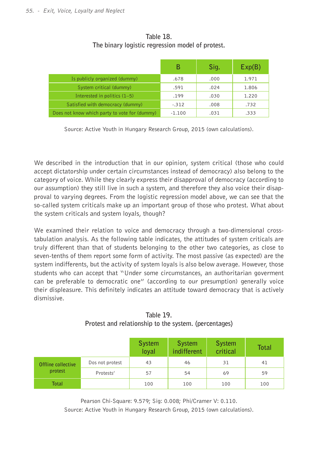|                                               | в        | Sig. | Exp(B) |
|-----------------------------------------------|----------|------|--------|
| Is publicly organized (dummy)                 | .678     | .000 | 1.971  |
| System critical (dummy)                       | .591     | .024 | 1.806  |
| Interested in politics $(1-5)$                | .199     | .030 | 1.220  |
| Satisfied with democracy (dummy)              | $-.312$  | .008 | .732   |
| Does not know which party to vote for (dummy) | $-1.100$ | .031 | .333   |

**Table 18. The binary logistic regression model of protest.**

Source: Active Youth in Hungary Research Group, 2015 (own calculations).

We described in the introduction that in our opinion, system critical (those who could accept dictatorship under certain circumstances instead of democracy) also belong to the category of voice. While they clearly express their disapproval of democracy (according to our assumption) they still live in such a system, and therefore they also voice their disapproval to varying degrees. From the logistic regression model above, we can see that the so-called system criticals make up an important group of those who protest. What about the system criticals and system loyals, though?

We examined their relation to voice and democracy through a two-dimensional crosstabulation analysis. As the following table indicates, the attitudes of system criticals are truly different than that of students belonging to the other two categories, as close to seven-tenths of them report some form of activity. The most passive (as expected) are the system indifferents, but the activity of system loyals is also below average. However, those students who can accept that "Under some circumstances, an authoritarian goverment can be preferable to democratic one" (according to our presumption) generally voice their displeasure. This definitely indicates an attitude toward democracy that is actively dismissive.

|                    |                 | <b>System</b><br>loyal | <b>System</b><br>indifferent | <b>System</b><br>critical | <b>Total</b> |
|--------------------|-----------------|------------------------|------------------------------|---------------------------|--------------|
| Offline collective | Dos not protest | 43                     | 46                           | 31                        | 41           |
| protest            | Protests'       | 57                     | 54                           | 69                        | 59           |
| <b>Total</b>       |                 | 100                    | 100                          | 100                       | 100          |

**Table 19. Protest and relationship to the system. (percentages)**

Pearson Chi-Square: 9.579; Sig: 0.008; Phi/Cramer V: 0.110.

Source: Active Youth in Hungary Research Group, 2015 (own calculations).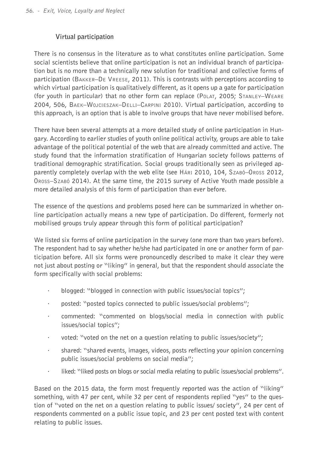## **Virtual participation**

There is no consensus in the literature as to what constitutes online participation. Some social scientists believe that online participation is not an individual branch of participation but is no more than a technically new solution for traditional and collective forms of participation (Bakker–De Vreese, 2011). This is contrasts with perceptions according to which virtual participation is qualitatively different, as it opens up a gate for participation (for youth in particular) that no other form can replace (Polat, 2005; Stanley–Weare 2004, 506, Baek–Wojcieszak–Delli–Carpini 2010). Virtual participation, according to this approach, is an option that is able to involve groups that have never mobilised before.

There have been several attempts at a more detailed study of online participation in Hungary. According to earlier studies of youth online political activity, groups are able to take advantage of the political potential of the web that are already committed and active. The study found that the information stratification of Hungarian society follows patterns of traditional demographic stratification. Social groups traditionally seen as privileged apparently completely overlap with the web elite (see HARI 2010, 104, SzABÓ–OROSS 2012, Oross–Szabó 2014). At the same time, the 2015 survey of Active Youth made possible a more detailed analysis of this form of participation than ever before.

The essence of the questions and problems posed here can be summarized in whether online participation actually means a new type of participation. Do different, formerly not mobilised groups truly appear through this form of political participation?

We listed six forms of online participation in the survey (one more than two years before). The respondent had to say whether he/she had participated in one or another form of participation before. All six forms were pronouncedly described to make it clear they were not just about posting or "liking" in general, but that the respondent should associate the form specifically with social problems:

- · blogged: "blogged in connection with public issues/social topics";
- · posted: "posted topics connected to public issues/social problems";
- · commented: "commented on blogs/social media in connection with public issues/social topics";
- · voted: "voted on the net on a question relating to public issues/society";
- · shared: "shared events, images, videos, posts reflecting your opinion concerning public issues/social problems on social media";
- liked: "liked posts on blogs or social media relating to public issues/social problems".

Based on the 2015 data, the form most frequently reported was the action of "liking" something, with 47 per cent, while 32 per cent of respondents replied "ves" to the question of "voted on the net on a question relating to public issues/ society", 24 per cent of respondents commented on a public issue topic, and 23 per cent posted text with content relating to public issues.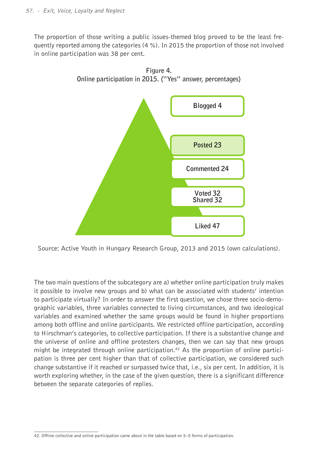The proportion of those writing a public issues-themed blog proved to be the least frequently reported among the categories (4 %). In 2015 the proportion of those not involved in online participation was 38 per cent.



Source: Active Youth in Hungary Research Group, 2013 and 2015 (own calculations).

The two main questions of the subcategory are a) whether online participation truly makes it possible to involve new groups and b) what can be associated with students' intention to participate virtually? In order to answer the first question, we chose three socio-demographic variables, three variables connected to living circumstances, and two ideological variables and examined whether the same groups would be found in higher proportions among both offline and online participants. We restricted offline participation, according to Hirschman's categories, to collective participation. If there is a substantive change and the universe of online and offline protesters changes, then we can say that new groups might be integrated through online participation.<sup>42</sup> As the proportion of online participation is three per cent higher than that of collective participation, we considered such change substantive if it reached or surpassed twice that, i.e., six per cent. In addition, it is worth exploring whether, in the case of the given question, there is a significant difference between the separate categories of replies.

<sup>42.</sup> Offline collective and online participation came about in the table based on 5–5 forms of participation.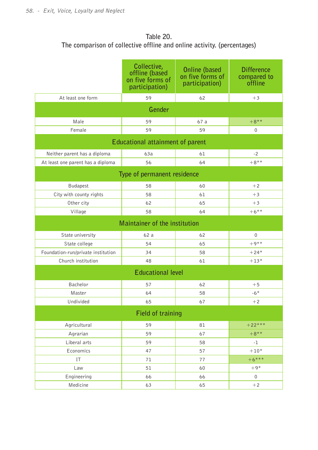# **Table 20. The comparison of collective offline and online activity. (percentages)**

|                                    | Collective,<br>offline (based<br>on five forms of<br>participation) | <b>Online (based</b><br>on five forms of<br>participation) | <b>Difference</b><br>compared to<br>offline |  |  |  |  |
|------------------------------------|---------------------------------------------------------------------|------------------------------------------------------------|---------------------------------------------|--|--|--|--|
| At least one form                  | 59                                                                  | 62                                                         | $+3$                                        |  |  |  |  |
| Gender                             |                                                                     |                                                            |                                             |  |  |  |  |
| Male                               | 59                                                                  | 67 a                                                       | $+8***$                                     |  |  |  |  |
| Female                             | 59                                                                  | 59                                                         | 0                                           |  |  |  |  |
|                                    | <b>Educational attainment of parent</b>                             |                                                            |                                             |  |  |  |  |
| Neither parent has a diploma       | 63a                                                                 | 61                                                         | $-2$                                        |  |  |  |  |
| At least one parent has a diploma  | 56                                                                  | 64                                                         | $+8***$                                     |  |  |  |  |
|                                    | Type of permanent residence                                         |                                                            |                                             |  |  |  |  |
| <b>Budapest</b>                    | 58                                                                  | 60                                                         | $+2$                                        |  |  |  |  |
| City with county rights            | 58                                                                  | 61                                                         | $+3$                                        |  |  |  |  |
| Other city                         | 62                                                                  | 65                                                         | $+3$                                        |  |  |  |  |
| Village                            | 58                                                                  | 64                                                         | $+6***$                                     |  |  |  |  |
|                                    | Maintainer of the institution                                       |                                                            |                                             |  |  |  |  |
| State university                   | 62 a                                                                | 62                                                         | $\Omega$                                    |  |  |  |  |
| State college                      | 54                                                                  | 65                                                         | $+9***$                                     |  |  |  |  |
| Foundation-run/private institution | 34                                                                  | 58                                                         | $+24*$                                      |  |  |  |  |
| Church institution                 | 48                                                                  | 61                                                         | $+13*$                                      |  |  |  |  |
|                                    | <b>Educational level</b>                                            |                                                            |                                             |  |  |  |  |
| Bachelor                           | 57                                                                  | 62                                                         | $+5$                                        |  |  |  |  |
| Master                             | 64                                                                  | 58                                                         | $-6*$                                       |  |  |  |  |
| Undivided                          | 65                                                                  | 67                                                         | $+2$                                        |  |  |  |  |
|                                    | <b>Field of training</b>                                            |                                                            |                                             |  |  |  |  |
| Agricultural                       | 59                                                                  | 81                                                         | $+22***$                                    |  |  |  |  |
| Agrarian                           | 59                                                                  | 67                                                         | $+8***$                                     |  |  |  |  |
| Liberal arts                       | 59                                                                  | 58                                                         | $-1$                                        |  |  |  |  |
| Economics                          | 47                                                                  | 57                                                         | $+10*$                                      |  |  |  |  |
| IT                                 | 71                                                                  | 77                                                         | $+6***$                                     |  |  |  |  |
| Law                                | 51                                                                  | 60                                                         | $+9*$                                       |  |  |  |  |
| Engineering                        | 66                                                                  | 66                                                         | 0                                           |  |  |  |  |
| Medicine                           | 63                                                                  | 65                                                         | $+2$                                        |  |  |  |  |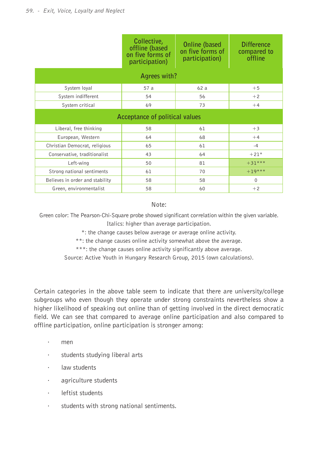|                                 | Collective,<br>offline (based<br>on five forms of<br>participation) | <b>Online (based)</b><br>on five forms of<br>participation) | <b>Difference</b><br>compared to<br>offline |  |  |  |  |  |
|---------------------------------|---------------------------------------------------------------------|-------------------------------------------------------------|---------------------------------------------|--|--|--|--|--|
| Agrees with?                    |                                                                     |                                                             |                                             |  |  |  |  |  |
| System loyal                    | 57 a                                                                | 62a                                                         | $+5$                                        |  |  |  |  |  |
| System indifferent              | 54                                                                  | 56                                                          | $+2$                                        |  |  |  |  |  |
| System critical                 | 69<br>73                                                            |                                                             | $+4$                                        |  |  |  |  |  |
|                                 | Acceptance of political values                                      |                                                             |                                             |  |  |  |  |  |
| Liberal, free thinking          | 58                                                                  | 61                                                          | $+3$                                        |  |  |  |  |  |
| European, Western               | 64                                                                  | 68                                                          | $+4$                                        |  |  |  |  |  |
| Christian Democrat, religious   | 65                                                                  | 61                                                          | $-4$                                        |  |  |  |  |  |
| Conservative, traditionalist    | 43                                                                  | 64                                                          | $+21*$                                      |  |  |  |  |  |
| Left-wing                       | 50                                                                  | 81                                                          | $+31***$                                    |  |  |  |  |  |
| Strong national sentiments      | 61                                                                  | 70                                                          | $+19***$                                    |  |  |  |  |  |
| Believes in order and stability | 58                                                                  | 58                                                          | $\Omega$                                    |  |  |  |  |  |
| Green, environmentalist         | 58                                                                  | 60                                                          | $+2$                                        |  |  |  |  |  |

#### Note:

Green color: The Pearson-Chi-Square probe showed significant correlation within the given variable. Italics: higher than average participation.

\*: the change causes below average or average online activity.

\*\*: the change causes online activity somewhat above the average.

\*\*\*: the change causes online activity significantly above average.

Source: Active Youth in Hungary Research Group, 2015 (own calculations).

Certain categories in the above table seem to indicate that there are university/college subgroups who even though they operate under strong constraints nevertheless show a higher likelihood of speaking out online than of getting involved in the direct democratic field. We can see that compared to average online participation and also compared to offline participation, online participation is stronger among:

- · men
- · students studying liberal arts
- · law students
- · agriculture students
- · leftist students
- · students with strong national sentiments.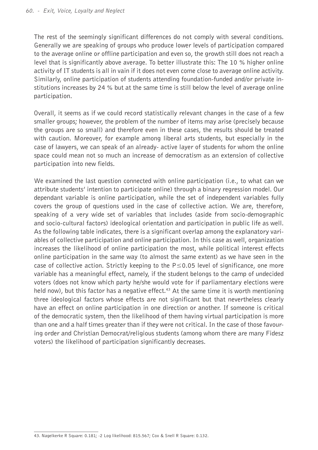The rest of the seemingly significant differences do not comply with several conditions. Generally we are speaking of groups who produce lower levels of participation compared to the average online or offline participation and even so, the growth still does not reach a level that is significantly above average. To better illustrate this: The 10 % higher online activity of IT students is all in vain if it does not even come close to average online activity. Similarly, online participation of students attending foundation-funded and/or private institutions increases by 24 % but at the same time is still below the level of average online participation.

Overall, it seems as if we could record statistically relevant changes in the case of a few smaller groups; however, the problem of the number of items may arise (precisely because the groups are so small) and therefore even in these cases, the results should be treated with caution. Moreover, for example among liberal arts students, but especially in the case of lawyers, we can speak of an already- active layer of students for whom the online space could mean not so much an increase of democratism as an extension of collective participation into new fields.

We examined the last question connected with online participation (i.e., to what can we attribute students' intention to participate online) through a binary regression model. Our dependant variable is online participation, while the set of independent variables fully covers the group of questions used in the case of collective action. We are, therefore, speaking of a very wide set of variables that includes (aside from socio-demographic and socio-cultural factors) ideological orientation and participation in public life as well. As the following table indicates, there is a significant overlap among the explanatory variables of collective participation and online participation. In this case as well, organization increases the likelihood of online participation the most, while political interest effects online participation in the same way (to almost the same extent) as we have seen in the case of collective action. Strictly keeping to the  $P \le 0.05$  level of significance, one more variable has a meaningful effect, namely, if the student belongs to the camp of undecided voters (does not know which party he/she would vote for if parliamentary elections were held now), but this factor has a negative effect.<sup>43</sup> At the same time it is worth mentioning three ideological factors whose effects are not significant but that nevertheless clearly have an effect on online participation in one direction or another. If someone is critical of the democratic system, then the likelihood of them having virtual participation is more than one and a half times greater than if they were not critical. In the case of those favouring order and Christian Democrat/religious students (among whom there are many Fidesz voters) the likelihood of participation significantly decreases.

<sup>43.</sup> Nagelkerke R Square: 0.181; -2 Log likelihood: 815.567; Cox & Snell R Square: 0.132.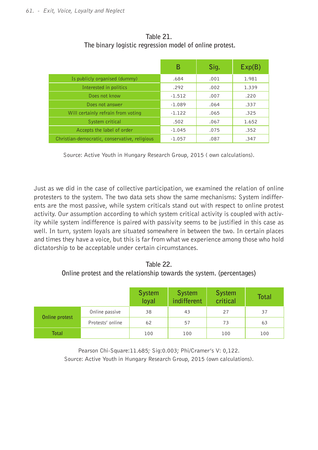|                                               | В        | Sig. | Exp(B) |
|-----------------------------------------------|----------|------|--------|
| Is publicly organised (dummy)                 | .684     | .001 | 1.981  |
| Interested in politics                        | .292     | .002 | 1.339  |
| Does not know                                 | $-1.512$ | .007 | .220   |
| Does not answer                               | $-1.089$ | .064 | .337   |
| Will certainly refrain from voting            | $-1.122$ | .065 | .325   |
| System critical                               | .502     | .067 | 1.652  |
| Accepts the label of order                    | $-1.045$ | .075 | .352   |
| Christian-democratic, conservative, religious | $-1.057$ | .087 | .347   |

**Table 21. The binary logistic regression model of online protest.**

Source: Active Youth in Hungary Research Group, 2015 ( own calculations).

Just as we did in the case of collective participation, we examined the relation of online protesters to the system. The two data sets show the same mechanisms: System indifferents are the most passive, while system criticals stand out with respect to online protest activity. Our assumption according to which system critical activity is coupled with activity while system indifference is paired with passivity seems to be justified in this case as well. In turn, system loyals are situated somewhere in between the two. In certain places and times they have a voice, but this is far from what we experience among those who hold dictatorship to be acceptable under certain circumstances.

**Table 22. Online protest and the relationship towards the system. (percentages)**

|                |                  | <b>System</b><br>loyal | <b>System</b><br>indifferent | System<br>critical | <b>Total</b> |
|----------------|------------------|------------------------|------------------------------|--------------------|--------------|
|                | Online passive   | 38                     | 43                           | 27                 | 37           |
| Online protest | Protests' online | 62                     | 57                           | 73                 | 63           |
| <b>Total</b>   |                  | 100                    | 100                          | 100                | 100          |

Pearson Chi-Square:11.685; Sig:0.003; Phi/Cramer's V: 0.122. Source: Active Youth in Hungary Research Group, 2015 (own calculations).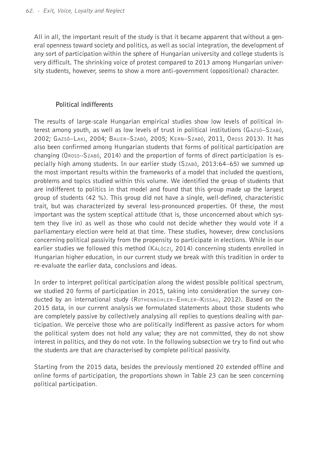All in all, the important result of the study is that it became apparent that without a general openness toward society and politics, as well as social integration, the development of any sort of participation within the sphere of Hungarian university and college students is very difficult. The shrinking voice of protest compared to 2013 among Hungarian university students, however, seems to show a more anti-government (oppositional) character.

## **Political indifferents**

The results of large-scale Hungarian empirical studies show low levels of political interest among youth, as well as low levels of trust in political institutions (Gazsó–Szabó, 2002; Gazsó–Laki, 2004; Bauer–Szabó, 2005; Kern–Szabó, 2011, Oross 2013). It has also been confirmed among Hungarian students that forms of political participation are changing (Oross–Szabó, 2014) and the proportion of forms of direct participation is especially high among students. In our earlier study (Szabó, 2013:64–65) we summed up the most important results within the frameworks of a model that included the questions, problems and topics studied within this volume. We identified the group of students that are indifferent to politics in that model and found that this group made up the largest group of students (42 %). This group did not have a single, well-defined, characteristic trait, but was characterized by several less-pronounced properties. Of these, the most important was the system sceptical attitude (that is, those unconcerned about which system they live in) as well as those who could not decide whether they would vote if a parliamentary election were held at that time. These studies, however, drew conclusions concerning political passivity from the propensity to participate in elections. While in our earlier studies we followed this method (Kálóczi, 2014) concerning students enrolled in Hungarian higher education, in our current study we break with this tradition in order to re-evaluate the earlier data, conclusions and ideas.

In order to interpret political participation along the widest possible political spectrum, we studied 20 forms of participation in 2015, taking into consideration the survey conducted by an international study (Rothenbühler–Ehrler–Kissau, 2012). Based on the 2015 data, in our current analysis we formulated statements about those students who are completely passive by collectively analysing all replies to questions dealing with participation. We perceive those who are politically indifferent as passive actors for whom the political system does not hold any value; they are not committed, they do not show interest in politics, and they do not vote. In the following subsection we try to find out who the students are that are characterised by complete political passivity.

Starting from the 2015 data, besides the previously mentioned 20 extended offline and online forms of participation, the proportions shown in Table 23 can be seen concerning political participation.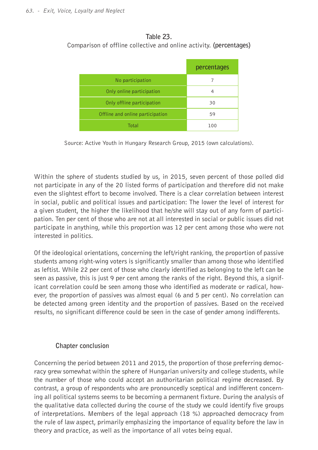## **Table 23.** Comparison of offline collective and online activity. **(percentages)**

|                                  | percentages |
|----------------------------------|-------------|
| No participation                 | 7           |
| Only online participation        | 4           |
| Only offline participation       | 30          |
| Offline and online participation | 59          |
| Total                            | 100         |

Source: Active Youth in Hungary Research Group, 2015 (own calculations).

Within the sphere of students studied by us, in 2015, seven percent of those polled did not participate in any of the 20 listed forms of participation and therefore did not make even the slightest effort to become involved. There is a clear correlation between interest in social, public and political issues and participation: The lower the level of interest for a given student, the higher the likelihood that he/she will stay out of any form of participation. Ten per cent of those who are not at all interested in social or public issues did not participate in anything, while this proportion was 12 per cent among those who were not interested in politics.

Of the ideological orientations, concerning the left/right ranking, the proportion of passive students among right-wing voters is significantly smaller than among those who identified as leftist. While 22 per cent of those who clearly identified as belonging to the left can be seen as passive, this is just 9 per cent among the ranks of the right. Beyond this, a significant correlation could be seen among those who identified as moderate or radical, however, the proportion of passives was almost equal (6 and 5 per cent). No correlation can be detected among green identity and the proportion of passives. Based on the received results, no significant difference could be seen in the case of gender among indifferents.

## **Chapter conclusion**

Concerning the period between 2011 and 2015, the proportion of those preferring democracy grew somewhat within the sphere of Hungarian university and college students, while the number of those who could accept an authoritarian political regime decreased. By contrast, a group of respondents who are pronouncedly sceptical and indifferent concerning all political systems seems to be becoming a permanent fixture. During the analysis of the qualitative data collected during the course of the study we could identify five groups of interpretations. Members of the legal approach (18 %) approached democracy from the rule of law aspect, primarily emphasizing the importance of equality before the law in theory and practice, as well as the importance of all votes being equal.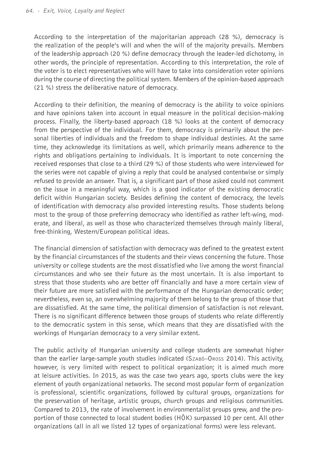According to the interpretation of the majoritarian approach (28 %), democracy is the realization of the people's will and when the will of the majority prevails. Members of the leadership approach (20 %) define democracy through the leader-led dichotomy, in other words, the principle of representation. According to this interpretation, the role of the voter is to elect representatives who will have to take into consideration voter opinions during the course of directing the political system. Members of the opinion-based approach (21 %) stress the deliberative nature of democracy.

According to their definition, the meaning of democracy is the ability to voice opinions and have opinions taken into account in equal measure in the political decision-making process. Finally, the liberty-based approach (18 %) looks at the content of democracy from the perspective of the individual. For them, democracy is primarily about the personal liberties of individuals and the freedom to shape individual destinies. At the same time, they acknowledge its limitations as well, which primarily means adherence to the rights and obligations pertaining to individuals. It is important to note concerning the received responses that close to a third (29 %) of those students who were interviewed for the series were not capable of giving a reply that could be analysed contentwise or simply refused to provide an answer. That is, a significant part of those asked could not comment on the issue in a meaningful way, which is a good indicator of the existing democratic deficit within Hungarian society. Besides defining the content of democracy, the levels of identification with democracy also provided interesting results. Those students belong most to the group of those preferring democracy who identified as rather left-wing, moderate, and liberal, as well as those who characterized themselves through mainly liberal, free-thinking, Western/European political ideas.

The financial dimension of satisfaction with democracy was defined to the greatest extent by the financial circumstances of the students and their views concerning the future. Those university or college students are the most dissatisfied who live among the worst financial circumstances and who see their future as the most uncertain. It is also important to stress that those students who are better off financially and have a more certain view of their future are more satisfied with the performance of the Hungarian democratic order; nevertheless, even so, an overwhelming majority of them belong to the group of those that are dissatisfied. At the same time, the political dimension of satisfaction is not relevant. There is no significant difference between those groups of students who relate differently to the democratic system in this sense, which means that they are dissatisfied with the workings of Hungarian democracy to a very similar extent.

The public activity of Hungarian university and college students are somewhat higher than the earlier large-sample youth studies indicated (Szabó–Oross 2014). This activity, however, is very limited with respect to political organization; it is aimed much more at leisure activities. In 2015, as was the case two years ago, sports clubs were the key element of youth organizational networks. The second most popular form of organization is professional, scientific organizations, followed by cultural groups, organizations for the preservation of heritage, artistic groups, church groups and religious communities. Compared to 2013, the rate of involvement in environmentalist groups grew, and the proportion of those connected to local student bodies (HÖK) surpassed 10 per cent. All other organizations (all in all we listed 12 types of organizational forms) were less relevant.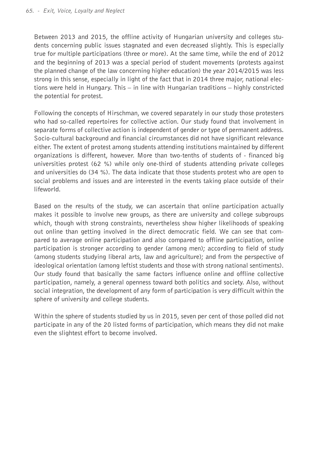Between 2013 and 2015, the offline activity of Hungarian university and colleges students concerning public issues stagnated and even decreased slightly. This is especially true for multiple participations (three or more). At the same time, while the end of 2012 and the beginning of 2013 was a special period of student movements (protests against the planned change of the law concerning higher education) the year 2014/2015 was less strong in this sense, especially in light of the fact that in 2014 three major, national elections were held in Hungary. This – in line with Hungarian traditions – highly constricted the potential for protest.

Following the concepts of Hirschman, we covered separately in our study those protesters who had so-called repertoires for collective action. Our study found that involvement in separate forms of collective action is independent of gender or type of permanent address. Socio-cultural background and financial circumstances did not have significant relevance either. The extent of protest among students attending institutions maintained by different organizations is different, however. More than two-tenths of students of - financed big universities protest (62 %) while only one-third of students attending private colleges and universities do (34 %). The data indicate that those students protest who are open to social problems and issues and are interested in the events taking place outside of their lifeworld.

Based on the results of the study, we can ascertain that online participation actually makes it possible to involve new groups, as there are university and college subgroups which, though with strong constraints, nevertheless show higher likelihoods of speaking out online than getting involved in the direct democratic field. We can see that compared to average online participation and also compared to offline participation, online participation is stronger according to gender (among men); according to field of study (among students studying liberal arts, law and agriculture); and from the perspective of ideological orientation (among leftist students and those with strong national sentiments). Our study found that basically the same factors influence online and offline collective participation, namely, a general openness toward both politics and society. Also, without social integration, the development of any form of participation is very difficult within the sphere of university and college students.

Within the sphere of students studied by us in 2015, seven per cent of those polled did not participate in any of the 20 listed forms of participation, which means they did not make even the slightest effort to become involved.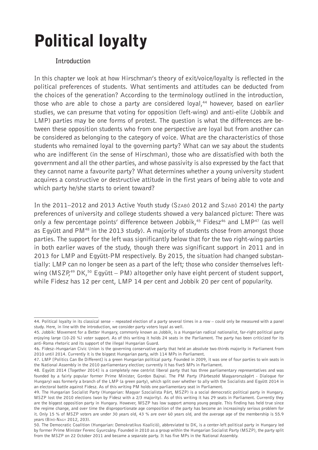# Political loyalty

## **Introduction**

In this chapter we look at how Hirschman's theory of exit/voice/loyalty is reflected in the political preferences of students. What sentiments and attitudes can be deducted from the choices of the generation? According to the terminology outlined in the introduction, those who are able to chose a party are considered loyal,<sup>44</sup> however, based on earlier studies, we can presume that voting for opposition (left-wing) and anti-elite (Jobbik and LMP) parties may be one forms of protest. The question is what the differences are between these opposition students who from one perspective are loyal but from another can be considered as belonging to the category of voice. What are the characteristics of those students who remained loyal to the governing party? What can we say about the students who are indifferent (in the sense of Hirschman), those who are dissatisfied with both the government and all the other parties, and whose passivity is also expressed by the fact that they cannot name a favourite party? What determines whether a young university student acquires a constructive or destructive attitude in the first years of being able to vote and which party he/she starts to orient toward?

In the 2011–2012 and 2013 Active Youth study (Szabó 2012 and Szabó 2014) the party preferences of university and college students showed a very balanced picture: There was only a few percentage points' difference between Jobbik, $45$  Fidesz $46$  and LMP $47$  (as well as Eqyütt and PM $48$  in the 2013 study). A majority of students chose from amongst those parties. The support for the left was significantly below that for the two right-wing parties in both earlier waves of the study, though there was significant support in 2011 and in 2013 for LMP and Együtt-PM respectively. By 2015, the situation had changed substantially: LMP can no longer be seen as a part of the left; those who consider themselves leftwing ( $MSZP^{49}$  DK,<sup>50</sup> Együtt – PM) altogether only have eight percent of student support, while Fidesz has 12 per cent, LMP 14 per cent and Jobbik 20 per cent of popularity.

<sup>44.</sup> Political loyalty in its classical sense – repeated election of a party several times in a row – could only be measured with a panel study. Here, in line with the introduction, we consider party voters loyal as well.

<sup>45.</sup> Jobbik: Movement for a Better Hungary, commonly known as Jobbik, is a Hungarian radical nationalist, far-right political party enjoying large (10-20 %) voter support. As of this writing it holds 24 seats in the Parliament. The party has been criticized for its anti-Roma rhetoric and its support of the illegal Hungarian Guard.

<sup>46.</sup> Fidesz–Hungarian Civic Union is the governing conservative party that held an absolute two-thirds majority in Parliament from 2010 until 2014. Currently it is the biggest Hungarian party, with 114 MPs in Parliament.

<sup>47.</sup> LMP [Politics Can Be Different] is a green Hungarian political party. Founded in 2009, it was one of four parties to win seats in the National Assembly in the 2010 parliamentary election; currently it has five5 MPs in Parliament.

<sup>48.</sup> Együtt 2014 [Together 2014] is a completely new centrist liberal party that has three parliamentary representatives and was founded by a fairly popular former Prime Minister, Gordon Bajnai. The PM Party (Párbeszéd Magyarországért - Dialogue for Hungary) was formerly a branch of the LMP (a green party), which split over whether to ally with the Socialists and Együtt 2014 in an electoral battle against Fidesz. As of this writing PM holds one parliamentary seat in Parliament.

<sup>49.</sup> The Hungarian Socialist Party (Hungarian: Magyar Szocialista Párt, MSZP) is a social democratic political party in Hungary. MSZP lost the 2010 elections (won by Fidesz with a 2/3 majority). As of this writing it has 29 seats in Parliament. Currently they are the biggest opposition party in Hungary. However, MSZP has low support among young people. This finding has held true since the regime change, and over time the disproportionate age composition of the party has become an increasingly serious problem for it. Only 15 % of MSZP voters are under 30 years old, 43 % are over 60 years old, and the average age of the membership is 55.9 years (Bíró-Nagy 2012, 203).

<sup>50.</sup> The Democratic Coalition (Hungarian: Demokratikus Koalíció), abbreviated to DK, is a center-left political party in Hungary led by former Prime Minister Ferenc Gyurcsány. Founded in 2010 as a group within the Hungarian Socialist Party (MSZP), the party split from the MSZP on 22 October 2011 and became a separate party. It has five MPs in the National Assembly.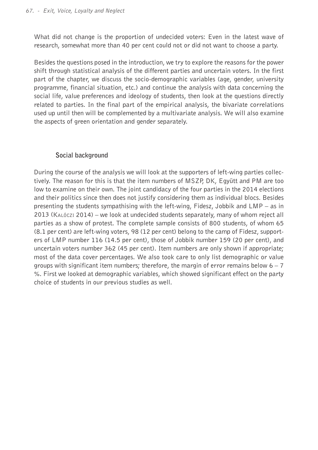What did not change is the proportion of undecided voters: Even in the latest wave of research, somewhat more than 40 per cent could not or did not want to choose a party.

Besides the questions posed in the introduction, we try to explore the reasons for the power shift through statistical analysis of the different parties and uncertain voters. In the first part of the chapter, we discuss the socio-demographic variables (age, gender, university programme, financial situation, etc.) and continue the analysis with data concerning the social life, value preferences and ideology of students, then look at the questions directly related to parties. In the final part of the empirical analysis, the bivariate correlations used up until then will be complemented by a multivariate analysis. We will also examine the aspects of green orientation and gender separately.

## **Social background**

During the course of the analysis we will look at the supporters of left-wing parties collectively. The reason for this is that the item numbers of MSZP, DK, Együtt and PM are too low to examine on their own. The joint candidacy of the four parties in the 2014 elections and their politics since then does not justify considering them as individual blocs. Besides presenting the students sympathising with the left-wing, Fidesz, Jobbik and LMP – as in 2013 (Kalóczi 2014) – we look at undecided students separately, many of whom reject all parties as a show of protest. The complete sample consists of 800 students, of whom 65 (8.1 per cent) are left-wing voters, 98 (12 per cent) belong to the camp of Fidesz, supporters of LMP number 116 (14.5 per cent), those of Jobbik number 159 (20 per cent), and uncertain voters number 362 (45 per cent). Item numbers are only shown if appropriate; most of the data cover percentages. We also took care to only list demographic or value groups with significant item numbers; therefore, the margin of error remains below  $6 - 7$ %. First we looked at demographic variables, which showed significant effect on the party choice of students in our previous studies as well.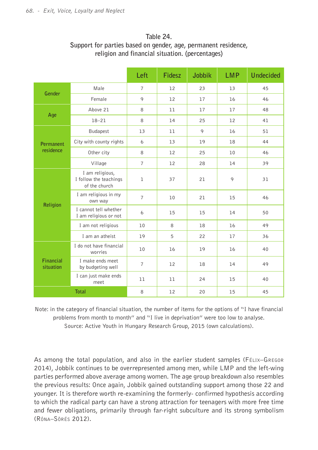**Religion**

**Financial situation**

I cannot tell whether

I do not have financial

I make ends meet

I can just make ends

# **Table 24.**

## **Left Fidesz Jobbik LMP Undecided Gender** Male 7 12 23 13 45 Female | 9 | 12 | 17 | 16 | 46 **Age** Above 21 | 8 | 11 | 17 | 17 | 48 18–21 | 8 | 14 | 25 | 12 | 41 **Permanent residence** Budapest 13 11 9 16 51 City with county rights 6 13 19 18 44 Other city | 8 | 12 | 25 | 10 | 46 Village 7 12 28 14 39 I am religious, I follow the teachings of the church 1 37 21 9 31 I am religious in my own way <sup>7</sup> <sup>10</sup> <sup>21</sup> <sup>15</sup> <sup>46</sup>

I am religious or not **6** 15 15 14 50 I am not religious 10 8 18 16 16 49 I am an atheist 19 5 22 17 36

worries 10 16 19 16 40

meet 11 11 24 15 40 **Total** 8 12 20 15 45

1 make ends meet 1 12 12 18 14 49

# **Support for parties based on gender, age, permanent residence, religion and financial situation. (percentages)**

Note: in the category of financial situation, the number of items for the options of "I have financial problems from month to month" and "I live in deprivation" were too low to analyse. Source: Active Youth in Hungary Research Group, 2015 (own calculations).

As among the total population, and also in the earlier student samples (FELIX–GREGOR 2014), Jobbik continues to be overrepresented among men, while LMP and the left-wing parties performed above average among women. The age group breakdown also resembles the previous results: Once again, Jobbik gained outstanding support among those 22 and younger. It is therefore worth re-examining the formerly- confirmed hypothesis according to which the radical party can have a strong attraction for teenagers with more free time and fewer obligations, primarily through far-right subculture and its strong symbolism (Róna–Sörés 2012).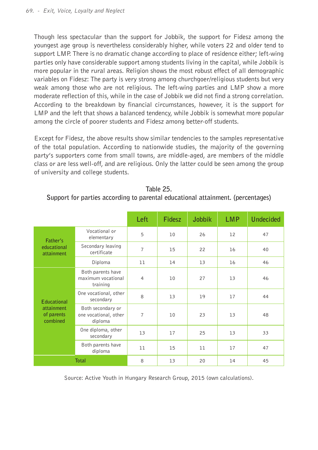Though less spectacular than the support for Jobbik, the support for Fidesz among the youngest age group is nevertheless considerably higher, while voters 22 and older tend to support LMP. There is no dramatic change according to place of residence either; left-wing parties only have considerable support among students living in the capital, while Jobbik is more popular in the rural areas. Religion shows the most robust effect of all demographic variables on Fidesz: The party is very strong among churchgoer/religious students but very weak among those who are not religious. The left-wing parties and LMP show a more moderate reflection of this, while in the case of Jobbik we did not find a strong correlation. According to the breakdown by financial circumstances, however, it is the support for LMP and the left that shows a balanced tendency, while Jobbik is somewhat more popular among the circle of poorer students and Fidesz among better-off students.

Except for Fidesz, the above results show similar tendencies to the samples representative of the total population. According to nationwide studies, the majority of the governing party's supporters come from small towns, are middle-aged, are members of the middle class or are less well-off, and are religious. Only the latter could be seen among the group of university and college students.

|                                      |                                                       | Left           | Fidesz | Jobbik | <b>LMP</b> | Undecided |
|--------------------------------------|-------------------------------------------------------|----------------|--------|--------|------------|-----------|
| Father's                             | Vocational or<br>elementary                           | 5              | 10     | 26     | 12         | 47        |
| educational<br>attainment            | Secondary leaving<br>certificate                      | $\overline{7}$ | 15     | 22     | 16         | 40        |
|                                      | Diploma                                               | 11             | 14     | 13     | 16         | 46        |
|                                      | Both parents have<br>maximum vocational<br>training   | $\overline{4}$ | 10     | 27     | 13         | 46        |
| <b>Educational</b>                   | One vocational, other<br>secondary                    | 8              | 13     | 19     | 17         | 44        |
| attainment<br>of parents<br>combined | Both secondary or<br>one vocational, other<br>diploma | $\overline{7}$ | 10     | 23     | 13         | 48        |
|                                      | One diploma, other<br>secondary                       | 13             | 17     | 25     | 13         | 33        |
|                                      | Both parents have<br>diploma                          | 11             | 15     | 11     | 17         | 47        |
|                                      | <b>Total</b>                                          | 8              | 13     | 20     | 14         | 45        |

| Table 25.                                                                       |  |
|---------------------------------------------------------------------------------|--|
| Support for parties according to parental educational attainment. (percentages) |  |

Source: Active Youth in Hungary Research Group, 2015 (own calculations).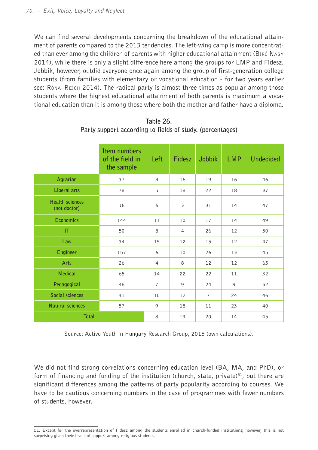We can find several developments concerning the breakdown of the educational attainment of parents compared to the 2013 tendencies. The left-wing camp is more concentrated than ever among the children of parents with higher educational attainment (Bíró Nagy 2014), while there is only a slight difference here among the groups for LMP and Fidesz. Jobbik, however, outdid everyone once again among the group of first-generation college students (from families with elementary or vocational education - for two years earlier see: Róna–Reich 2014). The radical party is almost three times as popular among those students where the highest educational attainment of both parents is maximum a vocational education than it is among those where both the mother and father have a diploma.

|                                        | Item numbers<br>of the field in<br>the sample | Left                    | Fidesz         | Jobbik         | <b>LMP</b> | <b>Undecided</b> |
|----------------------------------------|-----------------------------------------------|-------------------------|----------------|----------------|------------|------------------|
| Agrarian                               | 37                                            | $\overline{\mathbf{3}}$ | 16             | 19             | 16         | 46               |
| <b>Liberal arts</b>                    | 78                                            | 5                       | 18             | 22             | 18         | 37               |
| <b>Health sciences</b><br>(not doctor) | 36                                            | 6                       | 3              | 31             | 14         | 47               |
| <b>Economics</b>                       | 144                                           | 11                      | 10             | 17             | 14         | 49               |
| IT                                     | 50                                            | 8                       | $\overline{a}$ | 26             | 12         | 50               |
| Law                                    | 34                                            | 15                      | 12             | 15             | 12         | 47               |
| Engineer                               | 157                                           | 6                       | 10             | 26             | 13         | 45               |
| Arts                                   | 26                                            | $\overline{4}$          | 8              | 12             | 12         | 65               |
| <b>Medical</b>                         | 65                                            | 14                      | 22             | 22             | 11         | 32               |
| Pedagogical                            | 46                                            | $\overline{7}$          | $\circ$        | 24             | 9          | 52               |
| Social sciences                        | 41                                            | 10                      | 12             | $\overline{7}$ | 24         | 46               |
| <b>Natural sciences</b>                | 57                                            | 9                       | 18             | 11             | 23         | 40               |
| <b>Total</b>                           |                                               | 8                       | 13             | 20             | 14         | 45               |

**Table 26. Party support according to fields of study. (percentages)**

Source: Active Youth in Hungary Research Group, 2015 (own calculations).

We did not find strong correlations concerning education level (BA, MA, and PhD), or form of financing and funding of the institution (church, state, private)<sup>51</sup>, but there are significant differences among the patterns of party popularity according to courses. We have to be cautious concerning numbers in the case of programmes with fewer numbers of students, however.

<sup>51.</sup> Except for the overrepresentation of Fidesz among the students enrolled in church-funded institutions; however, this is not surprising given their levels of support among religious students.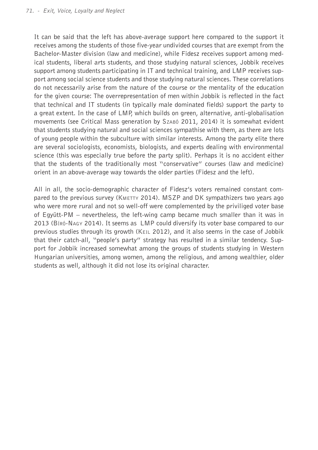It can be said that the left has above-average support here compared to the support it receives among the students of those five-year undivided courses that are exempt from the Bachelor-Master division (law and medicine), while Fidesz receives support among medical students, liberal arts students, and those studying natural sciences, Jobbik receives support among students participating in IT and technical training, and LMP receives support among social science students and those studying natural sciences. These correlations do not necessarily arise from the nature of the course or the mentality of the education for the given course: The overrepresentation of men within Jobbik is reflected in the fact that technical and IT students (in typically male dominated fields) support the party to a great extent. In the case of LMP, which builds on green, alternative, anti-globalisation movements (see Critical Mass generation by Szabó 2011, 2014) it is somewhat evident that students studying natural and social sciences sympathise with them, as there are lots of young people within the subculture with similar interests. Among the party elite there are several sociologists, economists, biologists, and experts dealing with environmental science (this was especially true before the party split). Perhaps it is no accident either that the students of the traditionally most "conservative" courses (law and medicine) orient in an above-average way towards the older parties (Fidesz and the left).

All in all, the socio-demographic character of Fidesz's voters remained constant compared to the previous survey (KMETTY 2014). MSZP and DK sympathizers two years ago who were more rural and not so well-off were complemented by the priviliged voter base of Együtt-PM – nevertheless, the left-wing camp became much smaller than it was in 2013 (Bíró-Nagy 2014). It seems as LMP could diversify its voter base compared to our previous studies through its growth (Keil 2012), and it also seems in the case of Jobbik that their catch-all, "people's party" strategy has resulted in a similar tendency. Support for Jobbik increased somewhat among the groups of students studying in Western Hungarian universities, among women, among the religious, and among wealthier, older students as well, although it did not lose its original character.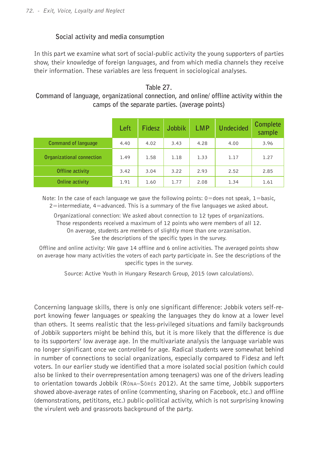## **Social activity and media consumption**

In this part we examine what sort of social-public activity the young supporters of parties show, their knowledge of foreign languages, and from which media channels they receive their information. These variables are less frequent in sociological analyses.

## **Table 27.**

## **Command of language, organizational connection, and online/ offline activity within the camps of the separate parties. (average points)**

|                           | Left | Fidesz | <b>Jobbik</b> | <b>LMP</b> | <b>Undecided</b> | Complete<br>sample |
|---------------------------|------|--------|---------------|------------|------------------|--------------------|
| Command of language       | 4.40 | 4.02   | 3.43          | 4.28       | 4.00             | 3.96               |
| Organizational connection | 1.49 | 1.58   | 1.18          | 1.33       | 1.17             | 1.27               |
| Offline activity          | 3.42 | 3.04   | 3.22          | 2.93       | 2.52             | 2.85               |
| Online activity           | 1.91 | 1.60   | 1.77          | 2.08       | 1.34             | 1.61               |

Note: In the case of each language we gave the following points:  $0=$ does not speak,  $1=$ basic, 2=intermediate, 4=advanced. This is a summary of the five languages we asked about.

Organizational connection: We asked about connection to 12 types of organizations. Those respondents received a maximum of 12 points who were members of all 12. On average, students are members of slightly more than one orzanisation. See the descriptions of the specific types in the survey.

Offline and online activity: We gave 14 offline and 6 online activities. The averaged points show on average how many activities the voters of each party participate in. See the descriptions of the specific types in the survey.

Source: Active Youth in Hungary Research Group, 2015 (own calculations).

Concerning language skills, there is only one significant difference: Jobbik voters self-report knowing fewer languages or speaking the languages they do know at a lower level than others. It seems realistic that the less-privileged situations and family backgrounds of Jobbik supporters might be behind this, but it is more likely that the difference is due to its supporters' low average age. In the multivariate analysis the language variable was no longer significant once we controlled for age. Radical students were somewhat behind in number of connections to social organizations, especially compared to Fidesz and left voters. In our earlier study we identified that a more isolated social position (which could also be linked to their overrepresentation among teenagers) was one of the drivers leading to orientation towards Jobbik (Róna–Sörés 2012). At the same time, Jobbik supporters showed above-average rates of online (commenting, sharing on Facebook, etc.) and offline (demonstrations, petititons, etc.) public-political activity, which is not surprising knowing the virulent web and grassroots background of the party.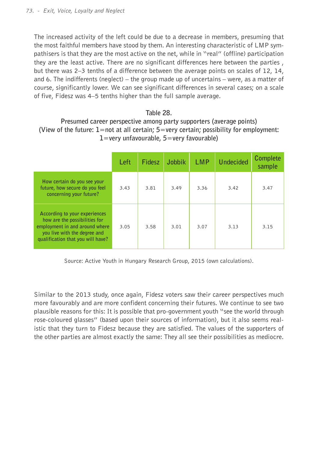The increased activity of the left could be due to a decrease in members, presuming that the most faithful members have stood by them. An interesting characteristic of LMP sympathisers is that they are the most active on the net, while in "real" (offline) participation they are the least active. There are no significant differences here between the parties , but there was 2–3 tenths of a difference between the average points on scales of 12, 14, and 6. The indifferents (neglect) – the group made up of uncertains – were, as a matter of course, significantly lower. We can see significant differences in several cases; on a scale of five, Fidesz was 4–5 tenths higher than the full sample average.

#### **Table 28.**

## **Presumed career perspective among party supporters (average points) (View of the future: 1=not at all certain; 5=very certain; possibility for employment: 1=very unfavourable, 5=very favourable)**

|                                                                                                                                                                       | Left | Fidesz | Jobbik | <b>LMP</b> | Undecided | Complete<br>sample |
|-----------------------------------------------------------------------------------------------------------------------------------------------------------------------|------|--------|--------|------------|-----------|--------------------|
| How certain do you see your<br>future, how secure do you feel<br>concerning your future?                                                                              | 3.43 | 3.81   | 3.49   | 3.36       | 3.42      | 3.47               |
| According to your experiences<br>how are the possibilities for<br>employment in and around where<br>you live with the degree and<br>qualification that you will have? | 3.05 | 3.58   | 3.01   | 3.07       | 3.13      | 3.15               |

Source: Active Youth in Hungary Research Group, 2015 (own calculations).

Similar to the 2013 study, once again, Fidesz voters saw their career perspectives much more favourably and are more confident concerning their futures. We continue to see two plausible reasons for this: It is possible that pro-government youth "see the world through rose-coloured glasses" (based upon their sources of information), but it also seems realistic that they turn to Fidesz because they are satisfied. The values of the supporters of the other parties are almost exactly the same: They all see their possibilities as mediocre.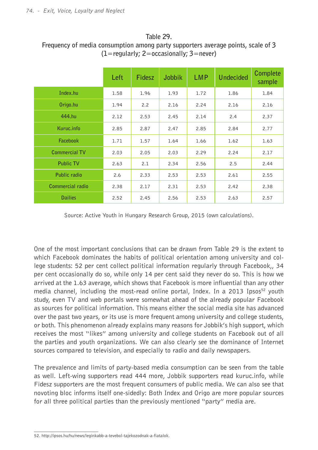#### **Table 29.**

## **Frequency of media consumption among party supporters average points, scale of 3 (1=regularly; 2=occasionally; 3=never)**

|                      | Left | Fidesz | <b>Jobbik</b> | <b>LMP</b> | <b>Undecided</b> | Complete<br>sample |
|----------------------|------|--------|---------------|------------|------------------|--------------------|
| Index.hu             | 1.58 | 1.96   | 1.93          | 1.72       | 1.86             | 1.84               |
| Origo.hu             | 1.94 | 2.2    | 2.16          | 2.24       | 2.16             | 2.16               |
| 444.hu               | 2.12 | 2.53   | 2.45          | 2.14       | 2.4              | 2.37               |
| Kuruc.info           | 2.85 | 2.87   | 2.47          | 2.85       | 2.84             | 2.77               |
| Facebook             | 1.71 | 1.57   | 1.64          | 1.66       | 1.62             | 1.63               |
| <b>Commercial TV</b> | 2.03 | 2.05   | 2.03          | 2.29       | 2.24             | 2.17               |
| <b>Public TV</b>     | 2.63 | 2.1    | 2.34          | 2.56       | 2.5              | 2.44               |
| Public radio         | 2.6  | 2.33   | 2.53          | 2.53       | 2.61             | 2.55               |
| Commercial radio     | 2.38 | 2.17   | 2.31          | 2.53       | 2.42             | 2.38               |
| <b>Dailies</b>       | 2.52 | 2.45   | 2.56          | 2.53       | 2.63             | 2.57               |

Source: Active Youth in Hungary Research Group, 2015 (own calculations).

One of the most important conclusions that can be drawn from Table 29 is the extent to which Facebook dominates the habits of political orientation among university and college students: 52 per cent collect political information regularly through Facebook,, 34 per cent occasionally do so, while only 14 per cent said they never do so. This is how we arrived at the 1.63 average, which shows that Facebook is more influential than any other media channel, including the most-read online portal, Index. In a 2013 Ipsos<sup>52</sup> youth study, even TV and web portals were somewhat ahead of the already popular Facebook as sources for political information. This means either the social media site has advanced over the past two years, or its use is more frequent among university and college students, or both. This phenomenon already explains many reasons for Jobbik's high support, which receives the most "likes" among university and college students on Facebook out of all the parties and youth organizations. We can also clearly see the dominance of Internet sources compared to television, and especially to radio and daily newspapers.

The prevalence and limits of party-based media consumption can be seen from the table as well. Left-wing supporters read 444 more, Jobbik supporters read kuruc.info, while Fidesz supporters are the most frequent consumers of public media. We can also see that novoting bloc informs itself one-sidedly: Both Index and Origo are more popular sources for all three political parties than the previously mentioned "party" media are.

<sup>52.</sup> http://ipsos.hu/hu/news/leginkabb-a-tevebol-tajekozodnak-a-fiatalok.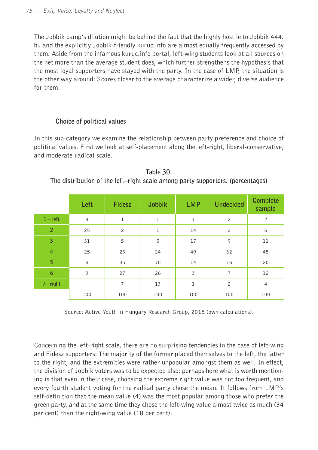The Jobbik camp's dilution might be behind the fact that the highly hostile to Jobbik 444. hu and the explicitly Jobbik-friendly kuruc.info are almost equally frequently accessed by them. Aside from the infamous kuruc.info portal, left-wing students look at all sources on the net more than the average student does, which further strengthens the hypothesis that the most loyal supporters have stayed with the party. In the case of LMP, the situation is the other way around: Scores closer to the average characterize a wider, diverse audience for them.

### **Choice of political values**

In this sub-category we examine the relationship between party preference and choice of political values. First we look at self-placement along the left-right, liberal-conservative, and moderate-radical scale.

|                | Left                    | Fidesz         | Jobbik       | <b>LMP</b>   | <b>Undecided</b> | Complete<br>sample |
|----------------|-------------------------|----------------|--------------|--------------|------------------|--------------------|
| $1 - left$     | 9                       | $\mathbf 1$    | ı            | 3            | $\overline{c}$   | $\overline{c}$     |
| $\overline{2}$ | 25                      | $\overline{c}$ | $\mathbf{1}$ | 14           | $\overline{c}$   | 6                  |
| 3              | 31                      | 5              | 5            | 17           | 9                | 11                 |
| $\overline{4}$ | 25                      | 23             | 24           | 49           | 62               | 45                 |
| $\overline{5}$ | 8                       | 35             | 30           | 14           | 16               | 20                 |
| $\overline{6}$ | $\overline{\mathbf{3}}$ | 27             | 26           | 3            | $\overline{7}$   | 12                 |
| $7 - right$    |                         | $\overline{7}$ | 13           | $\mathbf{1}$ | $\overline{c}$   | $\overline{4}$     |
|                | 100                     | 100            | 100          | 100          | 100              | 100                |

**Table 30. The distribution of the left–right scale among party supporters. (percentages)**

Source: Active Youth in Hungary Research Group, 2015 (own calculations).

Concerning the left-right scale, there are no surprising tendencies in the case of left-wing and Fidesz supporters: The majority of the former placed themselves to the left, the latter to the right, and the extremities were rather unpopular amongst them as well. In effect, the division of Jobbik voters was to be expected also; perhaps here what is worth mentioning is that even in their case, choosing the extreme right value was not too frequent, and every fourth student voting for the radical party chose the mean. It follows from LMP's self-definition that the mean value (4) was the most popular among those who prefer the green party, and at the same time they chose the left-wing value almost twice as much (34 per cent) than the right-wing value (18 per cent).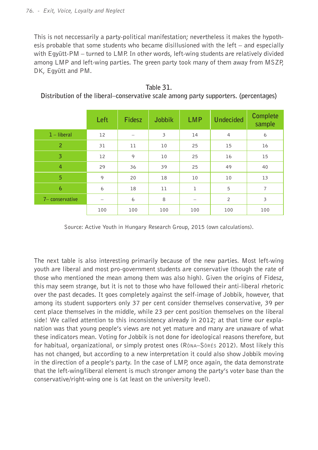This is not neccessarily a party-political manifestation; nevertheless it makes the hypothesis probable that some students who became disillusioned with the left  $-$  and especially with Együtt-PM – turned to LMP. In other words, left-wing students are relatively divided among LMP and left-wing parties. The green party took many of them away from MSZP, DK, Együtt and PM.

|                         | Left | Fidesz | Jobbik | <b>LMP</b>  | <b>Undecided</b> | Complete<br>sample      |
|-------------------------|------|--------|--------|-------------|------------------|-------------------------|
| $1$ – liberal           | 12   |        | 3      | 14          | $\overline{4}$   | 6                       |
| $\overline{2}$          | 31   | 11     | 10     | 25          | 15               | 16                      |
| $\overline{\mathbf{3}}$ | 12   | 9      | 10     | 25          | 16               | 15                      |
| $\overline{4}$          | 29   | 36     | 39     | 25          | 49               | 40                      |
| 5                       | 9    | 20     | 18     | 10          | 10               | 13                      |
| $\overline{6}$          | 6    | 18     | 11     | $\mathbf 1$ | 5                | $\overline{7}$          |
| 7- conservative         | -    | 6      | 8      |             | $\overline{c}$   | $\overline{\mathbf{3}}$ |
|                         | 100  | 100    | 100    | 100         | 100              | 100                     |

**Table 31. Distribution of the liberal–conservative scale among party supporters. (percentages)**

Source: Active Youth in Hungary Research Group, 2015 (own calculations).

The next table is also interesting primarily because of the new parties. Most left-wing youth are liberal and most pro-government students are conservative (though the rate of those who mentioned the mean among them was also high). Given the origins of Fidesz, this may seem strange, but it is not to those who have followed their anti-liberal rhetoric over the past decades. It goes completely against the self-image of Jobbik, however, that among its student supporters only 37 per cent consider themselves conservative, 39 per cent place themselves in the middle, while 23 per cent position themselves on the liberal side! We called attention to this inconsistency already in 2012; at that time our explanation was that young people's views are not yet mature and many are unaware of what these indicators mean. Voting for Jobbik is not done for ideological reasons therefore, but for habitual, organizational, or simply protest ones (Róna–Sörés 2012). Most likely this has not changed, but according to a new interpretation it could also show Jobbik moving in the direction of a people's party. In the case of LMP, once again, the data demonstrate that the left-wing/liberal element is much stronger among the party's voter base than the conservative/right-wing one is (at least on the university level).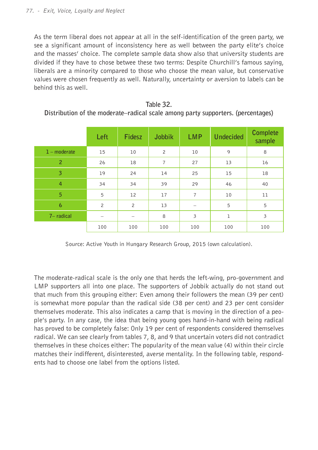As the term liberal does not appear at all in the self-identification of the green party, we see a significant amount of inconsistency here as well between the party elite's choice and the masses' choice. The complete sample data show also that university students are divided if they have to chose betwee these two terms: Despite Churchill's famous saying, liberals are a minority compared to those who choose the mean value, but conservative values were chosen frequently as well. Naturally, uncertainty or aversion to labels can be behind this as well.

|                | Left           | <b>Fidesz</b>  | Jobbik         | <b>LMP</b>     | <b>Undecided</b> | Complete<br>sample      |
|----------------|----------------|----------------|----------------|----------------|------------------|-------------------------|
| $1$ – moderate | 15             | 10             | $\overline{c}$ | 10             | 9                | 8                       |
| $\overline{2}$ | 26             | 18             | $\overline{7}$ | 27             | 13               | 16                      |
| $\overline{3}$ | 19             | 24             | 14             | 25             | 15               | 18                      |
| $\overline{4}$ | 34             | 34             | 39             | 29             | 46               | 40                      |
| 5              | 5              | 12             | 17             | $\overline{7}$ | 10               | 11                      |
| $\overline{6}$ | $\overline{c}$ | $\overline{c}$ | 13             |                | 5                | 5                       |
| $7-$ radical   |                |                | 8              | 3              | $\mathbf 1$      | $\overline{\mathbf{3}}$ |
|                | 100            | 100            | 100            | 100            | 100              | 100                     |

| Table 32.                                                                        |
|----------------------------------------------------------------------------------|
| Distribution of the moderate–radical scale among party supporters. (percentages) |

Source: Active Youth in Hungary Research Group, 2015 (own calculation).

The moderate-radical scale is the only one that herds the left-wing, pro-government and LMP supporters all into one place. The supporters of Jobbik actually do not stand out that much from this grouping either: Even among their followers the mean (39 per cent) is somewhat more popular than the radical side (38 per cent) and 23 per cent consider themselves moderate. This also indicates a camp that is moving in the direction of a people's party. In any case, the idea that being young goes hand-in-hand with being radical has proved to be completely false: Only 19 per cent of respondents considered themselves radical. We can see clearly from tables 7, 8, and 9 that uncertain voters did not contradict themselves in these choices either: The popularity of the mean value (4) within their circle matches their indifferent, disinterested, averse mentality. In the following table, respondents had to choose one label from the options listed.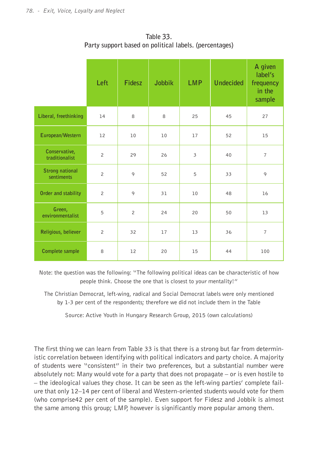|                                      | Left           | Fidesz         | <b>Jobbik</b> | <b>LMP</b>              | <b>Undecided</b> | A given<br>label's<br>frequency<br>in the<br>sample |
|--------------------------------------|----------------|----------------|---------------|-------------------------|------------------|-----------------------------------------------------|
| Liberal, freethinking                | 14             | 8              | 8             | 25                      | 45               | 27                                                  |
| European/Western                     | 12             | 10             | 10            | 17                      | 52               | 15                                                  |
| Conservative,<br>traditionalist      | $\overline{c}$ | 29             | 26            | $\overline{\mathbf{3}}$ | 40               | $\overline{7}$                                      |
| <b>Strong national</b><br>sentiments | $\overline{c}$ | 9              | 52            | 5                       | 33               | 9                                                   |
| Order and stability                  | $\overline{c}$ | 9              | 31            | 10                      | 48               | 16                                                  |
| Green,<br>environmentalist           | 5              | $\overline{2}$ | 24            | 20                      | 50               | 13                                                  |
| Religious, believer                  | $\overline{c}$ | 32             | 17            | 13                      | 36               | $\overline{7}$                                      |
| Complete sample                      | 8              | 12             | 20            | 15                      | 44               | 100                                                 |

**Table 33. Party support based on political labels. (percentages)**

Note: the question was the following: "The following political ideas can be characteristic of how people think. Choose the one that is closest to your mentality!"

The Christian Democrat, left-wing, radical and Social Democrat labels were only mentioned by 1-3 per cent of the respondents; therefore we did not include them in the Table

Source: Active Youth in Hungary Research Group, 2015 (own calculations)

The first thing we can learn from Table 33 is that there is a strong but far from deterministic correlation between identifying with political indicators and party choice. A majority of students were "consistent" in their two preferences, but a substantial number were absolutely not: Many would vote for a party that does not propagate – or is even hostile to – the ideological values they chose. It can be seen as the left-wing parties' complete failure that only 12–14 per cent of liberal and Western-oriented students would vote for them (who comprise42 per cent of the sample). Even support for Fidesz and Jobbik is almost the same among this group; LMP, however is significantly more popular among them.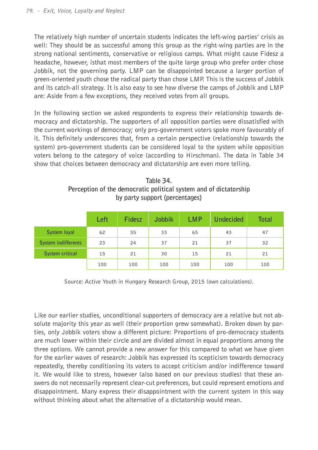The relatively high number of uncertain students indicates the left-wing parties' crisis as well: They should be as successful among this group as the right-wing parties are in the strong national sentiments, conservative or religious camps. What might cause Fidesz a headache, however, isthat most members of the quite large group who prefer order chose Jobbik, not the governing party. LMP can be disappointed because a larger portion of green-oriented youth chose the radical party than chose LMP. This is the success of Jobbik and its catch-all strategy. It is also easy to see how diverse the camps of Jobbik and LMP are: Aside from a few exceptions, they received votes from all groups.

In the following section we asked respondents to express their relationship towards democracy and dictatorship. The supporters of all opposition parties were dissatisfied with the current workings of democracy; only pro-government voters spoke more favourably of it. This definitely underscores that, from a certain perspective (relationship towards the system) pro-government students can be considered loyal to the system while opposition voters belong to the category of voice (according to Hirschman). The data in Table 34 show that choices between democracy and dictatorship are even more telling.

| Table 34.                                                         |
|-------------------------------------------------------------------|
| Perception of the democratic political system and of dictatorship |
| by party support (percentages)                                    |

|                     | Left | Fidesz | Jobbik         | <b>LMP</b> | <b>Undecided</b> | <b>Total</b> |
|---------------------|------|--------|----------------|------------|------------------|--------------|
| System loyal        | 62   | 55     | 33             | 65         | 43               | 47           |
| System indifferents | 23   | 24     | 37             | 21         | 37               | 32           |
| System critical     | 15   | 21     | 30<br>15<br>21 |            | 21               |              |
|                     | 100  | 100    | 100            | 100        | 100              | 100          |

Source: Active Youth in Hungary Research Group, 2015 (own calculations).

Like our earlier studies, unconditional supporters of democracy are a relative but not absolute majority this year as well (their proportion grew somewhat). Broken down by parties, only Jobbik voters show a different picture: Proportions of pro-democracy students are much lower within their circle and are divided almost in equal proportions among the three options. We cannot provide a new answer for this compared to what we have given for the earlier waves of research: Jobbik has expressed its scepticism towards democracy repeatedly, thereby conditioning its voters to accept criticism and/or indifference toward it. We would like to stress, however (also based on our previous studies) that these answers do not necessarily represent clear-cut preferences, but could represent emotions and disappointment. Many express their disappointment with the current system in this way without thinking about what the alternative of a dictatorship would mean.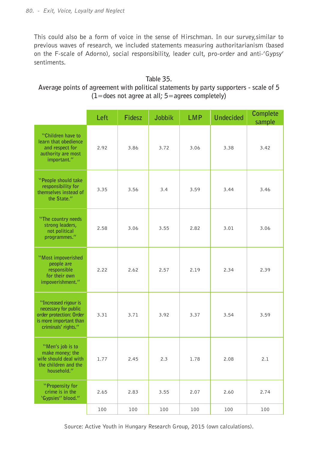This could also be a form of voice in the sense of Hirschman. In our survey,similar to previous waves of research, we included statements measuring authoritarianism (based on the F-scale of Adorno), social responsibility, leader cult, pro-order and anti-'Gypsy' sentiments.

## **Table 35. Average points of agreement with political statements by party supporters - scale of 5 (1=does not agree at all; 5=agrees completely)**

|                                                                                                                          | Left | Fidesz | Jobbik | <b>LMP</b>   | <b>Undecided</b> | Complete<br>sample |
|--------------------------------------------------------------------------------------------------------------------------|------|--------|--------|--------------|------------------|--------------------|
| "Children have to<br>learn that obedience<br>and respect for<br>authority are most<br>important."                        | 2.92 | 3.86   | 3.72   | 3.06         | 3.38             | 3.42               |
| "People should take<br>responsibility for<br>themselves instead of<br>the State."                                        | 3.35 | 3.56   | 3.4    | 3.59<br>3.44 |                  | 3.46               |
| "The country needs<br>strong leaders,<br>not political<br>programmes."                                                   | 2.58 | 3.06   | 3.55   | 2.82         | 3.01             | 3.06               |
| "Most impoverished<br>people are<br>responsible<br>for their own<br>impoverishment."                                     | 2.22 | 2.62   | 2.57   | 2.19         | 2.34             | 2.39               |
| "Increased rigour is<br>necessary for public<br>order protection: Order<br>is more important than<br>criminals' rights." | 3.31 | 3.71   | 3.92   | 3.37         | 3.54             | 3.59               |
| "Men's job is to<br>make money; the<br>wife should deal with<br>the children and the<br>household."                      | 1.77 | 2.45   | 2.3    | 1.78         | 2.08             | 2.1                |
| "Propensity for<br>crime is in the<br>'Gypsies" blood."                                                                  | 2.65 | 2.83   | 3.55   | 2.07         | 2.60             | 2.74               |
|                                                                                                                          | 100  | 100    | 100    | 100          | 100              | 100                |

Source: Active Youth in Hungary Research Group, 2015 (own calculations).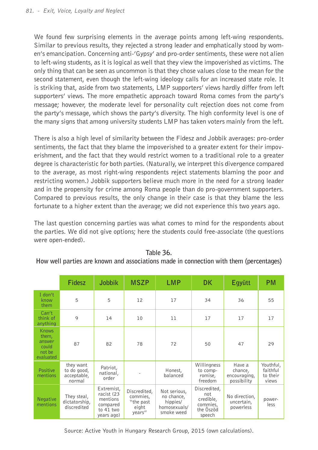We found few surprising elements in the average points among left-wing respondents. Similar to previous results, they rejected a strong leader and emphatically stood by women's emancipation. Concerning anti-'Gypsy' and pro-order sentiments, these were not alien to left-wing students, as it is logical as well that they view the impoverished as victims. The only thing that can be seen as uncommon is that they chose values close to the mean for the second statement, even though the left-wing ideology calls for an increased state role. It is striking that, aside from two statements, LMP supporters' views hardly differ from left supporters' views. The more empathetic approach toward Roma comes from the party's message; however, the moderate level for personality cult rejection does not come from the party's message, which shows the party's diversity. The high conformity level is one of the many signs that among university students LMP has taken voters mainly from the left.

There is also a high level of similarity between the Fidesz and Jobbik averages: pro-order sentiments, the fact that they blame the impoverished to a greater extent for their impoverishment, and the fact that they would restrict women to a traditional role to a greater degree is characteristic for both parties. (Naturally, we interpret this divergence compared to the average, as most right-wing respondents reject statements blaming the poor and restricting women.) Jobbik supporters believe much more in the need for a strong leader and in the propensity for crime among Roma people than do pro-government supporters. Compared to previous results, the only change in their case is that they blame the less fortunate to a higher extent than the average; we did not experience this two years ago.

The last question concerning parties was what comes to mind for the respondents about the parties. We did not give options; here the students could free-associate (the questions were open-ended).

|                                                                 | Fidesz                                            | Jobbik                                                                      | <b>MSZP</b>                                              | <b>LMP</b>                                                           | <b>DK</b>                                                           | Eqyütt                                           | <b>PM</b>                                  |
|-----------------------------------------------------------------|---------------------------------------------------|-----------------------------------------------------------------------------|----------------------------------------------------------|----------------------------------------------------------------------|---------------------------------------------------------------------|--------------------------------------------------|--------------------------------------------|
| I don't<br>know<br>them                                         | 5                                                 | 5                                                                           | 12                                                       | 17                                                                   | 34                                                                  | 36                                               | 55                                         |
| Can't<br>think of<br>anything                                   | 9                                                 | 14                                                                          | 10                                                       | 11                                                                   | 17                                                                  | 17                                               | 17                                         |
| <b>Knows</b><br>them,<br>answer<br>could<br>not be<br>evaluated | 87                                                | 82                                                                          | 78                                                       | 72                                                                   | 50                                                                  | 47                                               | 29                                         |
| Positive<br>mentions                                            | they want<br>to do good,<br>acceptable,<br>normal | Patriot.<br>national,<br>order                                              |                                                          | Honest,<br>balanced                                                  | Willingness<br>to comp-<br>romise,<br>freedom                       | Have a<br>chance,<br>encouraging,<br>possibility | Youthful,<br>faithful<br>to their<br>views |
| <b>Negative</b><br>mentions                                     | They steal,<br>dictatorship,<br>discredited       | Extremist,<br>racist (23<br>mentions<br>compared<br>to 41 two<br>years ago) | Discredited,<br>commies,<br>"the past<br>eight<br>years" | Not serious,<br>no chance,<br>hippies/<br>homosexuals/<br>smoke weed | Discredited,<br>not<br>credible,<br>commies,<br>the Öszöd<br>speech | No direction,<br>uncertain,<br>powerless         | power-<br>less                             |

#### **Table 36.**

#### **How well parties are known and associations made in connection with them (percentages)**

Source: Active Youth in Hungary Research Group, 2015 (own calculations).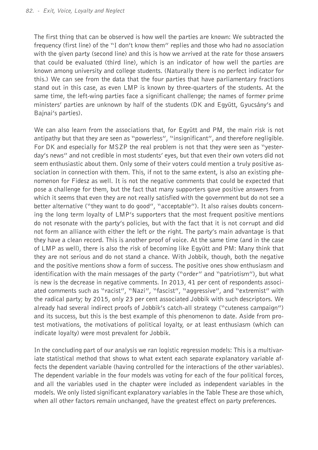The first thing that can be observed is how well the parties are known: We subtracted the frequency (first line) of the "I don't know them" replies and those who had no association with the given party (second line) and this is how we arrived at the rate for those answers that could be evaluated (third line), which is an indicator of how well the parties are known among university and college students. (Naturally there is no perfect indicator for this.) We can see from the data that the four parties that have parliamentary fractions stand out in this case, as even LMP is known by three-quarters of the students. At the same time, the left-wing parties face a significant challenge; the names of former prime ministers' parties are unknown by half of the students (DK and Együtt, Gyucsány's and Bajnai's parties).

We can also learn from the associations that, for Együtt and PM, the main risk is not antipathy but that they are seen as "powerless", "insignificant", and therefore negligible. For DK and especially for MSZP the real problem is not that they were seen as "yesterday's news" and not credible in most students' eyes, but that even their own voters did not seem enthusiastic about them. Only some of their voters could mention a truly positive association in connection with them. This, if not to the same extent, is also an existing phenomenon for Fidesz as well. It is not the negative comments that could be expected that pose a challenge for them, but the fact that many supporters gave positive answers from which it seems that even they are not really satisfied with the government but do not see a better alternative ("they want to do good", "acceptable"). It also raises doubts concerning the long term loyalty of LMP's supporters that the most frequent positive mentions do not resonate with the party's policies, but with the fact that it is not corrupt and did not form an alliance with either the left or the right. The party's main advantage is that they have a clean record. This is another proof of voice. At the same time (and in the case of LMP as well), there is also the risk of becoming like Együtt and PM: Many think that they are not serious and do not stand a chance. With Jobbik, though, both the negative and the positive mentions show a form of success. The positive ones show enthusiasm and identification with the main messages of the party ("order" and "patriotism"), but what is new is the decrease in negative comments. In 2013, 41 per cent of respondents associated comments such as "racist", "Nazi", "fascist", "aggressive", and "extremist" with the radical party; by 2015, only 23 per cent associated Jobbik with such descriptors. We already had several indirect proofs of Jobbik's catch-all strategy ("cuteness campaign") and its success, but this is the best example of this phenomenon to date. Aside from protest motivations, the motivations of political loyalty, or at least enthusiasm (which can indicate loyalty) were most prevalent for Jobbik.

In the concluding part of our analysis we ran logistic regression models: This is a multivariate statistical method that shows to what extent each separate explanatory variable affects the dependent variable (having controlled for the interactions of the other variables). The dependent variable in the four models was voting for each of the four political forces, and all the variables used in the chapter were included as independent variables in the models. We only listed significant explanatory variables in the Table These are those which, when all other factors remain unchanged, have the greatest effect on party preferences.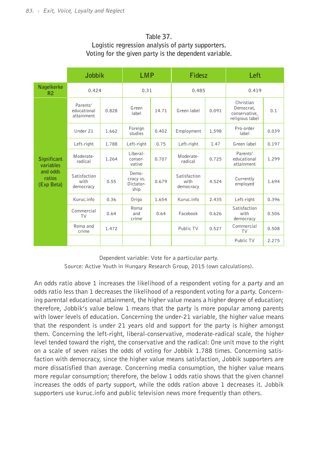### **Table 37. Logistic regression analysis of party supporters. Voting for the given party is the dependent variable.**

|                                  | Jobbik                                |       | <b>LMP</b>                              |       | Fidesz                            |       | Left                                                       |       |
|----------------------------------|---------------------------------------|-------|-----------------------------------------|-------|-----------------------------------|-------|------------------------------------------------------------|-------|
| Nagelkerke<br>R <sub>2</sub>     | 0.424                                 |       | 0.31                                    |       | 0.485                             |       | 0.419                                                      |       |
|                                  | Parents'<br>educational<br>attainment | 0.828 | Green<br>label                          | 14.71 | Green label                       | 0.091 | Christian<br>Democrat,<br>conservative,<br>religious label | 0.1   |
|                                  | Under 21                              | 1.662 | Foreign<br>studies                      | 0.402 | Employment                        | 1.598 | Pro-order<br>label                                         | 0.039 |
|                                  | Left-right                            | 1.788 | Left-right                              | 0.75  | Left-right                        | 1.47  | Green label                                                | 0.197 |
| <b>Significant</b><br>variables  | Moderate-<br>radical                  | 1.264 | Liberal-<br>conser-<br>vative           | 0.707 | Moderate-<br>radical              | 0.725 | Parents'<br>educational<br>attainment                      | 1.299 |
| and odds<br>ratios<br>(Exp Beta) | Satisfaction<br>with<br>democracy     | 0.55  | Demo-<br>cracy vs.<br>Dictator-<br>ship | 0.679 | Satisfaction<br>with<br>democracy | 4.524 | Currently<br>employed                                      | 1.694 |
|                                  | Kuruc.info                            | 0.36  | Origo                                   | 1.654 | Kuruc.info                        | 2.435 | Left-right                                                 | 0.396 |
|                                  | Commercial<br>TV                      | 0.64  | Roma<br>and<br>crime                    | 0.64  | Facebook                          | 0.626 | Satisfaction<br>with<br>democracy                          | 0.506 |
|                                  | Roma and<br>crime                     | 1.472 |                                         |       | Public TV                         | 0.527 | Commercial<br>TV                                           | 0.508 |
|                                  |                                       |       |                                         |       |                                   |       | Public TV                                                  | 2.275 |

Dependent variable: Vote for a particular party.

Source: Active Youth in Hungary Research Group, 2015 (own calculations).

An odds ratio above 1 increases the likelihood of a respondent voting for a party and an odds ratio less than 1 decreases the likelihood of a respondent voting for a party. Concerning parental educational attainment, the higher value means a higher degree of education; therefore, Jobbik's value below 1 means that the party is more popular among parents with lower levels of education. Concerning the under-21 variable, the higher value means that the respondent is under 21 years old and support for the party is higher amongst them. Concerning the left-right, liberal-conservative, moderate-radical scale, the higher level tended toward the right, the conservative and the radical: One unit move to the right on a scale of seven raises the odds of voting for Jobbik 1.788 times. Concerning satisfaction with democracy, since the higher value means satisfaction, Jobbik supporters are more dissatisfied than average. Concerning media consumption, the higher value means more regular consumption; therefore, the below 1 odds ratio shows that the given channel increases the odds of party support, while the odds ration above 1 decreases it. Jobbik supporters use kuruc.info and public television news more frequently than others.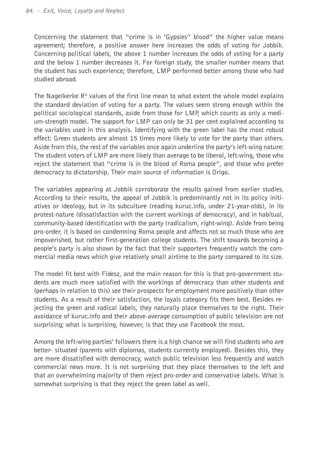Concerning the statement that "crime is in 'Gypsies'' blood" the higher value means agreement; therefore, a positive answer here increases the odds of voting for Jobbik. Concerning political labels, the above 1 number increases the odds of voting for a party and the below 1 number decreases it. For foreign study, the smaller number means that the student has such experience; therefore, LMP performed better among those who had studied abroad.

The Nagelkerke  $\mathsf{R}^{\mathsf{2}}$  values of the first line mean to what extent the whole model explains the standard deviation of voting for a party. The values seem strong enough within the political sociological standards, aside from those for LMP, which counts as only a medium-strength model. The support for LMP can only be 31 per cent explained according to the variables used in this analysis. Identifying with the green label has the most robust effect: Green students are almost 15 times more likely to vote for the party than others. Aside from this, the rest of the variables once again underline the party's left-wing nature: The student voters of LMP are more likely than average to be liberal, left-wing, those who reject the statement that "crime is in the blood of Roma people", and those who prefer democracy to dictatorship. Their main source of information is Origo.

The variables appearing at Jobbik corroborate the results gained from earlier studies. According to their results, the appeal of Jobbik is predominantly not in its policy initiatives or ideology, but in its subculture (reading kuruc.info, under 21-year-olds), in its protest-nature (dissatisfaction with the current workings of democracy), and in habitual, community-based identification with the party (radicalism, right-wing). Aside from being pro-order, it is based on condemning Roma people and affects not so much those who are impoverished, but rather first-generation college students. The shift towards becoming a people's party is also shown by the fact that their supporters frequently watch the commercial media news which give relatively small airtime to the party compared to its size.

The model fit best with Fidesz, and the main reason for this is that pro-government students are much more satisfied with the workings of democracy than other students and (perhaps in relation to this) see their prospects for employment more positively than other students. As a result of their satisfaction, the loyals category fits them best. Besides rejecting the green and radical labels, they naturally place themselves to the right. Their avoidance of kuruc.info and their above-average consumption of public television are not surprising; what is surprising, however, is that they use Facebook the most.

Among the left-wing parties' followers there is a high chance we will find students who are better- situated (parents with diplomas, students currently employed). Besides this, they are more dissatisfied with democracy, watch public television less frequently and watch commercial news more. It is not surprising that they place themselves to the left and that an overwhelming majority of them reject pro-order and conservative labels. What is somewhat surprising is that they reject the green label as well.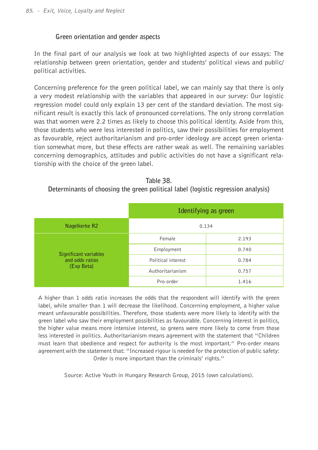### **Green orientation and gender aspects**

In the final part of our analysis we look at two highlighted aspects of our essays: The relationship between green orientation, gender and students' political views and public/ political activities.

Concerning preference for the green political label, we can mainly say that there is only a very modest relationship with the variables that appeared in our survey: Our logistic regression model could only explain 13 per cent of the standard deviation. The most significant result is exactly this lack of pronounced correlations. The only strong correlation was that women were 2.2 times as likely to choose this political identity. Aside from this, those students who were less interested in politics, saw their possibilities for employment as favourable, reject authoritarianism and pro-order ideology are accept green orientation somewhat more, but these effects are rather weak as well. The remaining variables concerning demographics, attitudes and public activities do not have a significant relationship with the choice of the green label.

| Table 38.                                                                         |
|-----------------------------------------------------------------------------------|
| Determinants of choosing the green political label (logistic regression analysis) |

|                                                        |                    | Identifying as green |
|--------------------------------------------------------|--------------------|----------------------|
| Nagelkerke R2                                          |                    | 0.134                |
|                                                        | Female             | 2.193                |
| Significant variables<br>and odds ratios<br>(Exp Beta) | Employment         | 0.740                |
|                                                        | Political interest | 0.784                |
|                                                        | Authoritarianism   | 0.757                |
|                                                        | Pro-order          | 1.416                |

A higher than 1 odds ratio increases the odds that the respondent will identify with the green label, while smaller than 1 will decrease the likelihood. Concerning employment, a higher value meant unfavourable possibilities. Therefore, those students were more likely to identify with the green label who saw their employment possibilities as favourable. Concerning interest in politics, the higher value means more intensive interest, so greens were more likely to come from those less interested in politics. Authoritarianism means agreement with the statement that "Children must learn that obedience and respect for authority is the most important." Pro-order means agreement with the statement that: "Increased rigour is needed for the protection of public safety: Order is more important than the criminals' rights."

Source: Active Youth in Hungary Research Group, 2015 (own calculations).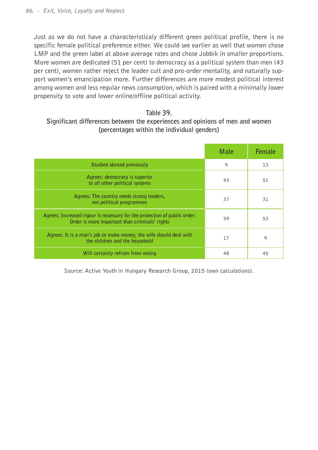Just as we do not have a characteristicaly different green political profile, there is no specific female political preference either. We could see earlier as well that women chose LMP and the green label at above average rates and chose Jobbik in smaller proportions. More women are dedicated (51 per cent) to democracy as a political system than men (43 per cent), women rather reject the leader cult and pro-order mentality, and naturally support women's emancipation more. Further differences are more modest political interest among women and less regular news consumption, which is paired with a minimally lower propensity to vote and lower online/offline political activity.

#### **Table 39.**

## **Significant differences between the experiences and opinions of men and women (percentages within the individual genders)**

|                                                                                                                             | Male | Female  |
|-----------------------------------------------------------------------------------------------------------------------------|------|---------|
| Studied abroad previously                                                                                                   | 9    | 13      |
| Agrees: democracy is superior<br>to all other political systems                                                             | 43   | 51      |
| Agrees: The country needs strong leaders,<br>not political programmes                                                       | 37   | 31      |
| Agrees: Increased rigour is necessary for the protection of public order:<br>Order is more important than criminals' rights | 59   | 53      |
| Agrees: It is a man's job to make money; the wife should deal with<br>the children and the household                        | 17   | $\circ$ |
| Will certainly refrain from voting                                                                                          | 48   | 45      |

Source: Active Youth in Hungary Research Group, 2015 (own calculations).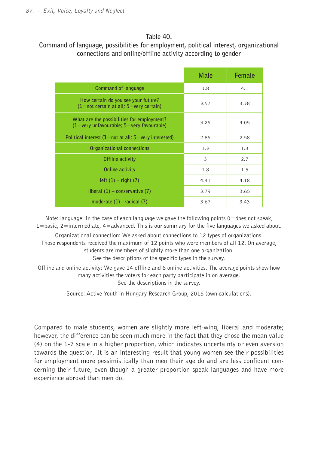#### **Table 40.**

## **Command of language, possibilities for employment, political interest, organizational connections and online/offline activity according to gender**

|                                                                                                            | Male | Female |
|------------------------------------------------------------------------------------------------------------|------|--------|
| <b>Command of language</b>                                                                                 | 3.8  | 4.1    |
| How certain do you see your future?<br>$(1 = not certain at all; 5 = very certain)$                        | 3.57 | 3.38   |
| What are the possibilities for employment?<br>$(1 = \text{very unfavourable}; 5 = \text{very favourable})$ | 3.25 | 3.05   |
| Political interest $(1 = not at all; 5 = very interested)$                                                 | 2.85 | 2.58   |
| Organizational connections                                                                                 | 1.3  | 1.3    |
| Offline activity                                                                                           | 3    | 2.7    |
| Online activity                                                                                            | 1.8  | 1.5    |
| $left(1)$ – right $(7)$                                                                                    | 4.41 | 4.18   |
| liberal $(1)$ – conservative $(7)$                                                                         | 3.79 | 3.65   |
| moderate $(1)$ -radical $(7)$                                                                              | 3.67 | 3.43   |

Note: language: In the case of each language we gave the following points 0=does not speak,  $1=$ basic,  $2=$ intermediate,  $4=$ advanced. This is our summary for the five languages we asked about.

Organizational connection: We asked about connections to 12 types of organizations. Those respondents received the maximum of 12 points who were members of all 12. On average, students are members of slightly more than one organization. See the descriptions of the specific types in the survey.

Offline and online activity: We gave 14 offline and 6 online activities. The average points show how many activities the voters for each party participate in on average. See the descriptions in the survey.

Source: Active Youth in Hungary Research Group, 2015 (own calculations).

Compared to male students, women are slightly more left-wing, liberal and moderate; however, the difference can be seen much more in the fact that they chose the mean value (4) on the 1-7 scale in a higher proportion, which indicates uncertainty or even aversion towards the question. It is an interesting result that young women see their possibilities for employment more pessimistically than men their age do and are less confident concerning their future, even though a greater proportion speak languages and have more experience abroad than men do.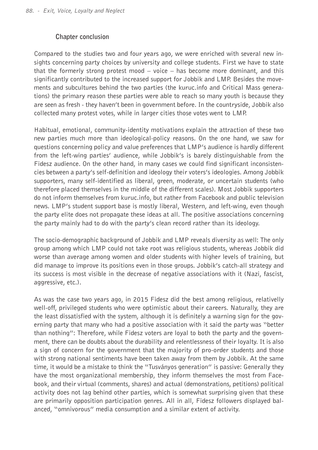#### **Chapter conclusion**

Compared to the studies two and four years ago, we were enriched with several new insights concerning party choices by university and college students. First we have to state that the formerly strong protest mood – voice – has become more dominant, and this significantly contributed to the increased support for Jobbik and LMP. Besides the movements and subcultures behind the two parties (the kuruc.info and Critical Mass generations) the primary reason these parties were able to reach so many youth is because they are seen as fresh - they haven't been in government before. In the countryside, Jobbik also collected many protest votes, while in larger cities those votes went to LMP.

Habitual, emotional, community-identity motivations explain the attraction of these two new parties much more than ideological-policy reasons. On the one hand, we saw for questions concerning policy and value preferences that LMP's audience is hardly different from the left-wing parties' audience, while Jobbik's is barely distinguishable from the Fidesz audience. On the other hand, in many cases we could find significant inconsistencies between a party's self-definition and ideology their voters's ideologies. Among Jobbik supporters, many self-identified as liberal, green, moderate, or uncertain students (who therefore placed themselves in the middle of the different scales). Most Jobbik supporters do not inform themselves from kuruc.info, but rather from Facebook and public television news. LMP's student support base is mostly liberal, Western, and left-wing, even though the party elite does not propagate these ideas at all. The positive associations concerning the party mainly had to do with the party's clean record rather than its ideology.

The socio-demographic background of Jobbik and LMP reveals diversity as well: The only group among which LMP could not take root was religious students, whereas Jobbik did worse than average among women and older students with higher levels of training, but did manage to improve its positions even in those groups. Jobbik's catch-all strategy and its success is most visible in the decrease of negative associations with it (Nazi, fascist, aggressive, etc.).

As was the case two years ago, in 2015 Fidesz did the best among religious, relativelly well-off, privileged students who were optimistic about their careers. Naturally, they are the least dissatisfied with the system, although it is definitely a warning sign for the governing party that many who had a positive association with it said the party was "better than nothing": Therefore, while Fidesz voters are loyal to both the party and the government, there can be doubts about the durability and relentlessness of their loyalty. It is also a sign of concern for the government that the majority of pro-order students and those with strong national sentiments have been taken away from them by Jobbik. At the same time, it would be a mistake to think the "Tusványos generation" is passive: Generally they have the most organizational membership, they inform themselves the most from Facebook, and their virtual (comments, shares) and actual (demonstrations, petitions) political activity does not lag behind other parties, which is somewhat surprising given that these are primarily opposition participation genres. All in all, Fidesz followers displayed balanced, "omnivorous" media consumption and a similar extent of activity.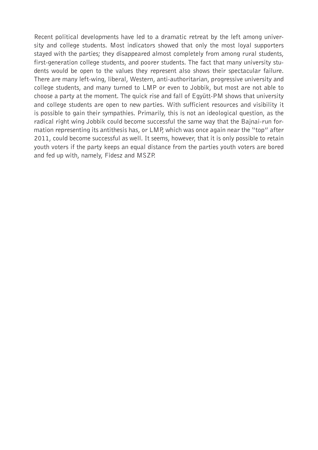Recent political developments have led to a dramatic retreat by the left among university and college students. Most indicators showed that only the most loyal supporters stayed with the parties; they disappeared almost completely from among rural students, first-generation college students, and poorer students. The fact that many university students would be open to the values they represent also shows their spectacular failure. There are many left-wing, liberal, Western, anti-authoritarian, progressive university and college students, and many turned to LMP or even to Jobbik, but most are not able to choose a party at the moment. The quick rise and fall of Együtt-PM shows that university and college students are open to new parties. With sufficient resources and visibility it is possible to gain their sympathies. Primarily, this is not an ideological question, as the radical right wing Jobbik could become successful the same way that the Bajnai-run formation representing its antithesis has, or LMP, which was once again near the "top" after 2011, could become successful as well. It seems, however, that it is only possible to retain youth voters if the party keeps an equal distance from the parties youth voters are bored and fed up with, namely, Fidesz and MSZP.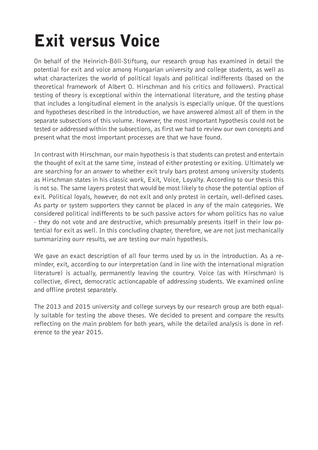# Exit versus Voice

On behalf of the Heinrich-Böll-Stiftung, our research group has examined in detail the potential for exit and voice among Hungarian university and college students, as well as what characterizes the world of political loyals and political indifferents (based on the theoretical framework of Albert O. Hirschman and his critics and followers). Practical testing of theory is exceptional within the international literature, and the testing phase that includes a longitudinal element in the analysis is especially unique. Of the questions and hypotheses described in the introduction, we have answered almost all of them in the separate subsections of this volume. However, the most important hypothesis could not be tested or addressed within the subsections, as first we had to review our own concepts and present what the most important processes are that we have found.

In contrast with Hirschman, our main hypothesis is that students can protest and entertain the thought of exit at the same time, instead of either protesting or exiting. Ultimately we are searching for an answer to whether exit truly bars protest among university students as Hirschman states in his classic work, Exit, Voice, Loyalty. According to our thesis this is not so. The same layers protest that would be most likely to chose the potential option of exit. Political loyals, however, do not exit and only protest in certain, well-defined cases. As party or system supporters they cannot be placed in any of the main categories. We considered political indifferents to be such passive actors for whom politics has no value - they do not vote and are destructive, which presumably presents itself in their low potential for exit as well. In this concluding chapter, therefore, we are not just mechanically summarizing ourr results, we are testing our main hypothesis.

We gave an exact description of all four terms used by us in the introduction. As a reminder, exit, according to our interpretation (and in line with the international migration literature) is actually, permanently leaving the country. Voice (as with Hirschman) is collective, direct, democratic actioncapable of addressing students. We examined online and offline protest separately.

The 2013 and 2015 university and college surveys by our research group are both equally suitable for testing the above theses. We decided to present and compare the results reflecting on the main problem for both years, while the detailed analysis is done in reference to the year 2015.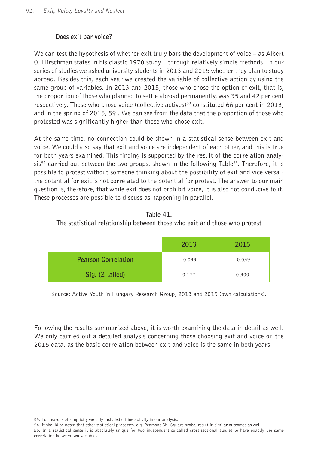### **Does exit bar voice?**

We can test the hypothesis of whether exit truly bars the development of voice  $-$  as Albert O. Hirschman states in his classic 1970 study – through relatively simple methods. In our series of studies we asked university students in 2013 and 2015 whether they plan to study abroad. Besides this, each year we created the variable of collective action by using the same group of variables. In 2013 and 2015, those who chose the option of exit, that is, the proportion of those who planned to settle abroad permanently, was 35 and 42 per cent respectively. Those who chose voice (collective actives)<sup>53</sup> constituted 66 per cent in 2013, and in the spring of 2015, 59 . We can see from the data that the proportion of those who protested was significantly higher than those who chose exit.

At the same time, no connection could be shown in a statistical sense between exit and voice. We could also say that exit and voice are independent of each other, and this is true for both years examined. This finding is supported by the result of the correlation analy $s$ is<sup>54</sup> carried out between the two groups, shown in the following Table<sup>55</sup>. Therefore, it is possible to protest without someone thinking about the possibility of exit and vice versa the potential for exit is not correlated to the potential for protest. The answer to our main question is, therefore, that while exit does not prohibit voice, it is also not conducive to it. These processes are possible to discuss as happening in parallel.

**Table 41. The statistical relationship between those who exit and those who protest**

|                            | 2013     | 2015     |
|----------------------------|----------|----------|
| <b>Pearson Correlation</b> | $-0.039$ | $-0.039$ |
| Sig. (2-tailed)            | 0.177    | 0.300    |

Source: Active Youth in Hungary Research Group, 2013 and 2015 (own calculations).

Following the results summarized above, it is worth examining the data in detail as well. We only carried out a detailed analysis concerning those choosing exit and voice on the 2015 data, as the basic correlation between exit and voice is the same in both years.

<sup>53.</sup> For reasons of simplicity we only included offline activity in our analysis.

<sup>54.</sup> It should be noted that other statistical processes, e.g. Pearsons Chi-Square probe, result in similar outcomes as well.

<sup>55.</sup> In a statistical sense it is absolutely unique for two independent so-called cross-sectional studies to have exactly the same correlation between two variables.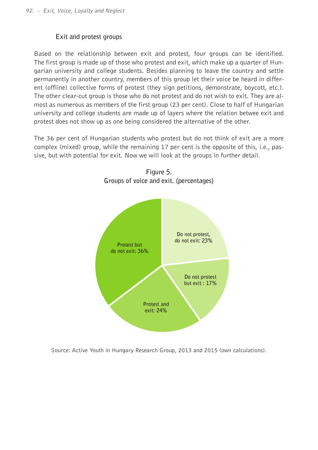### **Exit and protest groups**

Based on the relationship between exit and protest, four groups can be identified. The first group is made up of those who protest and exit, which make up a quarter of Hungarian university and college students. Besides planning to leave the country and settle permanently in another country, members of this group let their voice be heard in different (offline) collective forms of protest (they sign petitions, demonstrate, boycott, etc.). The other clear-cut group is those who do not protest and do not wish to exit. They are almost as numerous as members of the first group (23 per cent). Close to half of Hungarian university and college students are made up of layers where the relation betwee exit and protest does not show up as one being considered the alternative of the other.

The 36 per cent of Hungarian students who protest but do not think of exit are a more complex (mixed) group, while the remaining 17 per cent is the opposite of this, i.e., passive, but with potential for exit. Now we will look at the groups in further detail.



**Figure 5. Groups of voice and exit. (percentages)**

Source: Active Youth in Hungary Research Group, 2013 and 2015 (own calculations).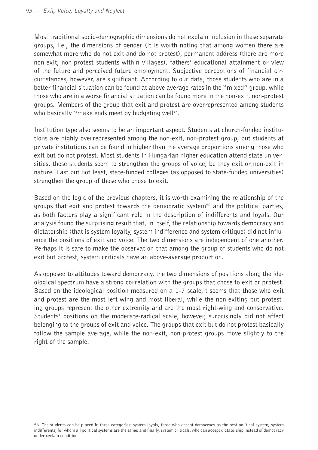Most traditional socio-demographic dimensions do not explain inclusion in these separate groups, i.e., the dimensions of gender (it is worth noting that among women there are somewhat more who do not exit and do not protest), permanent address (there are more non-exit, non-protest students within villages), fathers' educational attainment or view of the future and perceived future employment. Subjective perceptions of financial circumstances, however, are significant. According to our data, those students who are in a better financial situation can be found at above average rates in the "mixed" group, while those who are in a worse financial situation can be found more in the non-exit, non-protest groups. Members of the group that exit and protest are overrepresented among students who basically "make ends meet by budgeting well".

Institution type also seems to be an important aspect. Students at church-funded institutions are highly overrepresented among the non-exit, non-protest group, but students at private institutions can be found in higher than the average proportions among those who exit but do not protest. Most students in Hungarian higher education attend state universities, these students seem to strengthen the groups of voice, be they exit or non-exit in nature. Last but not least, state-funded colleges (as opposed to state-funded universities) strengthen the group of those who chose to exit.

Based on the logic of the previous chapters, it is worth examining the relationship of the groups that exit and protest towards the democratic system<sup>56</sup> and the political parties, as both factors play a significant role in the description of indifferents and loyals. Our analysis found the surprising result that, in itself, the relationship towards democracy and dictatorship (that is system loyalty, system indifference and system critique) did not influence the positions of exit and voice. The two dimensions are independent of one another. Perhaps it is safe to make the observation that among the group of students who do not exit but protest, system criticals have an above-average proportion.

As opposed to attitudes toward democracy, the two dimensions of positions along the ideological spectrum have a strong correlation with the groups that chose to exit or protest. Based on the ideological position measured on a 1-7 scale,it seems that those who exit and protest are the most left-wing and most liberal, while the non-exiting but protesting groups represent the other extremity and are the most right-wing and conservative. Students' positions on the moderate-radical scale, however, surprisingly did not affect belonging to the groups of exit and voice. The groups that exit but do not protest basically follow the sample average, while the non-exit, non-protest groups move slightly to the right of the sample.

<sup>56.</sup> The students can be placed in three categories: system loyals, those who accept democracy as the best political system; system indifferents, for whom all political systems are the same; and finally, system criticals, who can accept dictatorship instead of democracy under certain conditions.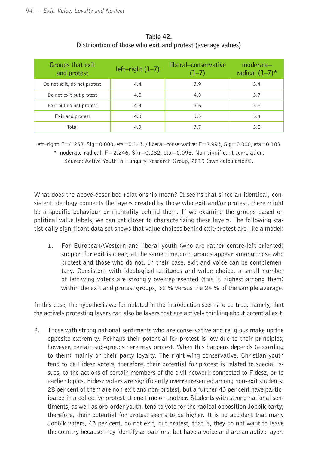| Groups that exit<br>and protest | $left-right (1-7)$ | liberal-conservative<br>$(1-7)$ | $moderate-$<br>radical $(1-7)^*$ |
|---------------------------------|--------------------|---------------------------------|----------------------------------|
| Do not exit, do not protest     | 4.4                | 3.9                             | 3.4                              |
| Do not exit but protest         | 4.5                | 4.0                             | 3.7                              |
| Exit but do not protest         | 4.3                | 3.6                             | 3.5                              |
| Exit and protest                | 4.0                | 3.3                             | 3.4                              |
| Total                           | 4.3                | 3.7                             | 3.5                              |

#### **Table 42. Distribution of those who exit and protest (average values)**

left–right: F=6.258, Sig=0.000, eta=0.163. / liberal–conservative: F=7.993, Sig=0.000, eta=0.183.  $*$  moderate-radical:  $F=2.246$ ,  $Sig=0.082$ , eta=0.098. Non-significant correlation.

Source: Active Youth in Hungary Research Group, 2015 (own calculations).

What does the above-described relationship mean? It seems that since an identical, consistent ideology connects the layers created by those who exit and/or protest, there might be a specific behaviour or mentality behind them. If we examine the groups based on political value labels, we can get closer to characterizing these layers. The following statistically significant data set shows that value choices behind exit/protest are like a model:

1. For European/Western and liberal youth (who are rather centre-left oriented) support for exit is clear; at the same time,both groups appear among those who protest and those who do not. In their case, exit and voice can be complementary. Consistent with ideological attitudes and value choice, a small number of left-wing voters are strongly overrepresented (this is highest among them) within the exit and protest groups, 32 % versus the 24 % of the sample average.

In this case, the hypothesis we formulated in the introduction seems to be true, namely, that the actively protesting layers can also be layers that are actively thinking about potential exit.

2. Those with strong national sentiments who are conservative and religious make up the opposite extremity. Perhaps their potential for protest is low due to their principles; however, certain sub-groups here may protest. When this happens depends (according to them) mainly on their party loyalty. The right-wing conservative, Christian youth tend to be Fidesz voters; therefore, their potential for protest is related to special issues, to the actions of certain members of the civil network connected to Fidesz, or to earlier topics. Fidesz voters are significantly overrepresented among non-exit students: 28 per cent of them are non-exit and non-protest, but a further 43 per cent have participated in a collective protest at one time or another. Students with strong national sentiments, as well as pro-order youth, tend to vote for the radical opposition Jobbik party; therefore, their potential for protest seems to be higher. It is no accident that many Jobbik voters, 43 per cent, do not exit, but protest, that is, they do not want to leave the country because they identify as patriors, but have a voice and are an active layer.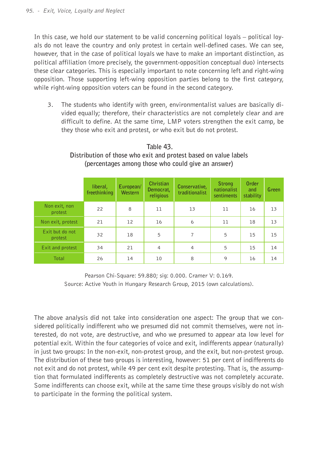In this case, we hold our statement to be valid concerning political loyals – political loyals do not leave the country and only protest in certain well-defined cases. We can see, however, that in the case of political loyals we have to make an important distinction, as political affiliation (more precisely, the government-opposition conceptual duo) intersects these clear categories. This is especially important to note concerning left and right-wing opposition. Those supporting left-wing opposition parties belong to the first category, while right-wing opposition voters can be found in the second category.

3. The students who identify with green, environmentalist values are basically divided equally; therefore, their characteristics are not completely clear and are difficult to define. At the same time, LMP voters strengthen the exit camp, be they those who exit and protest, or who exit but do not protest.

|                            | liberal,<br>freethinking | European/<br>Western | Christian<br>Democrat,<br>religious | Conservative,<br>traditionalist | Strong<br>nationalist<br>sentiments | Order<br>and<br>stability | Green |
|----------------------------|--------------------------|----------------------|-------------------------------------|---------------------------------|-------------------------------------|---------------------------|-------|
| Non exit, non<br>protest   | 22                       | 8                    | 11                                  | 13                              | 11                                  | 16                        | 13    |
| Non exit, protest          | 21                       | 12                   | 16                                  | 6                               | 11                                  | 18                        | 13    |
| Exit but do not<br>protest | 32                       | 18                   | 5                                   | 7                               | 5                                   | 15                        | 15    |
| Exit and protest           | 34                       | 21                   | 4                                   | $\overline{4}$                  | 5                                   | 15                        | 14    |
| Total                      | 26                       | 14                   | 10                                  | 8                               | 9                                   | 16                        | 14    |

#### **Table 43. Distribution of those who exit and protest based on value labels (percentages among those who could give an answer)**

Pearson Chi-Square: 59.880; sig: 0.000. Cramer V: 0.169. Source: Active Youth in Hungary Research Group, 2015 (own calculations).

The above analysis did not take into consideration one aspect: The group that we considered politically indifferent who we presumed did not commit themselves, were not interested, do not vote, are destructive, and who we presumed to appear ata low level for potential exit. Within the four categories of voice and exit, indifferents appear (naturally) in just two groups: In the non-exit, non-protest group, and the exit, but non-protest group. The distribution of these two groups is interesting, however: 51 per cent of indifferents do not exit and do not protest, while 49 per cent exit despite protesting. That is, the assumption that formulated indifferents as completely destructive was not completely accurate. Some indifferents can choose exit, while at the same time these groups visibly do not wish to participate in the forming the political system.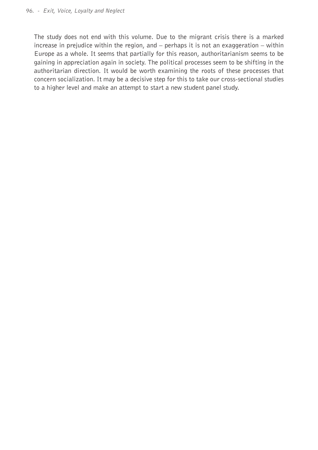The study does not end with this volume. Due to the migrant crisis there is a marked increase in prejudice within the region, and – perhaps it is not an exaggeration – within Europe as a whole. It seems that partially for this reason, authoritarianism seems to be gaining in appreciation again in society. The political processes seem to be shifting in the authoritarian direction. It would be worth examining the roots of these processes that concern socialization. It may be a decisive step for this to take our cross-sectional studies to a higher level and make an attempt to start a new student panel study.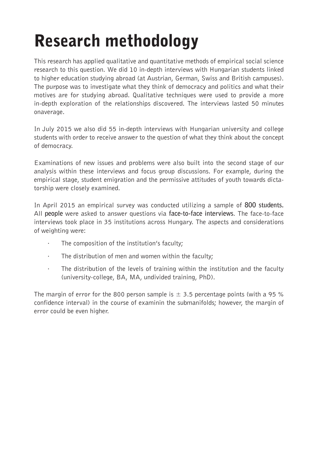## Research methodology

This research has applied qualitative and quantitative methods of empirical social science research to this question. We did 10 in-depth interviews with Hungarian students linked to higher education studying abroad (at Austrian, German, Swiss and British campuses). The purpose was to investigate what they think of democracy and politics and what their motives are for studying abroad. Qualitative techniques were used to provide a more in-depth exploration of the relationships discovered. The interviews lasted 50 minutes onaverage.

In July 2015 we also did 55 in-depth interviews with Hungarian university and college students with order to receive answer to the question of what they think about the concept of democracy.

Examinations of new issues and problems were also built into the second stage of our analysis within these interviews and focus group discussions. For example, during the empirical stage, student emigration and the permissive attitudes of youth towards dictatorship were closely examined.

In April 2015 an empirical survey was conducted utilizing a sample of **800 students.** All **people** were asked to answer questions via **face-to-face interviews**. The face-to-face interviews took place in 35 institutions across Hungary. The aspects and considerations of weighting were:

- The composition of the institution's faculty;
- · The distribution of men and women within the faculty;
- The distribution of the levels of training within the institution and the faculty (university-college, BA, MA, undivided training, PhD).

The margin of error for the 800 person sample is  $\pm$  3.5 percentage points (with a 95 % confidence interval) in the course of examinin the submanifolds; however, the margin of error could be even higher.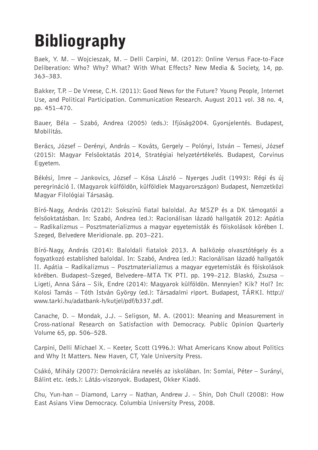# **Bibliography**

Baek, Y. M. – Wojcieszak, M. – Delli Carpini, M. (2012): Online Versus Face-to-Face Deliberation: Who? Why? What? With What Effects? New Media & Society, 14, pp. 363–383.

Bakker, T.P. – De Vreese, C.H. (2011): Good News for the Future? Young People, Internet Use, and Political Participation. Communication Research. August 2011 vol. 38 no. 4, pp. 451–470.

Bauer, Béla – Szabó, Andrea (2005) (eds.): Ifjúság2004. Gyorsjelentés. Budapest, Mobilitás.

Berács, József – Derényi, András – Kováts, Gergely – Polónyi, István – Temesi, József (2015): Magyar Felsöoktatás 2014, Stratégiai helyzetértékelés. Budapest, Corvinus Egyetem.

Békési, Imre – Jankovics, József – Kósa László – Nyerges Judit (1993): Régi és új peregrináció I. (Magyarok külföldön, külföldiek Magyarországon) Budapest, Nemzetközi Magyar Filológiai Társaság.

Bíró-Nagy, András (2012): Sokszínü fiatal baloldal. Az MSZP és a DK támogatói a felsöoktatásban. In: Szabó, Andrea (ed.): Racionálisan lázadó hallgatók 2012: Apátia – Radikalizmus – Posztmaterializmus a magyar egyetemisták és föiskolások körében I. Szeged, Belvedere Meridionale. pp. 203–221.

Bíró-Nagy, András (2014): Baloldali fiatalok 2013. A balközép olvasztótégely és a fogyatkozó established baloldal. In: Szabó, Andrea (ed.): Racionálisan lázadó hallgatók II. Apátia – Radikalizmus – Posztmaterializmus a magyar egyetemisták és föiskolások körében. Budapest–Szeged, Belvedere–MTA TK PTI. pp. 199–212. Blaskó, Zsuzsa – Ligeti, Anna Sára – Sik, Endre (2014): Magyarok külföldön. Mennyien? Kik? Hol? In: Kolosi Tamás – Tóth István György (ed.): Társadalmi riport. Budapest, TÁRKI. http:// www.tarki.hu/adatbank-h/kutjel/pdf/b337.pdf.

Canache, D. – Mondak, J.J. – Seligson, M. A. (2001): Meaning and Measurement in Cross-national Research on Satisfaction with Democracy. Public Opinion Quarterly Volume 65, pp. 506–528.

Carpini, Delli Michael X. – Keeter, Scott (1996.): What Americans Know about Politics and Why It Matters. New Haven, CT, Yale University Press.

Csákó, Mihály (2007): Demokráciára nevelés az iskolában. In: Somlai, Péter – Surányi, Bálint etc. (eds.): Látás-viszonyok. Budapest, Okker Kiadó.

Chu, Yun-han – Diamond, Larry – Nathan, Andrew J. – Shin, Doh Chull (2008): How East Asians View Democracy. Columbia University Press, 2008.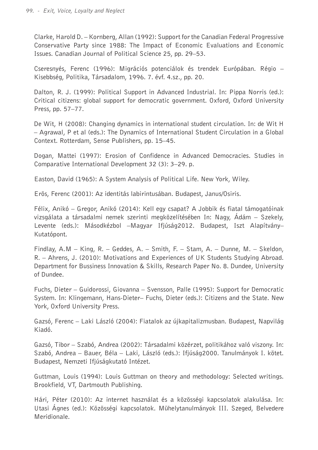Clarke, Harold D. – Kornberg, Allan (1992): Support for the Canadian Federal Progressive Conservative Party since 1988: The Impact of Economic Evaluations and Economic Issues. Canadian Journal of Political Science 25, pp. 29–53.

Cseresnyés, Ferenc (1996): Migrációs potenciálok és trendek Európában. Régio – Kisebbség, Politika, Társadalom, 1996. 7. évf. 4.sz., pp. 20.

Dalton, R. J. (1999): Political Support in Advanced Industrial. In: Pippa Norris (ed.): Critical citizens: global support for democratic government. Oxford, Oxford University Press, pp. 57–77.

De Wit, H (2008): Changing dynamics in international student circulation. In: de Wit H – Agrawal, P et al (eds.): The Dynamics of International Student Circulation in a Global Context. Rotterdam, Sense Publishers, pp. 15–45.

Dogan, Mattei (1997): Erosion of Confidence in Advanced Democracies. Studies in Comparative International Development 32 (3): 3–29. p.

Easton, David (1965): A System Analysis of Political Life. New York, Wiley.

Erös, Ferenc (2001): Az identitás labirintusában. Budapest, Janus/Osiris.

Félix, Anikó – Gregor, Anikó (2014): Kell egy csapat? A Jobbik és fiatal támogatóinak vizsgálata a társadalmi nemek szerinti megközelítésében In: Nagy, Ádám – Szekely, Levente (eds.): Másodkézbol –Magyar Ifjúság2012. Budapest, Iszt Alapítvány– Kutatópont.

Findlay, A.M – King, R. – Geddes, A. – Smith, F. – Stam, A. – Dunne, M. – Skeldon, R. – Ahrens, J. (2010): Motivations and Experiences of UK Students Studying Abroad. Department for Bussiness Innovation & Skills, Research Paper No. 8. Dundee, University of Dundee.

Fuchs, Dieter – Guidorossi, Giovanna – Svensson, Palle (1995): Support for Democratic System. In: Klingemann, Hans-Dieter– Fuchs, Dieter (eds.): Citizens and the State. New York, Oxford University Press.

Gazsó, Ferenc – Laki László (2004): Fiatalok az újkapitalizmusban. Budapest, Napvilág Kiadó.

Gazsó, Tibor – Szabó, Andrea (2002): Társadalmi közérzet, politikához való viszony. In: Szabó, Andrea – Bauer, Béla – Laki, László (eds.): Ifjúság2000. Tanulmányok I. kötet. Budapest, Nemzeti Ifjúságkutató Intézet.

Guttman, Louis (1994): Louis Guttman on theory and methodology: Selected writings. Brookfield, VT, Dartmouth Publishing.

Hári, Péter (2010): Az internet használat és a közösségi kapcsolatok alakulása. In: Utasi Ágnes (ed.): Közösségi kapcsolatok. Mühelytanulmányok III. Szeged, Belvedere Meridionale.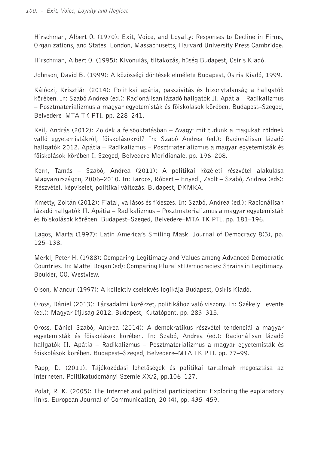Hirschman, Albert O. (1970): Exit, Voice, and Loyalty: Responses to Decline in Firms, Organizations, and States. London, Massachusetts, Harvard University Press Cambridge.

Hirschman, Albert O. (1995): Kivonulás, tiltakozás, hüség Budapest, Osiris Kiadó.

Johnson, David B. (1999): A közösségi döntések elmélete Budapest, Osiris Kiadó, 1999.

Kálóczi, Krisztián (2014): Politikai apátia, passzivitás és bizonytalanság a hallgatók körében. In: Szabó Andrea (ed.): Racionálisan lázadó hallgatók II. Apátia – Radikalizmus – Posztmaterializmus a magyar egyetemisták és föiskolások körében. Budapest–Szeged, Belvedere–MTA TK PTI. pp. 228–241.

Keil, András (2012): Zöldek a felsöoktatásban – Avagy: mit tudunk a magukat zöldnek valló egyetemistákról, föiskolásokról? In: Szabó Andrea (ed.): Racionálisan lázadó hallgatók 2012. Apátia – Radikalizmus – Posztmaterializmus a magyar egyetemisták és föiskolások körében I. Szeged, Belvedere Meridionale. pp. 196–208.

Kern, Tamás – Szabó, Andrea (2011): A politikai közéleti részvétel alakulása Magyarországon, 2006–2010. In: Tardos, Róbert – Enyedi, Zsolt – Szabó, Andrea (eds): Részvétel, képviselet, politikai változás. Budapest, DKMKA.

Kmetty, Zoltán (2012): Fiatal, vallásos és fideszes. In: Szabó, Andrea (ed.): Racionálisan lázadó hallgatók II. Apátia – Radikalizmus – Posztmaterializmus a magyar egyetemisták és föiskolások körében. Budapest–Szeged, Belvedere–MTA TK PTI. pp. 181–196.

Lagos, Marta (1997): Latin America's Smiling Mask. Journal of Democracy 8(3), pp. 125–138.

Merkl, Peter H. (1988): Comparing Legitimacy and Values among Advanced Democratic Countries. In: Mattei Dogan (ed): Comparing Pluralist Democracies: Strains in Legitimacy. Boulder, CO, Westview.

Olson, Mancur (1997): A kollektív cselekvés logikája Budapest, Osiris Kiadó.

Oross, Dániel (2013): Társadalmi közérzet, politikához való viszony. In: Székely Levente (ed.): Magyar Ifjúság 2012. Budapest, Kutatópont. pp. 283–315.

Oross, Dániel–Szabó, Andrea (2014): A demokratikus részvétel tendenciái a magyar egyetemisták és föiskolások körében. In: Szabó, Andrea (ed.): Racionálisan lázadó hallgatók II. Apátia – Radikalizmus – Posztmaterializmus a magyar egyetemisták és föiskolások körében. Budapest–Szeged, Belvedere–MTA TK PTI. pp. 77–99.

Papp, D. (2011): Tájékozódási lehetöségek és politikai tartalmak megosztása az interneten. Politikatudományi Szemle XX/2, pp.106–127.

Polat, R. K. (2005): The Internet and political participation: Exploring the explanatory links. European Journal of Communication, 20 (4), pp. 435–459.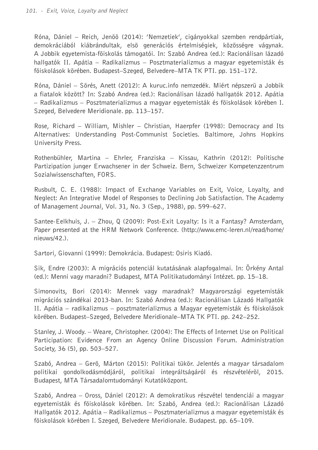Róna, Dániel – Reich, Jenöö (2014): 'Nemzetiek', cigányokkal szemben rendpártiak, demokráciából kiábrándultak, elsö generációs értelmiségiek, közösségre vágynak. A Jobbik egyetemista-föiskolás támogatói. In: Szabó Andrea (ed.): Racionálisan lázadó hallgatók II. Apátia – Radikalizmus – Posztmaterializmus a magyar egyetemisták és föiskolások körében. Budapest–Szeged, Belvedere–MTA TK PTI. pp. 151–172.

Róna, Dániel – Sörés, Anett (2012): A kuruc.info nemzedék. Miért népszerü a Jobbik a fiatalok között? In: Szabó Andrea (ed.): Racionálisan lázadó hallgatók 2012. Apátia – Radikalizmus – Posztmaterializmus a magyar egyetemisták és föiskolások körében I. Szeged, Belvedere Meridionale. pp. 113–157.

Rose, Richard – William, Mishler – Christian, Haerpfer (1998): Democracy and Its Alternatives: Understanding Post-Communist Societies. Baltimore, Johns Hopkins University Press.

Rothenbühler, Martina – Ehrler, Franziska – Kissau, Kathrin (2012): Politische Partizipation junger Erwachsener in der Schweiz. Bern, Schweizer Kompetenzzentrum Sozialwissenschaften, FORS.

Rusbult, C. E. (1988): Impact of Exchange Variables on Exit, Voice, Loyalty, and Neglect: An Integrative Model of Responses to Declining Job Satisfaction. The Academy of Management Journal, Vol. 31, No. 3 (Sep., 1988), pp. 599–627.

Santee-Eelkhuis, J. – Zhou, Q (2009): Post-Exit Loyalty: Is it a Fantasy? Amsterdam, Paper presented at the HRM Network Conference. (http://www.emc-leren.nl/read/home/ nieuws/42.).

Sartori, Giovanni (1999): Demokrácia. Budapest: Osiris Kiadó.

Sik, Endre (2003): A migrációs potenciál kutatásának alapfogalmai. In: Örkény Antal (ed.): Menni vagy maradni? Budapest, MTA Politikatudományi Intézet. pp. 15–18.

Simonovits, Bori (2014): Mennek vagy maradnak? Magyarországi egyetemisták migrációs szándékai 2013-ban. In: Szabó Andrea (ed.): Racionálisan Lázadó Hallgatók II. Apátia – radikalizmus – posztmaterializmus a Magyar egyetemisták és föiskolások körében. Budapest–Szeged, Belvedere Meridionale–MTA TK PTI. pp. 242–252.

Stanley, J. Woody. – Weare, Christopher. (2004): The Effects of Internet Use on Political Participation: Evidence From an Agency Online Discussion Forum. Administration Society, 36 (5), pp. 503–527.

Szabó, Andrea – Gerö, Márton (2015): Politikai tükör. Jelentés a magyar társadalom politikai gondolkodásmódjáról, politikai integráltságáról és részvételéröl, 2015. Budapest, MTA Társadalomtudományi Kutatóközpont.

Szabó, Andrea – Oross, Dániel (2012): A demokratikus részvétel tendenciái a magyar egyetemisták és föiskolások körében. In: Szabó, Andrea (ed.): Racionálisan Lázadó Hallgatók 2012. Apátia – Radikalizmus – Posztmaterializmus a magyar egyetemisták és föiskolások körében I. Szeged, Belvedere Meridionale. Budapest. pp. 65–109.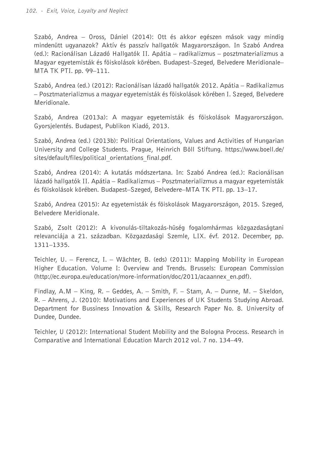Szabó, Andrea – Oross, Dániel (2014): Ott és akkor egészen mások vagy mindig mindenütt ugyanazok? Aktív és passzív hallgatók Magyarországon. In Szabó Andrea (ed.): Racionálisan Lázadó Hallgatók II. Apátia – radikalizmus – posztmaterializmus a Magyar egyetemisták és föiskolások körében. Budapest–Szeged, Belvedere Meridionale– MTA TK PTI. pp. 99–111.

Szabó, Andrea (ed.) (2012): Racionálisan lázadó hallgatók 2012. Apátia – Radikalizmus – Posztmaterializmus a magyar egyetemisták és föiskolások körében I. Szeged, Belvedere Meridionale.

Szabó, Andrea (2013a): A magyar egyetemisták és föiskolások Magyarországon. Gyorsjelentés. Budapest, Publikon Kiadó, 2013.

Szabó, Andrea (ed.) (2013b): Political Orientations, Values and Activities of Hungarian University and College Students. Prague, Heinrich Böll Stiftung. https://www.boell.de/ sites/default/files/political orientations final.pdf.

Szabó, Andrea (2014): A kutatás módszertana. In: Szabó Andrea (ed.): Racionálisan lázadó hallgatók II. Apátia – Radikalizmus – Posztmaterializmus a magyar egyetemisták és föiskolások körében. Budapest–Szeged, Belvedere–MTA TK PTI. pp. 13–17.

Szabó, Andrea (2015): Az egyetemisták és föiskolások Magyarországon, 2015. Szeged, Belvedere Meridionale.

Szabó, Zsolt (2012): A kivonulás-tiltakozás-hüség fogalomhármas közgazdaságtani relevanciája a 21. században. Közgazdasági Szemle, LIX. évf. 2012. December, pp. 1311–1335.

Teichler, U. – Ferencz, I. – Wächter, B. (eds) (2011): Mapping Mobility in European Higher Education. Volume I: Overview and Trends. Brussels: European Commission (http://ec.europa.eu/education/more-information/doc/2011/acaannex\_en.pdf).

Findlay, A.M – King, R. – Geddes, A. – Smith, F. – Stam, A. – Dunne, M. – Skeldon, R. – Ahrens, J. (2010): Motivations and Experiences of UK Students Studying Abroad. Department for Bussiness Innovation & Skills, Research Paper No. 8. University of Dundee, Dundee.

Teichler, U (2012): International Student Mobility and the Bologna Process. Research in Comparative and International Education March 2012 vol. 7 no. 134–49.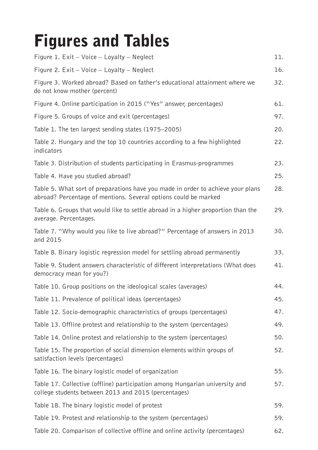## Figures and Tables

| Figure 1. Exit - Voice - Loyalty - Neglect                                                                                                         | 11. |
|----------------------------------------------------------------------------------------------------------------------------------------------------|-----|
| Figure 2. $Exit - Voice - Loyalty - Neglect$                                                                                                       | 16. |
| Figure 3. Worked abroad? Based on father's educational attainment where we<br>do not know mother (percent)                                         | 32. |
| Figure 4. Online participation in 2015 ("Yes" answer, percentages)                                                                                 | 61. |
| Figure 5. Groups of voice and exit (percentages)                                                                                                   | 97. |
| Table 1. The ten largest sending states (1975–2005)                                                                                                | 20. |
| Table 2. Hungary and the top 10 countries according to a few highlighted<br>indicators                                                             | 22. |
| Table 3. Distribution of students participating in Erasmus-programmes                                                                              | 23. |
| Table 4. Have you studied abroad?                                                                                                                  | 25. |
| Table 5. What sort of preparations have you made in order to achieve your plans<br>abroad? Percentage of mentions. Several options could be marked | 28. |
| Table 6. Groups that would like to settle abroad in a higher proportion than the<br>average. Percentages.                                          | 29. |
| Table 7. "Why would you like to live abroad?" Percentage of answers in 2013<br>and 2015                                                            | 30. |
| Table 8. Binary logistic regression model for settling abroad permanently                                                                          | 33. |
| Table 9. Student answers characteristic of different interpretations (What does<br>democracy mean for you?)                                        | 41. |
| Table 10. Group positions on the ideological scales (averages)                                                                                     | 44. |
| Table 11. Prevalence of political ideas (percentages)                                                                                              | 45. |
| Table 12. Socio-demographic characteristics of groups (percentages)                                                                                | 47. |
| Table 13. Offline protest and relationship to the system (percentages)                                                                             | 49. |
| Table 14. Online protest and relationship to the system (percentages)                                                                              | 50. |
| Table 15. The proportion of social dimension elements within groups of<br>satisfaction levels (percentages)                                        | 52. |
| Table 16. The binary logistic model of organization                                                                                                | 55. |
| Table 17. Collective (offline) participation among Hungarian university and<br>college students between 2013 and 2015 (percentages)                | 57. |
| Table 18. The binary logistic model of protest                                                                                                     | 59. |
| Table 19. Protest and relationship to the system (percentages)                                                                                     | 59. |
| Table 20. Comparison of collective offline and online activity (percentages)                                                                       | 62. |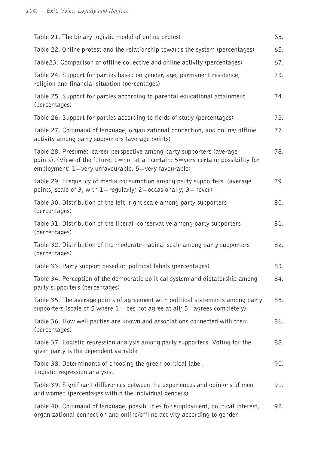| Table 21. The binary logistic model of online protest                                                                                                                                                               | 65. |
|---------------------------------------------------------------------------------------------------------------------------------------------------------------------------------------------------------------------|-----|
|                                                                                                                                                                                                                     |     |
| Table 22. Online protest and the relationship towards the system (percentages)                                                                                                                                      | 65. |
| Table23. Comparison of offline collective and online activity (percentages)                                                                                                                                         | 67. |
| Table 24. Support for parties based on gender, age, permanent residence,<br>religion and financial situation (percentages)                                                                                          | 73. |
| Table 25. Support for parties according to parental educational attainment<br>(percentages)                                                                                                                         | 74. |
| Table 26. Support for parties according to fields of study (percentages)                                                                                                                                            | 75. |
| Table 27. Command of language, organizational connection, and online/ offline<br>activity among party supporters (average points)                                                                                   | 77. |
| Table 28. Presumed career perspective among party supporters (average<br>points). (View of the future: 1=not at all certain; 5=very certain; possibility for<br>employment: 1=very unfavourable, 5=very favourable) | 78. |
| Table 29. Frequency of media consumption among party supporters. (average<br>points, scale of 3, with $1 =$ regularly; 2= occasionally; 3= never)                                                                   | 79. |
| Table 30. Distribution of the left–right scale among party supporters<br>(percentages)                                                                                                                              | 80. |
| Table 31. Distribution of the liberal–conservative among party supporters<br>(percentages)                                                                                                                          | 81. |
| Table 32. Distribution of the moderate–radical scale among party supporters<br>(percentages)                                                                                                                        | 82. |
| Table 33. Party support based on political labels (percentages)                                                                                                                                                     | 83. |
| Table 34. Perception of the democratic political system and dictatorship among<br>party supporters (percentages)                                                                                                    | 84. |
| Table 35. The average points of agreement with political statements among party<br>supporters (scale of 5 where $1=$ oes not agree at all; $5=$ agrees completely)                                                  | 85. |
| Table 36. How well parties are known and associations connected with them<br>(percentages)                                                                                                                          | 86. |
| Table 37. Logistic regression analysis among party supporters. Voting for the<br>given party is the dependent variable                                                                                              | 88. |
| Table 38. Determinants of choosing the green political label.<br>Logistic regression analysis.                                                                                                                      | 90. |
| Table 39. Significant differences between the experiences and opinions of men<br>and women (percentages within the individual genders)                                                                              | 91. |
| Table 40. Command of language, possibilities for employment, political interest,<br>organizational connection and online/offline activity according to gender                                                       | 92. |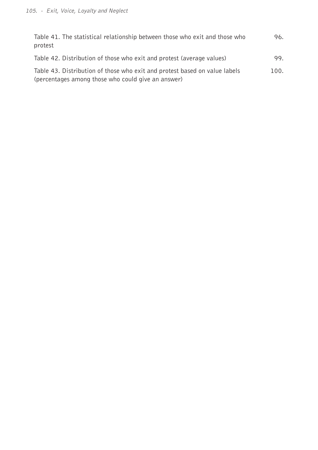| Table 41. The statistical relationship between those who exit and those who<br>protest                                           | 96.  |
|----------------------------------------------------------------------------------------------------------------------------------|------|
| Table 42. Distribution of those who exit and protest (average values)                                                            | 99.  |
| Table 43. Distribution of those who exit and protest based on value labels<br>(percentages among those who could give an answer) | 100. |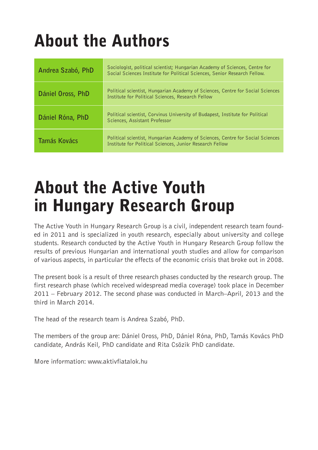# About the Authors

| Andrea Szabó, PhD | Sociologist, political scientist; Hungarian Academy of Sciences, Centre for<br>Social Sciences Institute for Political Sciences, Senior Research Fellow. |
|-------------------|----------------------------------------------------------------------------------------------------------------------------------------------------------|
| Dániel Oross, PhD | Political scientist, Hungarian Academy of Sciences, Centre for Social Sciences<br>Institute for Political Sciences, Research Fellow                      |
| Dániel Róna, PhD  | Political scientist, Corvinus University of Budapest, Institute for Political<br>Sciences, Assistant Professor                                           |
| Tamás Kovács      | Political scientist, Hungarian Academy of Sciences, Centre for Social Sciences<br>Institute for Political Sciences, Junior Research Fellow               |

## About the Active Youth in Hungary Research Group

The Active Youth in Hungary Research Group is a civil, independent research team founded in 2011 and is specialized in youth research, especially about university and college students. Research conducted by the Active Youth in Hungary Research Group follow the results of previous Hungarian and international youth studies and allow for comparison of various aspects, in particular the effects of the economic crisis that broke out in 2008.

The present book is a result of three research phases conducted by the research group. The first research phase (which received widespread media coverage) took place in December 2011 – February 2012. The second phase was conducted in March–April, 2013 and the third in March 2014.

The head of the research team is Andrea Szabó, PhD.

The members of the group are: Dániel Oross, PhD, Dániel Róna, PhD, Tamás Kovács PhD candidate, András Keil, PhD candidate and Rita Csözik PhD candidate.

More information: www.aktivfiatalok.hu